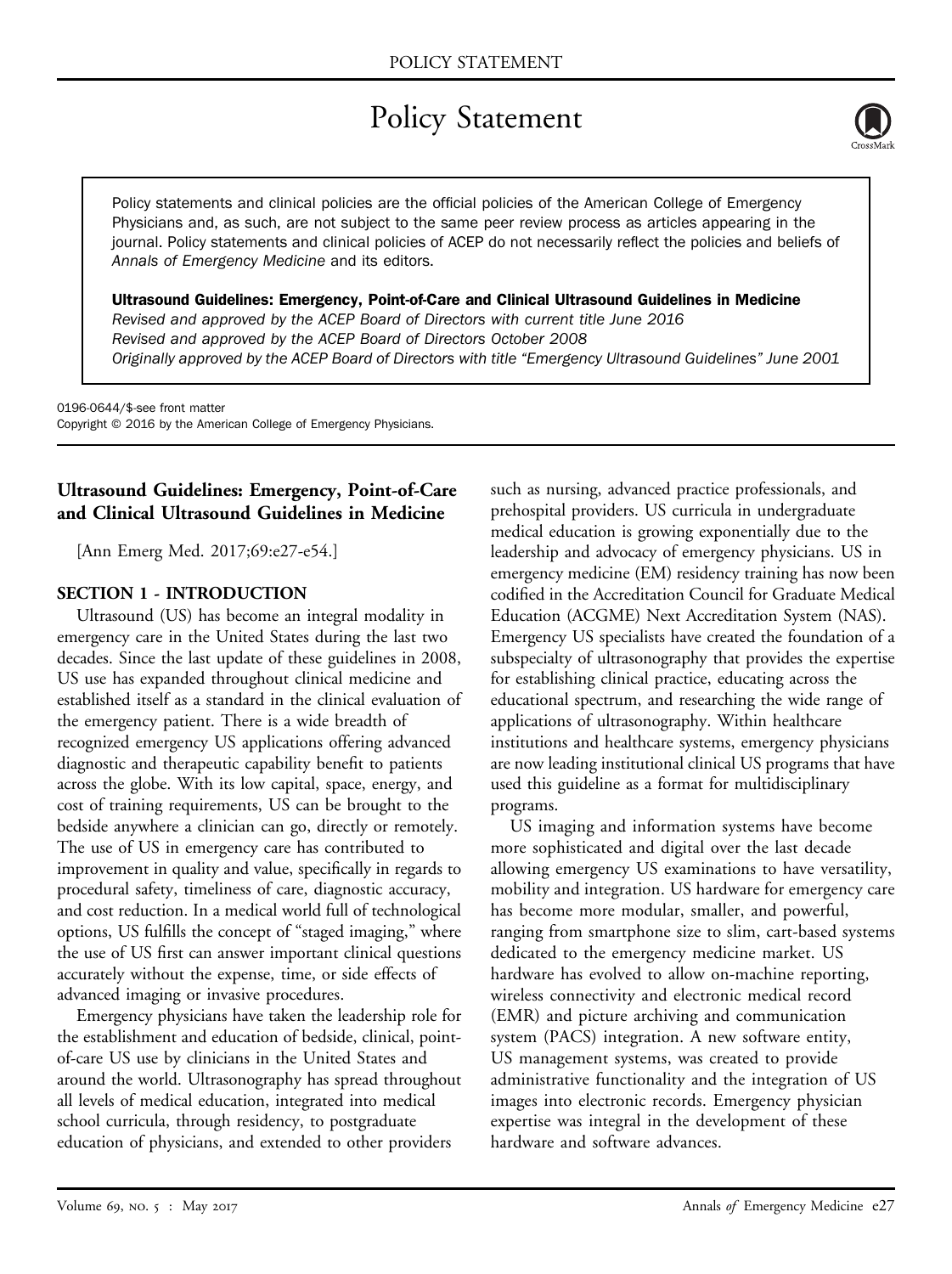# Policy Statement



Policy statements and clinical policies are the official policies of the American College of Emergency Physicians and, as such, are not subject to the same peer review process as articles appearing in the journal. Policy statements and clinical policies of ACEP do not necessarily reflect the policies and beliefs of Annals of Emergency Medicine and its editors.

Ultrasound Guidelines: Emergency, Point-of-Care and Clinical Ultrasound Guidelines in Medicine Revised and approved by the ACEP Board of Directors with current title June 2016 Revised and approved by the ACEP Board of Directors October 2008 Originally approved by the ACEP Board of Directors with title "Emergency Ultrasound Guidelines" June 2001

0196-0644/\$-see front matter Copyright © 2016 by the American College of Emergency Physicians.

# Ultrasound Guidelines: Emergency, Point-of-Care and Clinical Ultrasound Guidelines in Medicine

[Ann Emerg Med. 2017;69:e27-e54.]

#### SECTION 1 - INTRODUCTION

Ultrasound (US) has become an integral modality in emergency care in the United States during the last two decades. Since the last update of these guidelines in 2008, US use has expanded throughout clinical medicine and established itself as a standard in the clinical evaluation of the emergency patient. There is a wide breadth of recognized emergency US applications offering advanced diagnostic and therapeutic capability benefit to patients across the globe. With its low capital, space, energy, and cost of training requirements, US can be brought to the bedside anywhere a clinician can go, directly or remotely. The use of US in emergency care has contributed to improvement in quality and value, specifically in regards to procedural safety, timeliness of care, diagnostic accuracy, and cost reduction. In a medical world full of technological options, US fulfills the concept of "staged imaging," where the use of US first can answer important clinical questions accurately without the expense, time, or side effects of advanced imaging or invasive procedures.

Emergency physicians have taken the leadership role for the establishment and education of bedside, clinical, pointof-care US use by clinicians in the United States and around the world. Ultrasonography has spread throughout all levels of medical education, integrated into medical school curricula, through residency, to postgraduate education of physicians, and extended to other providers

such as nursing, advanced practice professionals, and prehospital providers. US curricula in undergraduate medical education is growing exponentially due to the leadership and advocacy of emergency physicians. US in emergency medicine (EM) residency training has now been codified in the Accreditation Council for Graduate Medical Education (ACGME) Next Accreditation System (NAS). Emergency US specialists have created the foundation of a subspecialty of ultrasonography that provides the expertise for establishing clinical practice, educating across the educational spectrum, and researching the wide range of applications of ultrasonography. Within healthcare institutions and healthcare systems, emergency physicians are now leading institutional clinical US programs that have used this guideline as a format for multidisciplinary programs.

US imaging and information systems have become more sophisticated and digital over the last decade allowing emergency US examinations to have versatility, mobility and integration. US hardware for emergency care has become more modular, smaller, and powerful, ranging from smartphone size to slim, cart-based systems dedicated to the emergency medicine market. US hardware has evolved to allow on-machine reporting, wireless connectivity and electronic medical record (EMR) and picture archiving and communication system (PACS) integration. A new software entity, US management systems, was created to provide administrative functionality and the integration of US images into electronic records. Emergency physician expertise was integral in the development of these hardware and software advances.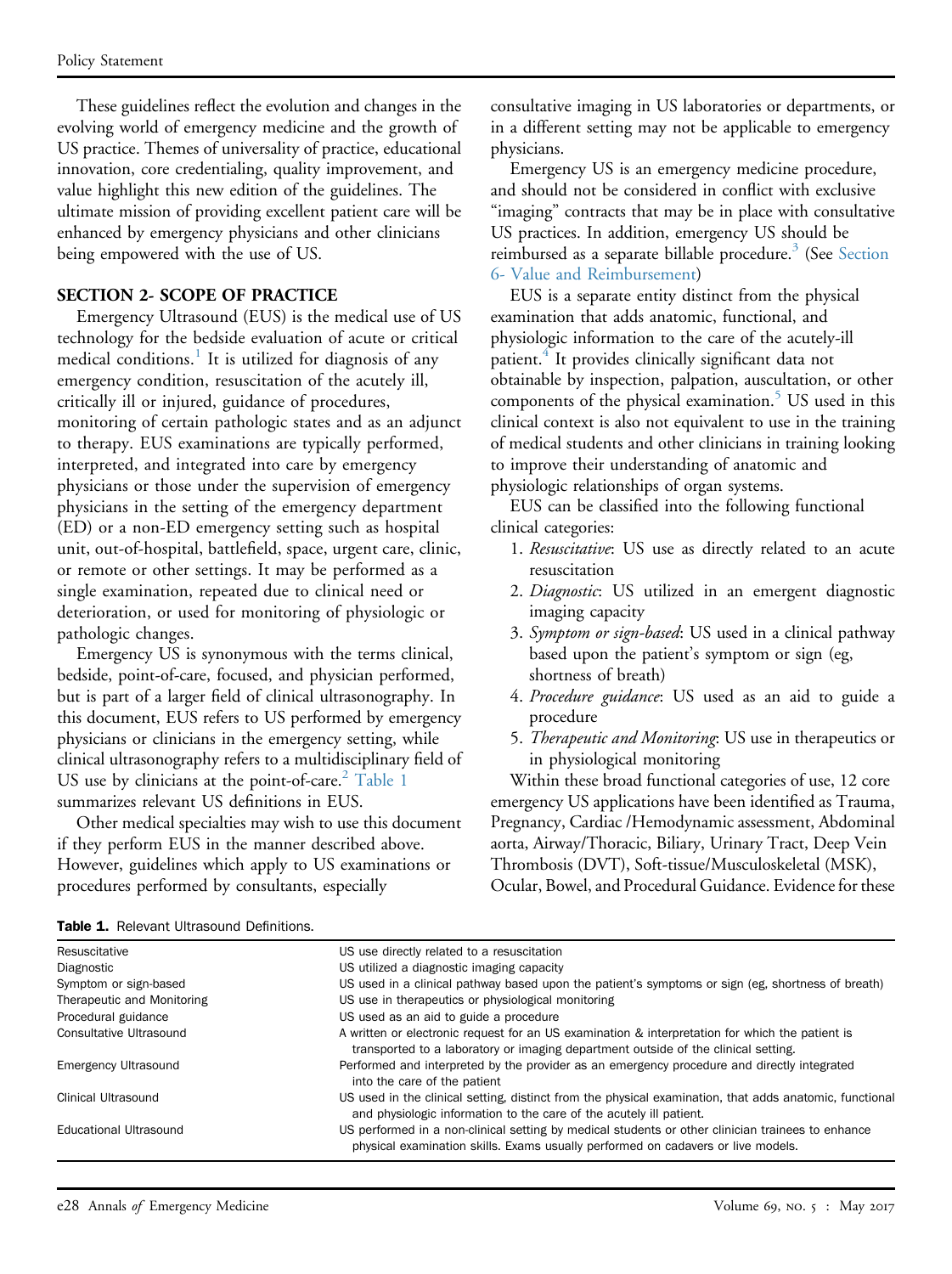These guidelines reflect the evolution and changes in the evolving world of emergency medicine and the growth of US practice. Themes of universality of practice, educational innovation, core credentialing, quality improvement, and value highlight this new edition of the guidelines. The ultimate mission of providing excellent patient care will be enhanced by emergency physicians and other clinicians being empowered with the use of US.

#### <span id="page-1-1"></span>SECTION 2- SCOPE OF PRACTICE

Emergency Ultrasound (EUS) is the medical use of US technology for the bedside evaluation of acute or critical medical conditions.<sup>[1](#page-23-0)</sup> It is utilized for diagnosis of any emergency condition, resuscitation of the acutely ill, critically ill or injured, guidance of procedures, monitoring of certain pathologic states and as an adjunct to therapy. EUS examinations are typically performed, interpreted, and integrated into care by emergency physicians or those under the supervision of emergency physicians in the setting of the emergency department (ED) or a non-ED emergency setting such as hospital unit, out-of-hospital, battlefield, space, urgent care, clinic, or remote or other settings. It may be performed as a single examination, repeated due to clinical need or deterioration, or used for monitoring of physiologic or pathologic changes.

Emergency US is synonymous with the terms clinical, bedside, point-of-care, focused, and physician performed, but is part of a larger field of clinical ultrasonography. In this document, EUS refers to US performed by emergency physicians or clinicians in the emergency setting, while clinical ultrasonography refers to a multidisciplinary field of US use by clinicians at the point-of-care. $2$  [Table 1](#page-1-0) summarizes relevant US definitions in EUS.

Other medical specialties may wish to use this document if they perform EUS in the manner described above. However, guidelines which apply to US examinations or procedures performed by consultants, especially

consultative imaging in US laboratories or departments, or in a different setting may not be applicable to emergency physicians.

Emergency US is an emergency medicine procedure, and should not be considered in conflict with exclusive "imaging" contracts that may be in place with consultative US practices. In addition, emergency US should be reimbursed as a separate billable procedure.<sup>[3](#page-23-2)</sup> (See [Section](#page-11-0) [6- Value and Reimbursement\)](#page-11-0)

EUS is a separate entity distinct from the physical examination that adds anatomic, functional, and physiologic information to the care of the acutely-ill patient.<sup>4</sup> It provides clinically significant data not obtainable by inspection, palpation, auscultation, or other components of the physical examination.<sup>[5](#page-23-4)</sup> US used in this clinical context is also not equivalent to use in the training of medical students and other clinicians in training looking to improve their understanding of anatomic and physiologic relationships of organ systems.

EUS can be classified into the following functional clinical categories:

- 1. Resuscitative: US use as directly related to an acute resuscitation
- 2. Diagnostic: US utilized in an emergent diagnostic imaging capacity
- 3. Symptom or sign-based: US used in a clinical pathway based upon the patient's symptom or sign (eg, shortness of breath)
- 4. Procedure guidance: US used as an aid to guide a procedure
- 5. Therapeutic and Monitoring: US use in therapeutics or in physiological monitoring

Within these broad functional categories of use, 12 core emergency US applications have been identified as Trauma, Pregnancy, Cardiac /Hemodynamic assessment, Abdominal aorta, Airway/Thoracic, Biliary, Urinary Tract, Deep Vein Thrombosis (DVT), Soft-tissue/Musculoskeletal (MSK), Ocular, Bowel, and Procedural Guidance. Evidence for these

| Resuscitative               | US use directly related to a resuscitation                                                                                                                                            |
|-----------------------------|---------------------------------------------------------------------------------------------------------------------------------------------------------------------------------------|
| Diagnostic                  | US utilized a diagnostic imaging capacity                                                                                                                                             |
| Symptom or sign-based       | US used in a clinical pathway based upon the patient's symptoms or sign (eg, shortness of breath)                                                                                     |
| Therapeutic and Monitoring  | US use in therapeutics or physiological monitoring                                                                                                                                    |
| Procedural guidance         | US used as an aid to guide a procedure                                                                                                                                                |
| Consultative Ultrasound     | A written or electronic request for an US examination & interpretation for which the patient is<br>transported to a laboratory or imaging department outside of the clinical setting. |
| <b>Emergency Ultrasound</b> | Performed and interpreted by the provider as an emergency procedure and directly integrated<br>into the care of the patient                                                           |
| Clinical Ultrasound         | US used in the clinical setting, distinct from the physical examination, that adds anatomic, functional<br>and physiologic information to the care of the acutely ill patient.        |
| Educational Ultrasound      | US performed in a non-clinical setting by medical students or other clinician trainees to enhance<br>physical examination skills. Exams usually performed on cadavers or live models. |
|                             |                                                                                                                                                                                       |

<span id="page-1-0"></span>Table 1. Relevant Ultrasound Definitions.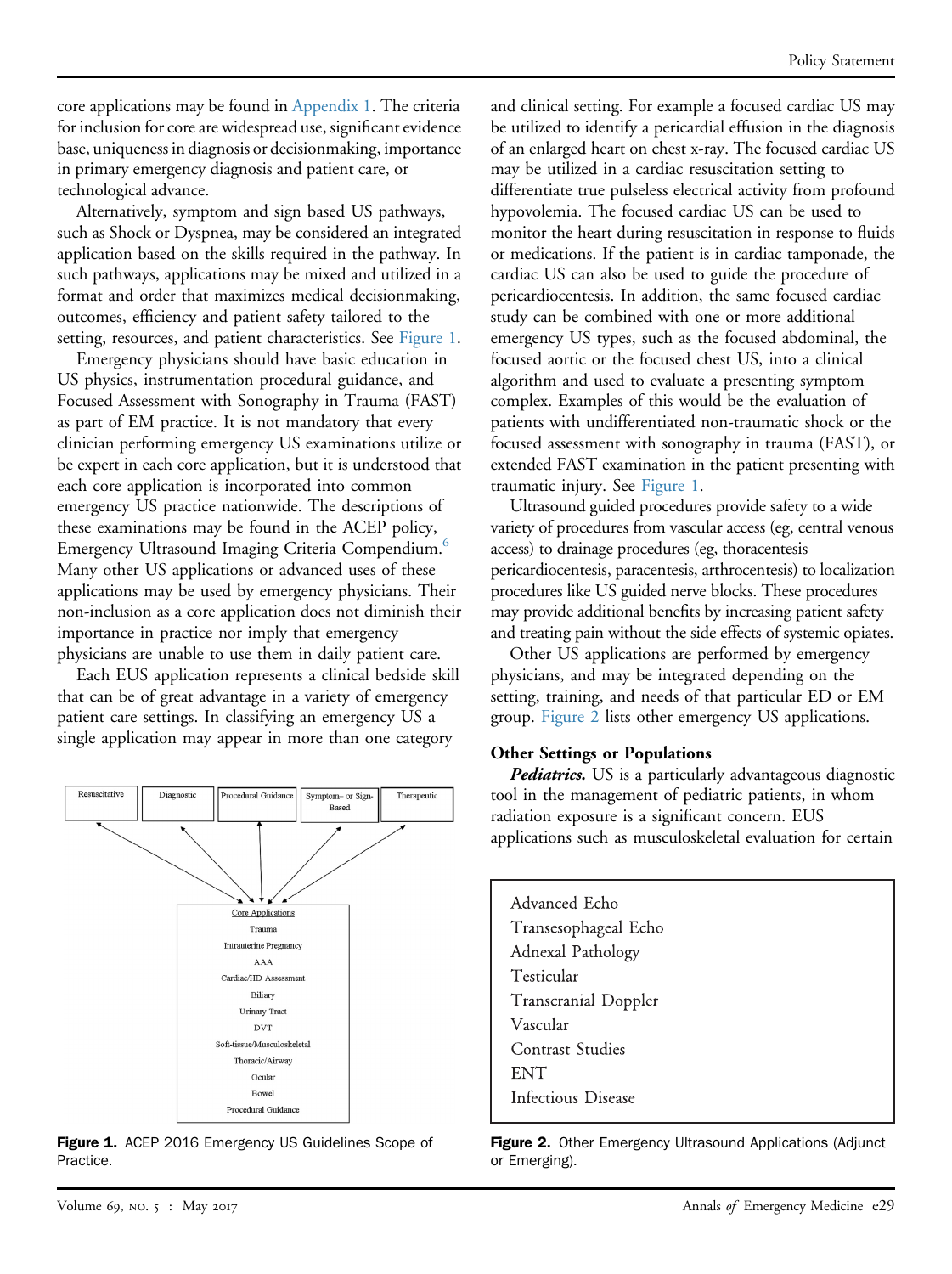core applications may be found in [Appendix 1](#page-14-0). The criteria for inclusion for core are widespread use, significant evidence base, uniqueness in diagnosis or decisionmaking, importance in primary emergency diagnosis and patient care, or technological advance.

Alternatively, symptom and sign based US pathways, such as Shock or Dyspnea, may be considered an integrated application based on the skills required in the pathway. In such pathways, applications may be mixed and utilized in a format and order that maximizes medical decisionmaking, outcomes, efficiency and patient safety tailored to the setting, resources, and patient characteristics. See [Figure 1.](#page-2-0)

Emergency physicians should have basic education in US physics, instrumentation procedural guidance, and Focused Assessment with Sonography in Trauma (FAST) as part of EM practice. It is not mandatory that every clinician performing emergency US examinations utilize or be expert in each core application, but it is understood that each core application is incorporated into common emergency US practice nationwide. The descriptions of these examinations may be found in the ACEP policy, Emergency Ultrasound Imaging Criteria Compendium.<sup>6</sup> Many other US applications or advanced uses of these applications may be used by emergency physicians. Their non-inclusion as a core application does not diminish their importance in practice nor imply that emergency physicians are unable to use them in daily patient care.

Each EUS application represents a clinical bedside skill that can be of great advantage in a variety of emergency patient care settings. In classifying an emergency US a single application may appear in more than one category

<span id="page-2-0"></span>

Figure 1. ACEP 2016 Emergency US Guidelines Scope of Practice.

and clinical setting. For example a focused cardiac US may be utilized to identify a pericardial effusion in the diagnosis of an enlarged heart on chest x-ray. The focused cardiac US may be utilized in a cardiac resuscitation setting to differentiate true pulseless electrical activity from profound hypovolemia. The focused cardiac US can be used to monitor the heart during resuscitation in response to fluids or medications. If the patient is in cardiac tamponade, the cardiac US can also be used to guide the procedure of pericardiocentesis. In addition, the same focused cardiac study can be combined with one or more additional emergency US types, such as the focused abdominal, the focused aortic or the focused chest US, into a clinical algorithm and used to evaluate a presenting symptom complex. Examples of this would be the evaluation of patients with undifferentiated non-traumatic shock or the focused assessment with sonography in trauma (FAST), or extended FAST examination in the patient presenting with traumatic injury. See [Figure 1.](#page-2-0)

Ultrasound guided procedures provide safety to a wide variety of procedures from vascular access (eg, central venous access) to drainage procedures (eg, thoracentesis pericardiocentesis, paracentesis, arthrocentesis) to localization procedures like US guided nerve blocks. These procedures may provide additional benefits by increasing patient safety and treating pain without the side effects of systemic opiates.

Other US applications are performed by emergency physicians, and may be integrated depending on the setting, training, and needs of that particular ED or EM group. [Figure 2](#page-2-1) lists other emergency US applications.

#### Other Settings or Populations

Pediatrics. US is a particularly advantageous diagnostic tool in the management of pediatric patients, in whom radiation exposure is a significant concern. EUS applications such as musculoskeletal evaluation for certain

<span id="page-2-1"></span>Advanced Echo Transesophageal Echo Adnexal Pathology Testicular **Transcranial Doppler** Vascular **Contrast Studies ENT Infectious Disease** 

Figure 2. Other Emergency Ultrasound Applications (Adjunct or Emerging).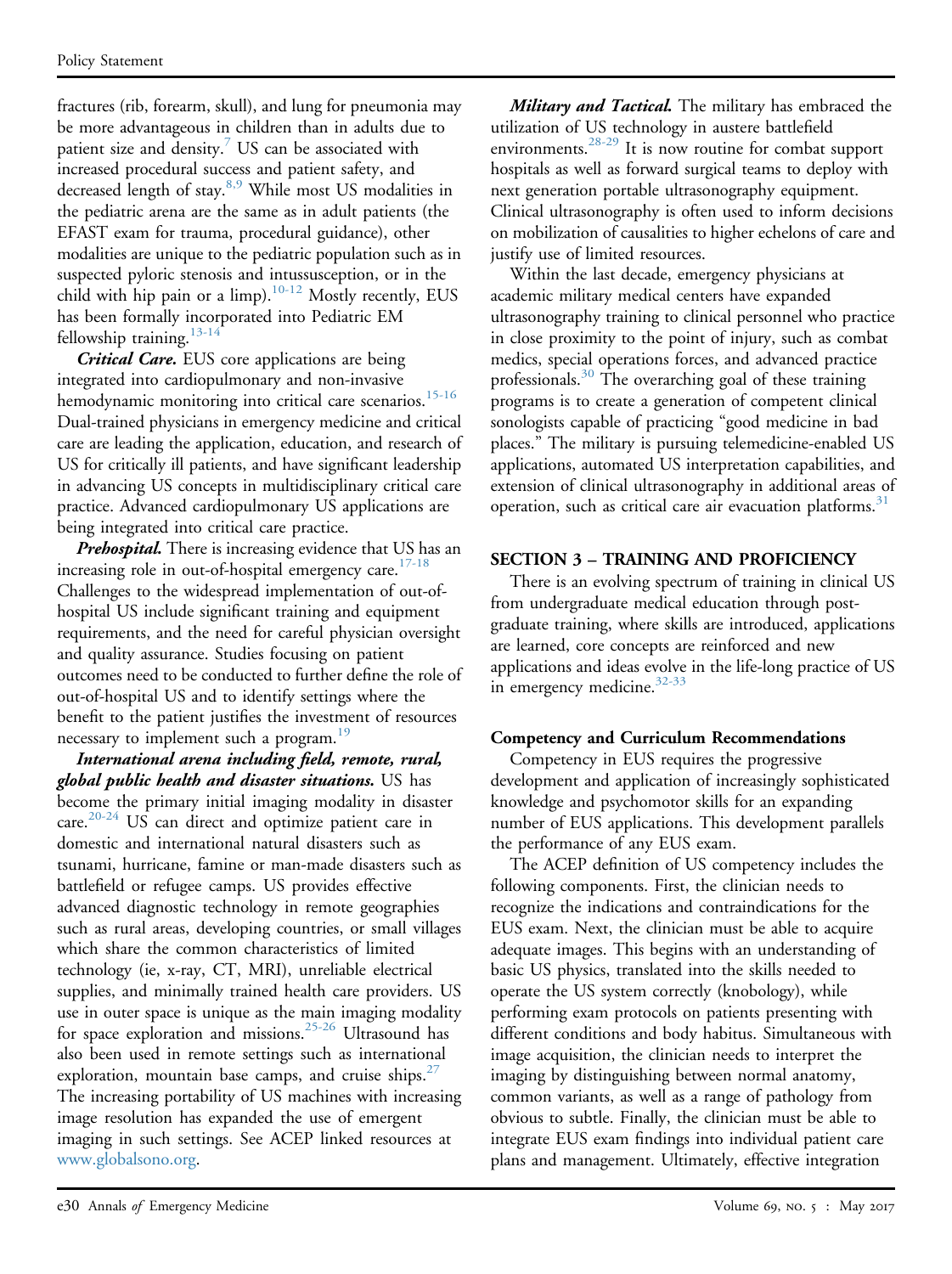fractures (rib, forearm, skull), and lung for pneumonia may be more advantageous in children than in adults due to patient size and density. $\sqrt{S}$  US can be associated with increased procedural success and patient safety, and decreased length of stay.<sup>[8,9](#page-23-7)</sup> While most US modalities in the pediatric arena are the same as in adult patients (the EFAST exam for trauma, procedural guidance), other modalities are unique to the pediatric population such as in suspected pyloric stenosis and intussusception, or in the child with hip pain or a limp).<sup>[10-12](#page-23-8)</sup> Mostly recently, EUS has been formally incorporated into Pediatric EM fellowship training.<sup>[13-14](#page-23-9)</sup>

Critical Care. EUS core applications are being integrated into cardiopulmonary and non-invasive hemodynamic monitoring into critical care scenarios.<sup>[15-16](#page-23-10)</sup> Dual-trained physicians in emergency medicine and critical care are leading the application, education, and research of US for critically ill patients, and have significant leadership in advancing US concepts in multidisciplinary critical care practice. Advanced cardiopulmonary US applications are being integrated into critical care practice.

Prehospital. There is increasing evidence that US has an increasing role in out-of-hospital emergency care.<sup>[17-18](#page-23-11)</sup> Challenges to the widespread implementation of out-ofhospital US include significant training and equipment requirements, and the need for careful physician oversight and quality assurance. Studies focusing on patient outcomes need to be conducted to further define the role of out-of-hospital US and to identify settings where the benefit to the patient justifies the investment of resources necessary to implement such a program.<sup>[19](#page-23-12)</sup>

International arena including field, remote, rural, global public health and disaster situations. US has become the primary initial imaging modality in disaster care.<sup>[20-24](#page-23-13)</sup> US can direct and optimize patient care in domestic and international natural disasters such as tsunami, hurricane, famine or man-made disasters such as battlefield or refugee camps. US provides effective advanced diagnostic technology in remote geographies such as rural areas, developing countries, or small villages which share the common characteristics of limited technology (ie, x-ray, CT, MRI), unreliable electrical supplies, and minimally trained health care providers. US use in outer space is unique as the main imaging modality for space exploration and missions.<sup>[25-26](#page-23-14)</sup> Ultrasound has also been used in remote settings such as international exploration, mountain base camps, and cruise ships. $27$ The increasing portability of US machines with increasing image resolution has expanded the use of emergent imaging in such settings. See ACEP linked resources at [www.globalsono.org](http://www.globalsono.org).

Military and Tactical. The military has embraced the utilization of US technology in austere battlefield environments.<sup>[28-29](#page-23-16)</sup> It is now routine for combat support hospitals as well as forward surgical teams to deploy with next generation portable ultrasonography equipment. Clinical ultrasonography is often used to inform decisions on mobilization of causalities to higher echelons of care and justify use of limited resources.

Within the last decade, emergency physicians at academic military medical centers have expanded ultrasonography training to clinical personnel who practice in close proximity to the point of injury, such as combat medics, special operations forces, and advanced practice professionals.<sup>30</sup> The overarching goal of these training programs is to create a generation of competent clinical sonologists capable of practicing "good medicine in bad places." The military is pursuing telemedicine-enabled US applications, automated US interpretation capabilities, and extension of clinical ultrasonography in additional areas of operation, such as critical care air evacuation platforms.<sup>31</sup>

#### <span id="page-3-0"></span>SECTION 3 – TRAINING AND PROFICIENCY

There is an evolving spectrum of training in clinical US from undergraduate medical education through postgraduate training, where skills are introduced, applications are learned, core concepts are reinforced and new applications and ideas evolve in the life-long practice of US in emergency medicine.<sup>[32-33](#page-23-19)</sup>

#### Competency and Curriculum Recommendations

Competency in EUS requires the progressive development and application of increasingly sophisticated knowledge and psychomotor skills for an expanding number of EUS applications. This development parallels the performance of any EUS exam.

The ACEP definition of US competency includes the following components. First, the clinician needs to recognize the indications and contraindications for the EUS exam. Next, the clinician must be able to acquire adequate images. This begins with an understanding of basic US physics, translated into the skills needed to operate the US system correctly (knobology), while performing exam protocols on patients presenting with different conditions and body habitus. Simultaneous with image acquisition, the clinician needs to interpret the imaging by distinguishing between normal anatomy, common variants, as well as a range of pathology from obvious to subtle. Finally, the clinician must be able to integrate EUS exam findings into individual patient care plans and management. Ultimately, effective integration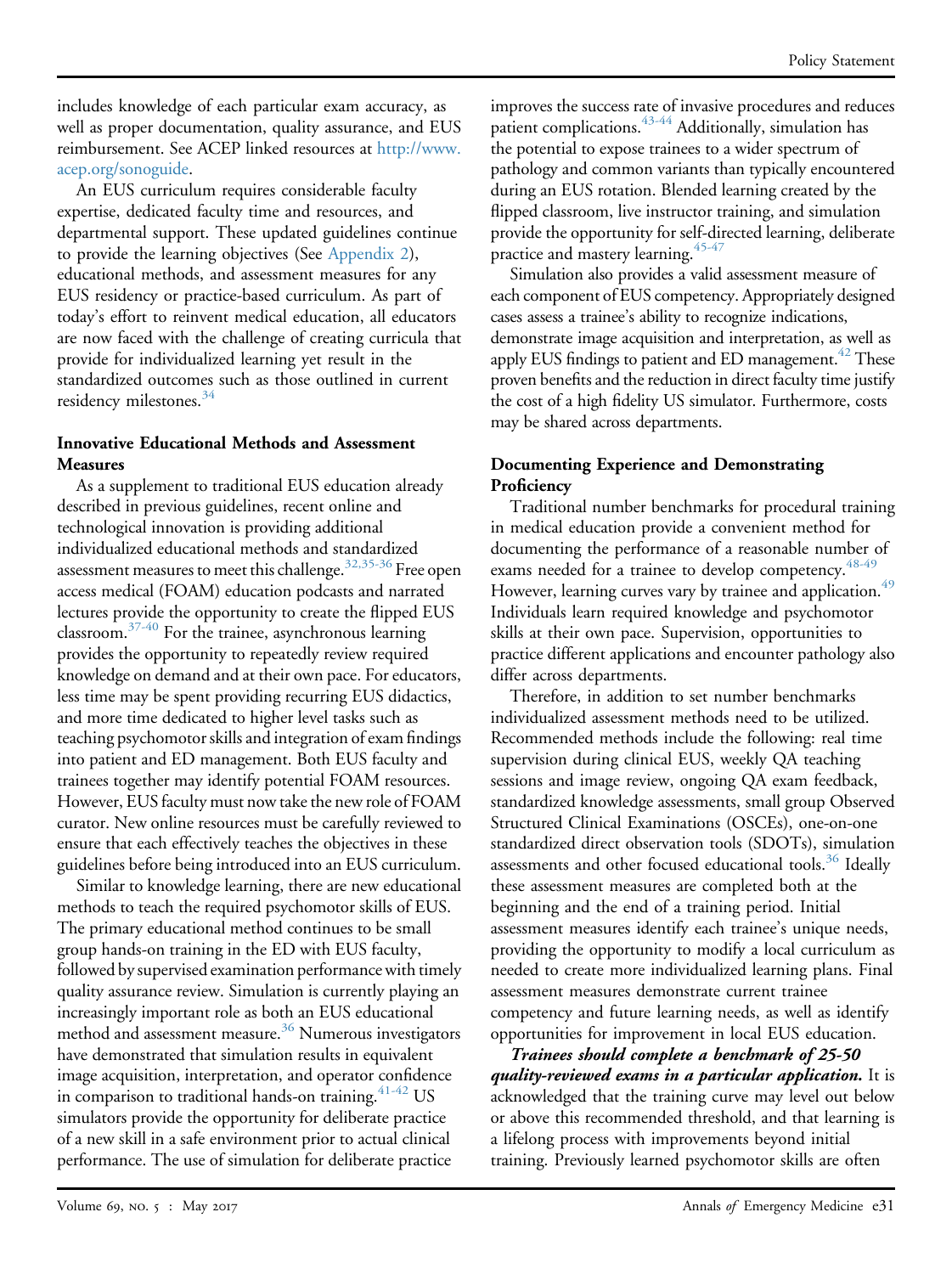includes knowledge of each particular exam accuracy, as well as proper documentation, quality assurance, and EUS reimbursement. See ACEP linked resources at [http://www.](http://www.acep.org/sonoguide) [acep.org/sonoguide.](http://www.acep.org/sonoguide)

An EUS curriculum requires considerable faculty expertise, dedicated faculty time and resources, and departmental support. These updated guidelines continue to provide the learning objectives (See [Appendix 2](#page-17-0)), educational methods, and assessment measures for any EUS residency or practice-based curriculum. As part of today's effort to reinvent medical education, all educators are now faced with the challenge of creating curricula that provide for individualized learning yet result in the standardized outcomes such as those outlined in current residency milestones.<sup>[34](#page-23-20)</sup>

#### Innovative Educational Methods and Assessment Measures

As a supplement to traditional EUS education already described in previous guidelines, recent online and technological innovation is providing additional individualized educational methods and standardized assessment measures to meet this challenge.<sup>[32,35-36](#page-23-19)</sup> Free open access medical (FOAM) education podcasts and narrated lectures provide the opportunity to create the flipped EUS classroom.[37-40](#page-24-0) For the trainee, asynchronous learning provides the opportunity to repeatedly review required knowledge on demand and at their own pace. For educators, less time may be spent providing recurring EUS didactics, and more time dedicated to higher level tasks such as teaching psychomotor skills and integration of exam findings into patient and ED management. Both EUS faculty and trainees together may identify potential FOAM resources. However, EUS faculty must now take the new role of FOAM curator. New online resources must be carefully reviewed to ensure that each effectively teaches the objectives in these guidelines before being introduced into an EUS curriculum.

Similar to knowledge learning, there are new educational methods to teach the required psychomotor skills of EUS. The primary educational method continues to be small group hands-on training in the ED with EUS faculty, followed by supervised examination performance with timely quality assurance review. Simulation is currently playing an increasingly important role as both an EUS educational method and assessment measure.<sup>[36](#page-24-1)</sup> Numerous investigators have demonstrated that simulation results in equivalent image acquisition, interpretation, and operator confidence in comparison to traditional hands-on training. $41-42$  US simulators provide the opportunity for deliberate practice of a new skill in a safe environment prior to actual clinical performance. The use of simulation for deliberate practice

improves the success rate of invasive procedures and reduces patient complications.<sup>43-44</sup> Additionally, simulation has the potential to expose trainees to a wider spectrum of pathology and common variants than typically encountered during an EUS rotation. Blended learning created by the flipped classroom, live instructor training, and simulation provide the opportunity for self-directed learning, deliberate practice and mastery learning.<sup>[45-47](#page-24-4)</sup>

Simulation also provides a valid assessment measure of each component of EUS competency. Appropriately designed cases assess a trainee's ability to recognize indications, demonstrate image acquisition and interpretation, as well as apply EUS findings to patient and ED management.<sup> $42$ </sup> These proven benefits and the reduction in direct faculty time justify the cost of a high fidelity US simulator. Furthermore, costs may be shared across departments.

## Documenting Experience and Demonstrating **Proficiency**

Traditional number benchmarks for procedural training in medical education provide a convenient method for documenting the performance of a reasonable number of exams needed for a trainee to develop competency.<sup>[48-49](#page-24-6)</sup> However, learning curves vary by trainee and application.<sup>[49](#page-24-7)</sup> Individuals learn required knowledge and psychomotor skills at their own pace. Supervision, opportunities to practice different applications and encounter pathology also differ across departments.

Therefore, in addition to set number benchmarks individualized assessment methods need to be utilized. Recommended methods include the following: real time supervision during clinical EUS, weekly QA teaching sessions and image review, ongoing QA exam feedback, standardized knowledge assessments, small group Observed Structured Clinical Examinations (OSCEs), one-on-one standardized direct observation tools (SDOTs), simulation assessments and other focused educational tools.<sup>[36](#page-24-1)</sup> Ideally these assessment measures are completed both at the beginning and the end of a training period. Initial assessment measures identify each trainee's unique needs, providing the opportunity to modify a local curriculum as needed to create more individualized learning plans. Final assessment measures demonstrate current trainee competency and future learning needs, as well as identify opportunities for improvement in local EUS education.

Trainees should complete a benchmark of 25-50 quality-reviewed exams in a particular application. It is acknowledged that the training curve may level out below or above this recommended threshold, and that learning is a lifelong process with improvements beyond initial training. Previously learned psychomotor skills are often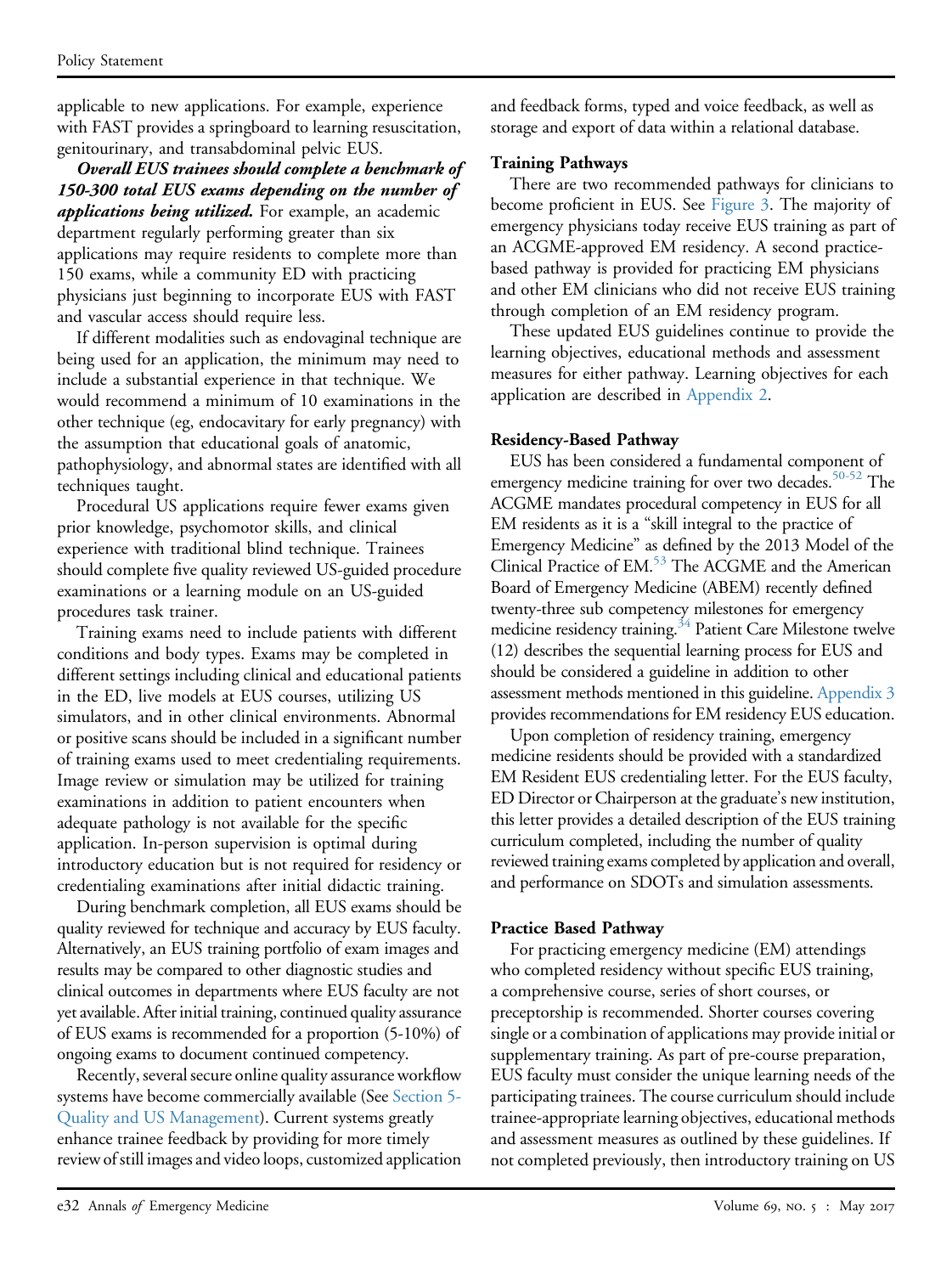applicable to new applications. For example, experience with FAST provides a springboard to learning resuscitation, genitourinary, and transabdominal pelvic EUS.

Overall EUS trainees should complete a benchmark of 150-300 total EUS exams depending on the number of applications being utilized. For example, an academic department regularly performing greater than six applications may require residents to complete more than 150 exams, while a community ED with practicing physicians just beginning to incorporate EUS with FAST and vascular access should require less.

If different modalities such as endovaginal technique are being used for an application, the minimum may need to include a substantial experience in that technique. We would recommend a minimum of 10 examinations in the other technique (eg, endocavitary for early pregnancy) with the assumption that educational goals of anatomic, pathophysiology, and abnormal states are identified with all techniques taught.

Procedural US applications require fewer exams given prior knowledge, psychomotor skills, and clinical experience with traditional blind technique. Trainees should complete five quality reviewed US-guided procedure examinations or a learning module on an US-guided procedures task trainer.

Training exams need to include patients with different conditions and body types. Exams may be completed in different settings including clinical and educational patients in the ED, live models at EUS courses, utilizing US simulators, and in other clinical environments. Abnormal or positive scans should be included in a significant number of training exams used to meet credentialing requirements. Image review or simulation may be utilized for training examinations in addition to patient encounters when adequate pathology is not available for the specific application. In-person supervision is optimal during introductory education but is not required for residency or credentialing examinations after initial didactic training.

During benchmark completion, all EUS exams should be quality reviewed for technique and accuracy by EUS faculty. Alternatively, an EUS training portfolio of exam images and results may be compared to other diagnostic studies and clinical outcomes in departments where EUS faculty are not yet available. After initial training, continued quality assurance of EUS exams is recommended for a proportion (5-10%) of ongoing exams to document continued competency.

Recently, several secure online quality assurance workflow systems have become commercially available (See [Section 5-](#page-9-0) [Quality and US Management](#page-9-0)). Current systems greatly enhance trainee feedback by providing for more timely review of still images and video loops, customized application and feedback forms, typed and voice feedback, as well as storage and export of data within a relational database.

#### Training Pathways

There are two recommended pathways for clinicians to become proficient in EUS. See [Figure 3.](#page-6-0) The majority of emergency physicians today receive EUS training as part of an ACGME-approved EM residency. A second practicebased pathway is provided for practicing EM physicians and other EM clinicians who did not receive EUS training through completion of an EM residency program.

These updated EUS guidelines continue to provide the learning objectives, educational methods and assessment measures for either pathway. Learning objectives for each application are described in [Appendix 2.](#page-17-0)

#### Residency-Based Pathway

EUS has been considered a fundamental component of emergency medicine training for over two decades.<sup>50-52</sup> The ACGME mandates procedural competency in EUS for all EM residents as it is a "skill integral to the practice of Emergency Medicine" as defined by the 2013 Model of the Clinical Practice of EM.<sup>53</sup> The ACGME and the American Board of Emergency Medicine (ABEM) recently defined twenty-three sub competency milestones for emergency medicine residency training.<sup>[34](#page-23-20)</sup> Patient Care Milestone twelve (12) describes the sequential learning process for EUS and should be considered a guideline in addition to other assessment methods mentioned in this guideline. [Appendix 3](#page-19-0) provides recommendations for EM residency EUS education.

Upon completion of residency training, emergency medicine residents should be provided with a standardized EM Resident EUS credentialing letter. For the EUS faculty, ED Director or Chairperson at the graduate's new institution, this letter provides a detailed description of the EUS training curriculum completed, including the number of quality reviewed training exams completed by application and overall, and performance on SDOTs and simulation assessments.

#### Practice Based Pathway

For practicing emergency medicine (EM) attendings who completed residency without specific EUS training, a comprehensive course, series of short courses, or preceptorship is recommended. Shorter courses covering single or a combination of applications may provide initial or supplementary training. As part of pre-course preparation, EUS faculty must consider the unique learning needs of the participating trainees. The course curriculum should include trainee-appropriate learning objectives, educational methods and assessment measures as outlined by these guidelines. If not completed previously, then introductory training on US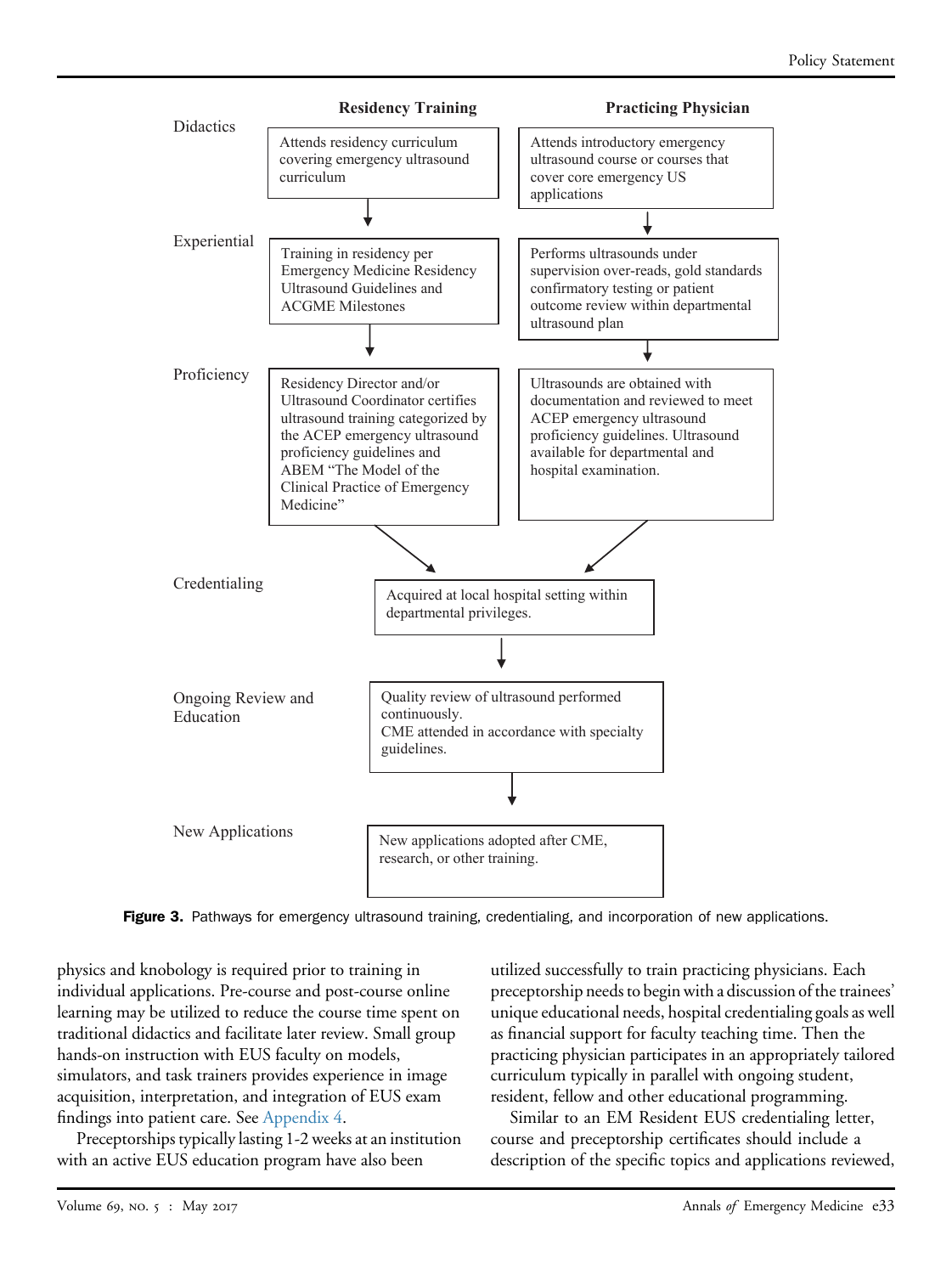<span id="page-6-0"></span>

Figure 3. Pathways for emergency ultrasound training, credentialing, and incorporation of new applications.

physics and knobology is required prior to training in individual applications. Pre-course and post-course online learning may be utilized to reduce the course time spent on traditional didactics and facilitate later review. Small group hands-on instruction with EUS faculty on models, simulators, and task trainers provides experience in image acquisition, interpretation, and integration of EUS exam findings into patient care. See [Appendix 4](#page-20-0).

Preceptorships typically lasting 1-2 weeks at an institution with an active EUS education program have also been

utilized successfully to train practicing physicians. Each preceptorship needs to begin with a discussion of the trainees' unique educational needs, hospital credentialing goals as well as financial support for faculty teaching time. Then the practicing physician participates in an appropriately tailored curriculum typically in parallel with ongoing student, resident, fellow and other educational programming.

Similar to an EM Resident EUS credentialing letter, course and preceptorship certificates should include a description of the specific topics and applications reviewed,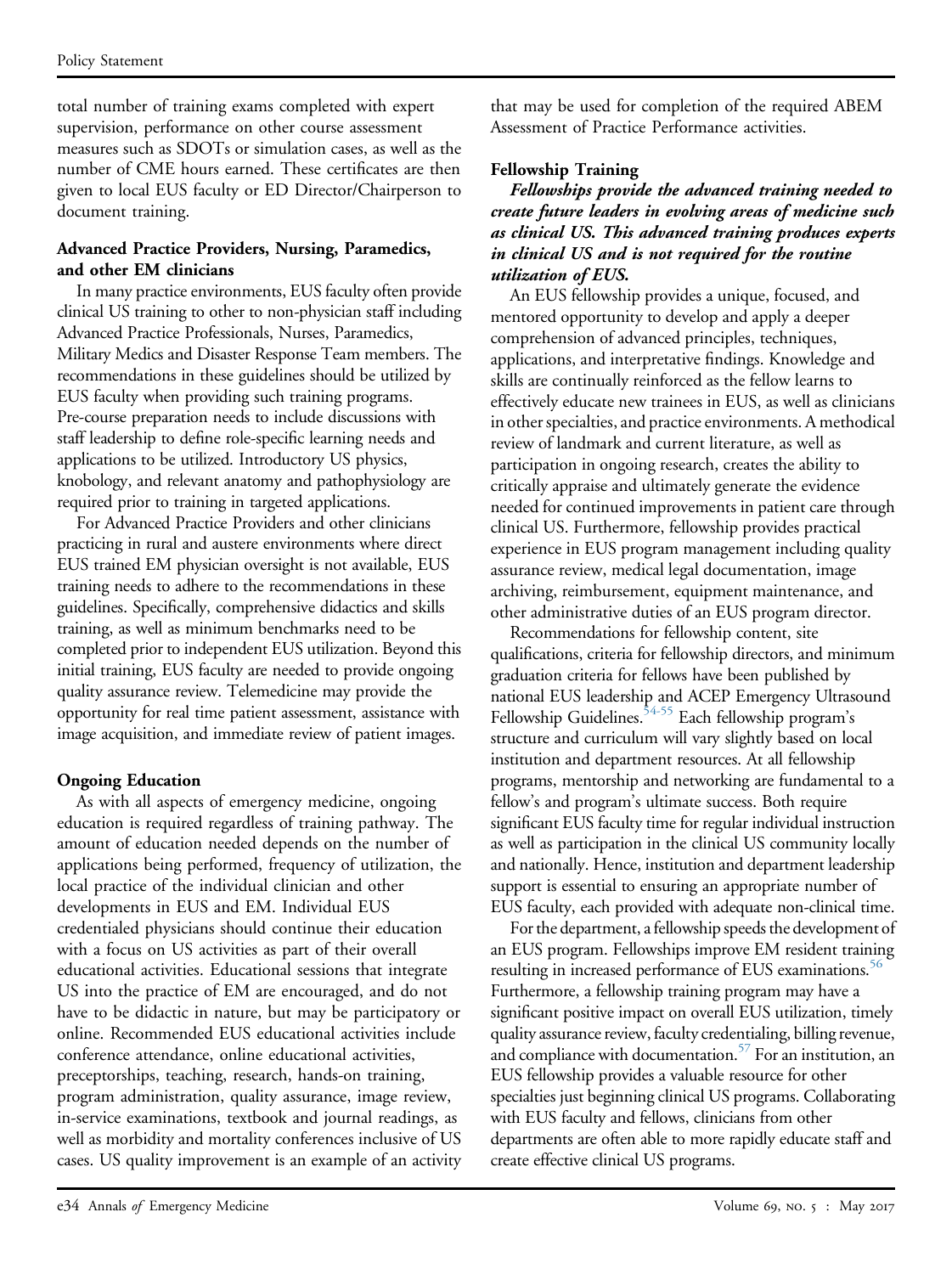total number of training exams completed with expert supervision, performance on other course assessment measures such as SDOTs or simulation cases, as well as the number of CME hours earned. These certificates are then given to local EUS faculty or ED Director/Chairperson to document training.

# Advanced Practice Providers, Nursing, Paramedics, and other EM clinicians

In many practice environments, EUS faculty often provide clinical US training to other to non-physician staff including Advanced Practice Professionals, Nurses, Paramedics, Military Medics and Disaster Response Team members. The recommendations in these guidelines should be utilized by EUS faculty when providing such training programs. Pre-course preparation needs to include discussions with staff leadership to define role-specific learning needs and applications to be utilized. Introductory US physics, knobology, and relevant anatomy and pathophysiology are required prior to training in targeted applications.

For Advanced Practice Providers and other clinicians practicing in rural and austere environments where direct EUS trained EM physician oversight is not available, EUS training needs to adhere to the recommendations in these guidelines. Specifically, comprehensive didactics and skills training, as well as minimum benchmarks need to be completed prior to independent EUS utilization. Beyond this initial training, EUS faculty are needed to provide ongoing quality assurance review. Telemedicine may provide the opportunity for real time patient assessment, assistance with image acquisition, and immediate review of patient images.

# Ongoing Education

As with all aspects of emergency medicine, ongoing education is required regardless of training pathway. The amount of education needed depends on the number of applications being performed, frequency of utilization, the local practice of the individual clinician and other developments in EUS and EM. Individual EUS credentialed physicians should continue their education with a focus on US activities as part of their overall educational activities. Educational sessions that integrate US into the practice of EM are encouraged, and do not have to be didactic in nature, but may be participatory or online. Recommended EUS educational activities include conference attendance, online educational activities, preceptorships, teaching, research, hands-on training, program administration, quality assurance, image review, in-service examinations, textbook and journal readings, as well as morbidity and mortality conferences inclusive of US cases. US quality improvement is an example of an activity

that may be used for completion of the required ABEM Assessment of Practice Performance activities.

# Fellowship Training

Fellowships provide the advanced training needed to create future leaders in evolving areas of medicine such as clinical US. This advanced training produces experts in clinical US and is not required for the routine utilization of EUS.

An EUS fellowship provides a unique, focused, and mentored opportunity to develop and apply a deeper comprehension of advanced principles, techniques, applications, and interpretative findings. Knowledge and skills are continually reinforced as the fellow learns to effectively educate new trainees in EUS, as well as clinicians in other specialties, and practice environments. A methodical review of landmark and current literature, as well as participation in ongoing research, creates the ability to critically appraise and ultimately generate the evidence needed for continued improvements in patient care through clinical US. Furthermore, fellowship provides practical experience in EUS program management including quality assurance review, medical legal documentation, image archiving, reimbursement, equipment maintenance, and other administrative duties of an EUS program director.

Recommendations for fellowship content, site qualifications, criteria for fellowship directors, and minimum graduation criteria for fellows have been published by national EUS leadership and ACEP Emergency Ultrasound Fellowship Guidelines.<sup>54-55</sup> Each fellowship program's structure and curriculum will vary slightly based on local institution and department resources. At all fellowship programs, mentorship and networking are fundamental to a fellow's and program's ultimate success. Both require significant EUS faculty time for regular individual instruction as well as participation in the clinical US community locally and nationally. Hence, institution and department leadership support is essential to ensuring an appropriate number of EUS faculty, each provided with adequate non-clinical time.

For the department, a fellowship speeds the development of an EUS program. Fellowships improve EM resident training resulting in increased performance of EUS examinations.<sup>[56](#page-24-11)</sup> Furthermore, a fellowship training program may have a significant positive impact on overall EUS utilization, timely quality assurance review, faculty credentialing, billing revenue, and compliance with documentation.<sup>[57](#page-24-12)</sup> For an institution, an EUS fellowship provides a valuable resource for other specialties just beginning clinical US programs. Collaborating with EUS faculty and fellows, clinicians from other departments are often able to more rapidly educate staff and create effective clinical US programs.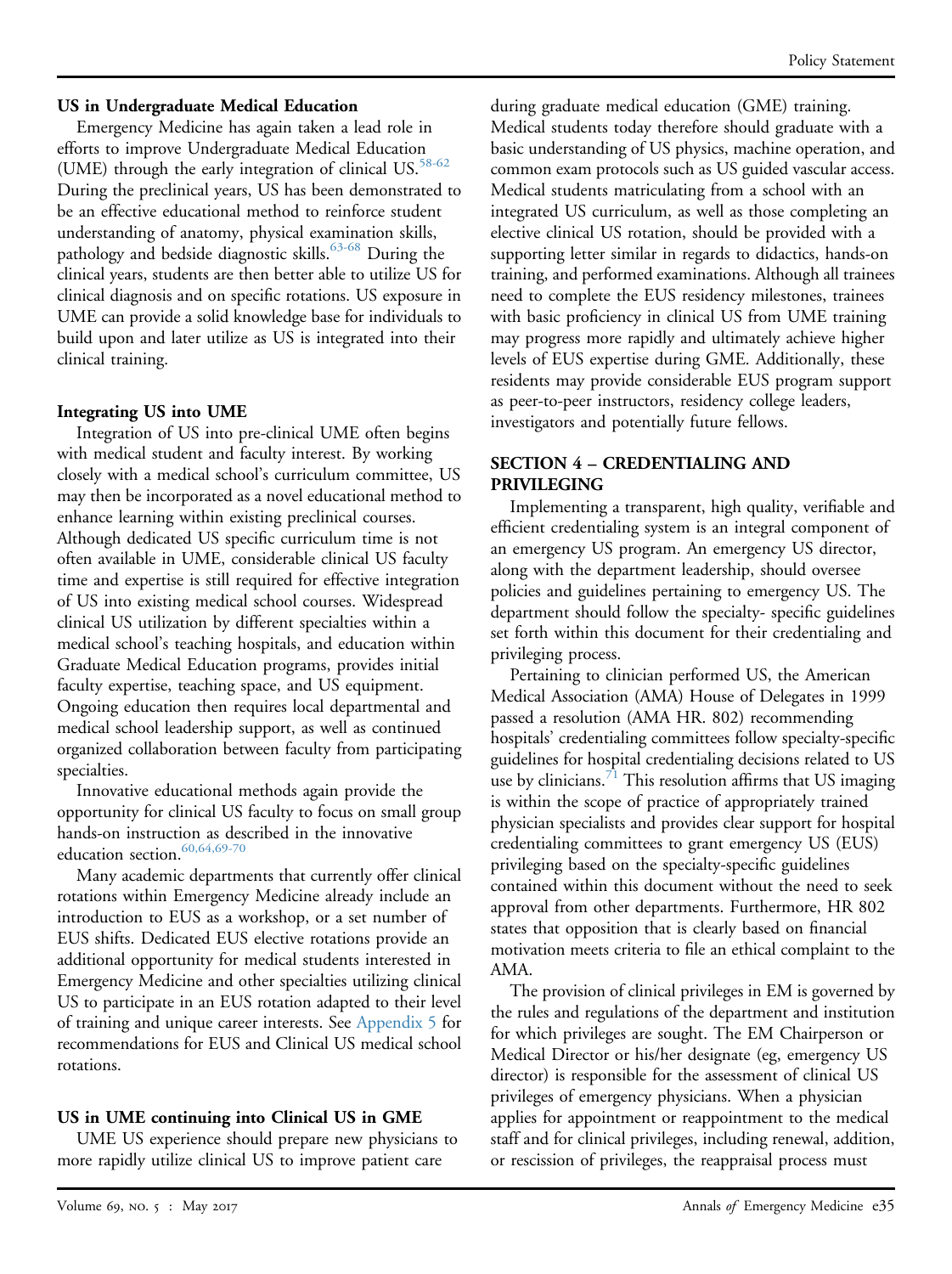#### US in Undergraduate Medical Education

Emergency Medicine has again taken a lead role in efforts to improve Undergraduate Medical Education (UME) through the early integration of clinical US.<sup>58-62</sup> During the preclinical years, US has been demonstrated to be an effective educational method to reinforce student understanding of anatomy, physical examination skills, pathology and bedside diagnostic skills.<sup>[63-68](#page-24-14)</sup> During the clinical years, students are then better able to utilize US for clinical diagnosis and on specific rotations. US exposure in UME can provide a solid knowledge base for individuals to build upon and later utilize as US is integrated into their clinical training.

# Integrating US into UME

Integration of US into pre-clinical UME often begins with medical student and faculty interest. By working closely with a medical school's curriculum committee, US may then be incorporated as a novel educational method to enhance learning within existing preclinical courses. Although dedicated US specific curriculum time is not often available in UME, considerable clinical US faculty time and expertise is still required for effective integration of US into existing medical school courses. Widespread clinical US utilization by different specialties within a medical school's teaching hospitals, and education within Graduate Medical Education programs, provides initial faculty expertise, teaching space, and US equipment. Ongoing education then requires local departmental and medical school leadership support, as well as continued organized collaboration between faculty from participating specialties.

Innovative educational methods again provide the opportunity for clinical US faculty to focus on small group hands-on instruction as described in the innovative education section.<sup>[60,64,69-70](#page-24-15)</sup>

Many academic departments that currently offer clinical rotations within Emergency Medicine already include an introduction to EUS as a workshop, or a set number of EUS shifts. Dedicated EUS elective rotations provide an additional opportunity for medical students interested in Emergency Medicine and other specialties utilizing clinical US to participate in an EUS rotation adapted to their level of training and unique career interests. See [Appendix 5](#page-21-0) for recommendations for EUS and Clinical US medical school rotations.

# US in UME continuing into Clinical US in GME

UME US experience should prepare new physicians to more rapidly utilize clinical US to improve patient care

during graduate medical education (GME) training. Medical students today therefore should graduate with a basic understanding of US physics, machine operation, and common exam protocols such as US guided vascular access. Medical students matriculating from a school with an integrated US curriculum, as well as those completing an elective clinical US rotation, should be provided with a supporting letter similar in regards to didactics, hands-on training, and performed examinations. Although all trainees need to complete the EUS residency milestones, trainees with basic proficiency in clinical US from UME training may progress more rapidly and ultimately achieve higher levels of EUS expertise during GME. Additionally, these residents may provide considerable EUS program support as peer-to-peer instructors, residency college leaders, investigators and potentially future fellows.

# <span id="page-8-0"></span>SECTION 4 – CREDENTIALING AND **PRIVILEGING**

Implementing a transparent, high quality, verifiable and efficient credentialing system is an integral component of an emergency US program. An emergency US director, along with the department leadership, should oversee policies and guidelines pertaining to emergency US. The department should follow the specialty- specific guidelines set forth within this document for their credentialing and privileging process.

Pertaining to clinician performed US, the American Medical Association (AMA) House of Delegates in 1999 passed a resolution (AMA HR. 802) recommending hospitals' credentialing committees follow specialty-specific guidelines for hospital credentialing decisions related to US use by clinicians. $11$  This resolution affirms that US imaging is within the scope of practice of appropriately trained physician specialists and provides clear support for hospital credentialing committees to grant emergency US (EUS) privileging based on the specialty-specific guidelines contained within this document without the need to seek approval from other departments. Furthermore, HR 802 states that opposition that is clearly based on financial motivation meets criteria to file an ethical complaint to the AMA.

The provision of clinical privileges in EM is governed by the rules and regulations of the department and institution for which privileges are sought. The EM Chairperson or Medical Director or his/her designate (eg, emergency US director) is responsible for the assessment of clinical US privileges of emergency physicians. When a physician applies for appointment or reappointment to the medical staff and for clinical privileges, including renewal, addition, or rescission of privileges, the reappraisal process must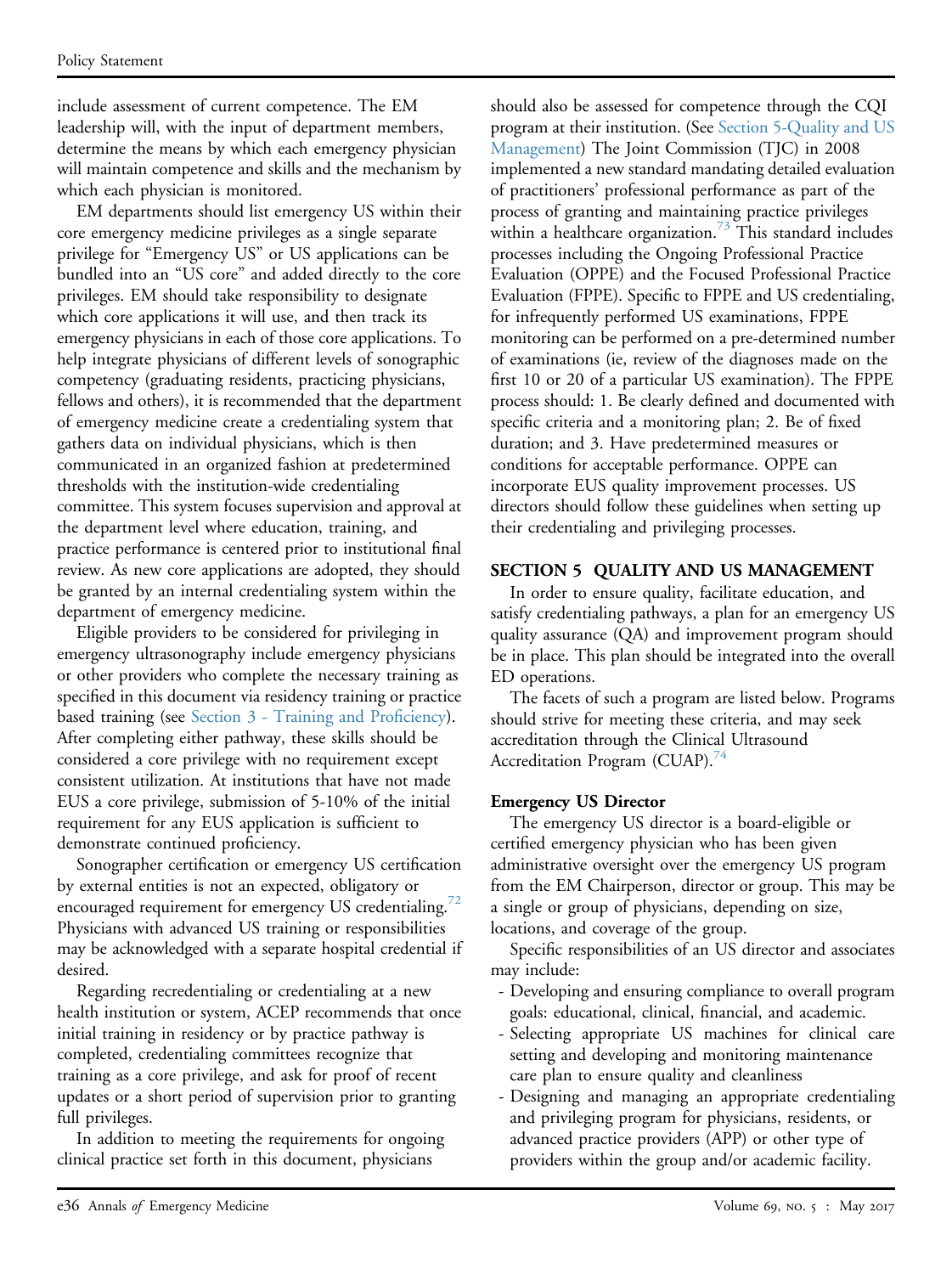include assessment of current competence. The EM leadership will, with the input of department members, determine the means by which each emergency physician will maintain competence and skills and the mechanism by which each physician is monitored.

EM departments should list emergency US within their core emergency medicine privileges as a single separate privilege for "Emergency US" or US applications can be bundled into an "US core" and added directly to the core privileges. EM should take responsibility to designate which core applications it will use, and then track its emergency physicians in each of those core applications. To help integrate physicians of different levels of sonographic competency (graduating residents, practicing physicians, fellows and others), it is recommended that the department of emergency medicine create a credentialing system that gathers data on individual physicians, which is then communicated in an organized fashion at predetermined thresholds with the institution-wide credentialing committee. This system focuses supervision and approval at the department level where education, training, and practice performance is centered prior to institutional final review. As new core applications are adopted, they should be granted by an internal credentialing system within the department of emergency medicine.

Eligible providers to be considered for privileging in emergency ultrasonography include emergency physicians or other providers who complete the necessary training as specified in this document via residency training or practice based training (see [Section 3 - Training and Pro](#page-3-0)ficiency). After completing either pathway, these skills should be considered a core privilege with no requirement except consistent utilization. At institutions that have not made EUS a core privilege, submission of 5-10% of the initial requirement for any EUS application is sufficient to demonstrate continued proficiency.

Sonographer certification or emergency US certification by external entities is not an expected, obligatory or encouraged requirement for emergency US credentialing.<sup>72</sup> Physicians with advanced US training or responsibilities may be acknowledged with a separate hospital credential if desired.

Regarding recredentialing or credentialing at a new health institution or system, ACEP recommends that once initial training in residency or by practice pathway is completed, credentialing committees recognize that training as a core privilege, and ask for proof of recent updates or a short period of supervision prior to granting full privileges.

In addition to meeting the requirements for ongoing clinical practice set forth in this document, physicians

should also be assessed for competence through the CQI program at their institution. (See [Section 5-Quality and US](#page-9-0) [Management\)](#page-9-0) The Joint Commission (TJC) in 2008 implemented a new standard mandating detailed evaluation of practitioners' professional performance as part of the process of granting and maintaining practice privileges within a healthcare organization.<sup>[73](#page-24-18)</sup> This standard includes processes including the Ongoing Professional Practice Evaluation (OPPE) and the Focused Professional Practice Evaluation (FPPE). Specific to FPPE and US credentialing, for infrequently performed US examinations, FPPE monitoring can be performed on a pre-determined number of examinations (ie, review of the diagnoses made on the first 10 or 20 of a particular US examination). The FPPE process should: 1. Be clearly defined and documented with specific criteria and a monitoring plan; 2. Be of fixed duration; and 3. Have predetermined measures or conditions for acceptable performance. OPPE can incorporate EUS quality improvement processes. US directors should follow these guidelines when setting up their credentialing and privileging processes.

#### <span id="page-9-0"></span>SECTION 5 QUALITY AND US MANAGEMENT

In order to ensure quality, facilitate education, and satisfy credentialing pathways, a plan for an emergency US quality assurance (QA) and improvement program should be in place. This plan should be integrated into the overall ED operations.

The facets of such a program are listed below. Programs should strive for meeting these criteria, and may seek accreditation through the Clinical Ultrasound Accreditation Program (CUAP).<sup>[74](#page-24-19)</sup>

#### Emergency US Director

The emergency US director is a board-eligible or certified emergency physician who has been given administrative oversight over the emergency US program from the EM Chairperson, director or group. This may be a single or group of physicians, depending on size, locations, and coverage of the group.

Specific responsibilities of an US director and associates may include:

- Developing and ensuring compliance to overall program goals: educational, clinical, financial, and academic.
- Selecting appropriate US machines for clinical care setting and developing and monitoring maintenance care plan to ensure quality and cleanliness
- Designing and managing an appropriate credentialing and privileging program for physicians, residents, or advanced practice providers (APP) or other type of providers within the group and/or academic facility.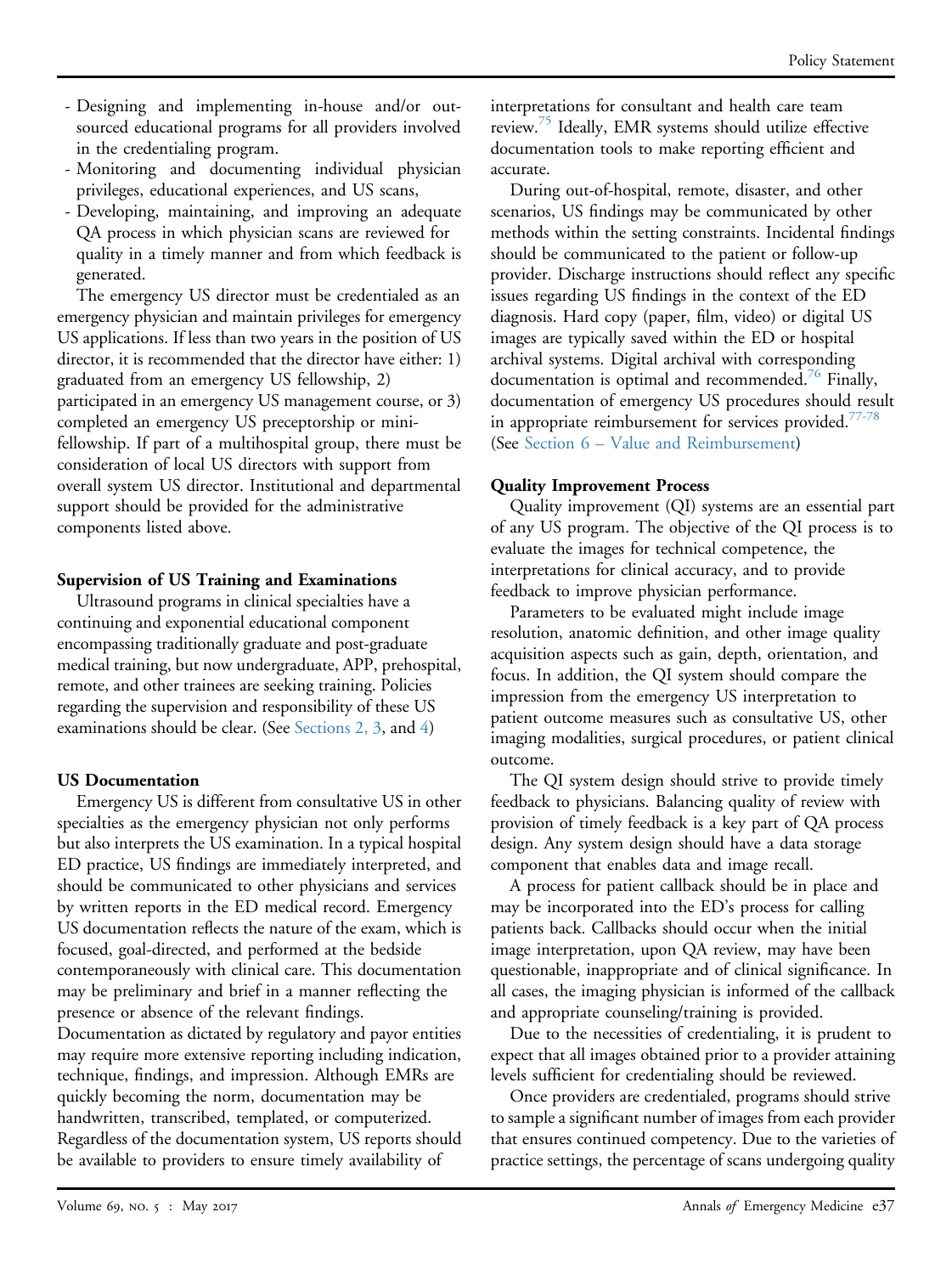- Designing and implementing in-house and/or outsourced educational programs for all providers involved in the credentialing program.
- Monitoring and documenting individual physician privileges, educational experiences, and US scans,
- Developing, maintaining, and improving an adequate QA process in which physician scans are reviewed for quality in a timely manner and from which feedback is generated.

The emergency US director must be credentialed as an emergency physician and maintain privileges for emergency US applications. If less than two years in the position of US director, it is recommended that the director have either: 1) graduated from an emergency US fellowship, 2) participated in an emergency US management course, or 3) completed an emergency US preceptorship or minifellowship. If part of a multihospital group, there must be consideration of local US directors with support from overall system US director. Institutional and departmental support should be provided for the administrative components listed above.

# Supervision of US Training and Examinations

Ultrasound programs in clinical specialties have a continuing and exponential educational component encompassing traditionally graduate and post-graduate medical training, but now undergraduate, APP, prehospital, remote, and other trainees are seeking training. Policies regarding the supervision and responsibility of these US examinations should be clear. (See [Sections 2, 3](#page-1-1), and [4\)](#page-8-0)

# US Documentation

Emergency US is different from consultative US in other specialties as the emergency physician not only performs but also interprets the US examination. In a typical hospital ED practice, US findings are immediately interpreted, and should be communicated to other physicians and services by written reports in the ED medical record. Emergency US documentation reflects the nature of the exam, which is focused, goal-directed, and performed at the bedside contemporaneously with clinical care. This documentation may be preliminary and brief in a manner reflecting the presence or absence of the relevant findings. Documentation as dictated by regulatory and payor entities may require more extensive reporting including indication, technique, findings, and impression. Although EMRs are quickly becoming the norm, documentation may be handwritten, transcribed, templated, or computerized. Regardless of the documentation system, US reports should be available to providers to ensure timely availability of

interpretations for consultant and health care team review[.75](#page-24-20) Ideally, EMR systems should utilize effective documentation tools to make reporting efficient and accurate.

During out-of-hospital, remote, disaster, and other scenarios, US findings may be communicated by other methods within the setting constraints. Incidental findings should be communicated to the patient or follow-up provider. Discharge instructions should reflect any specific issues regarding US findings in the context of the ED diagnosis. Hard copy (paper, film, video) or digital US images are typically saved within the ED or hospital archival systems. Digital archival with corresponding documentation is optimal and recommended.<sup>76</sup> Finally, documentation of emergency US procedures should result in appropriate reimbursement for services provided.<sup>[77-78](#page-24-22)</sup> (See [Section 6](#page-11-0) – [Value and Reimbursement\)](#page-11-0)

# Quality Improvement Process

Quality improvement (QI) systems are an essential part of any US program. The objective of the QI process is to evaluate the images for technical competence, the interpretations for clinical accuracy, and to provide feedback to improve physician performance.

Parameters to be evaluated might include image resolution, anatomic definition, and other image quality acquisition aspects such as gain, depth, orientation, and focus. In addition, the QI system should compare the impression from the emergency US interpretation to patient outcome measures such as consultative US, other imaging modalities, surgical procedures, or patient clinical outcome.

The QI system design should strive to provide timely feedback to physicians. Balancing quality of review with provision of timely feedback is a key part of QA process design. Any system design should have a data storage component that enables data and image recall.

A process for patient callback should be in place and may be incorporated into the ED's process for calling patients back. Callbacks should occur when the initial image interpretation, upon QA review, may have been questionable, inappropriate and of clinical significance. In all cases, the imaging physician is informed of the callback and appropriate counseling/training is provided.

Due to the necessities of credentialing, it is prudent to expect that all images obtained prior to a provider attaining levels sufficient for credentialing should be reviewed.

Once providers are credentialed, programs should strive to sample a significant number of images from each provider that ensures continued competency. Due to the varieties of practice settings, the percentage of scans undergoing quality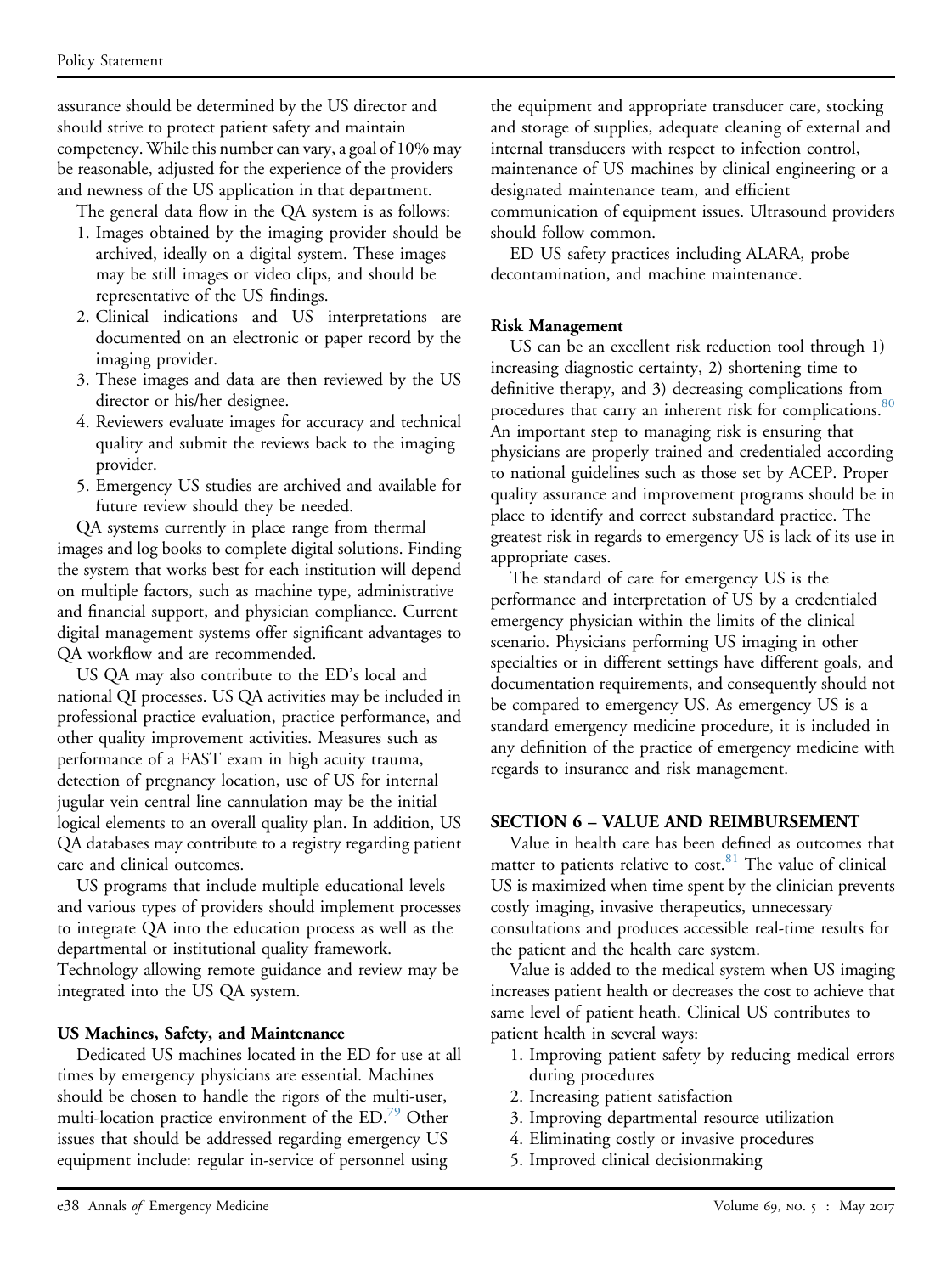assurance should be determined by the US director and should strive to protect patient safety and maintain competency. While this number can vary, a goal of 10% may be reasonable, adjusted for the experience of the providers and newness of the US application in that department.

The general data flow in the QA system is as follows:

- 1. Images obtained by the imaging provider should be archived, ideally on a digital system. These images may be still images or video clips, and should be representative of the US findings.
- 2. Clinical indications and US interpretations are documented on an electronic or paper record by the imaging provider.
- 3. These images and data are then reviewed by the US director or his/her designee.
- 4. Reviewers evaluate images for accuracy and technical quality and submit the reviews back to the imaging provider.
- 5. Emergency US studies are archived and available for future review should they be needed.

QA systems currently in place range from thermal images and log books to complete digital solutions. Finding the system that works best for each institution will depend on multiple factors, such as machine type, administrative and financial support, and physician compliance. Current digital management systems offer significant advantages to QA workflow and are recommended.

US QA may also contribute to the ED's local and national QI processes. US QA activities may be included in professional practice evaluation, practice performance, and other quality improvement activities. Measures such as performance of a FAST exam in high acuity trauma, detection of pregnancy location, use of US for internal jugular vein central line cannulation may be the initial logical elements to an overall quality plan. In addition, US QA databases may contribute to a registry regarding patient care and clinical outcomes.

US programs that include multiple educational levels and various types of providers should implement processes to integrate QA into the education process as well as the departmental or institutional quality framework. Technology allowing remote guidance and review may be integrated into the US QA system.

#### US Machines, Safety, and Maintenance

Dedicated US machines located in the ED for use at all times by emergency physicians are essential. Machines should be chosen to handle the rigors of the multi-user, multi-location practice environment of the ED.<sup>[79](#page-25-0)</sup> Other issues that should be addressed regarding emergency US equipment include: regular in-service of personnel using

the equipment and appropriate transducer care, stocking and storage of supplies, adequate cleaning of external and internal transducers with respect to infection control, maintenance of US machines by clinical engineering or a designated maintenance team, and efficient communication of equipment issues. Ultrasound providers should follow common.

ED US safety practices including ALARA, probe decontamination, and machine maintenance.

#### Risk Management

US can be an excellent risk reduction tool through 1) increasing diagnostic certainty, 2) shortening time to definitive therapy, and 3) decreasing complications from procedures that carry an inherent risk for complications.<sup>[80](#page-25-1)</sup> An important step to managing risk is ensuring that physicians are properly trained and credentialed according to national guidelines such as those set by ACEP. Proper quality assurance and improvement programs should be in place to identify and correct substandard practice. The greatest risk in regards to emergency US is lack of its use in appropriate cases.

The standard of care for emergency US is the performance and interpretation of US by a credentialed emergency physician within the limits of the clinical scenario. Physicians performing US imaging in other specialties or in different settings have different goals, and documentation requirements, and consequently should not be compared to emergency US. As emergency US is a standard emergency medicine procedure, it is included in any definition of the practice of emergency medicine with regards to insurance and risk management.

#### <span id="page-11-0"></span>SECTION 6 – VALUE AND REIMBURSEMENT

Value in health care has been defined as outcomes that matter to patients relative to  $cost.^{81}$  $cost.^{81}$  $cost.^{81}$  The value of clinical US is maximized when time spent by the clinician prevents costly imaging, invasive therapeutics, unnecessary consultations and produces accessible real-time results for the patient and the health care system.

Value is added to the medical system when US imaging increases patient health or decreases the cost to achieve that same level of patient heath. Clinical US contributes to patient health in several ways:

- 1. Improving patient safety by reducing medical errors during procedures
- 2. Increasing patient satisfaction
- 3. Improving departmental resource utilization
- 4. Eliminating costly or invasive procedures
- 5. Improved clinical decisionmaking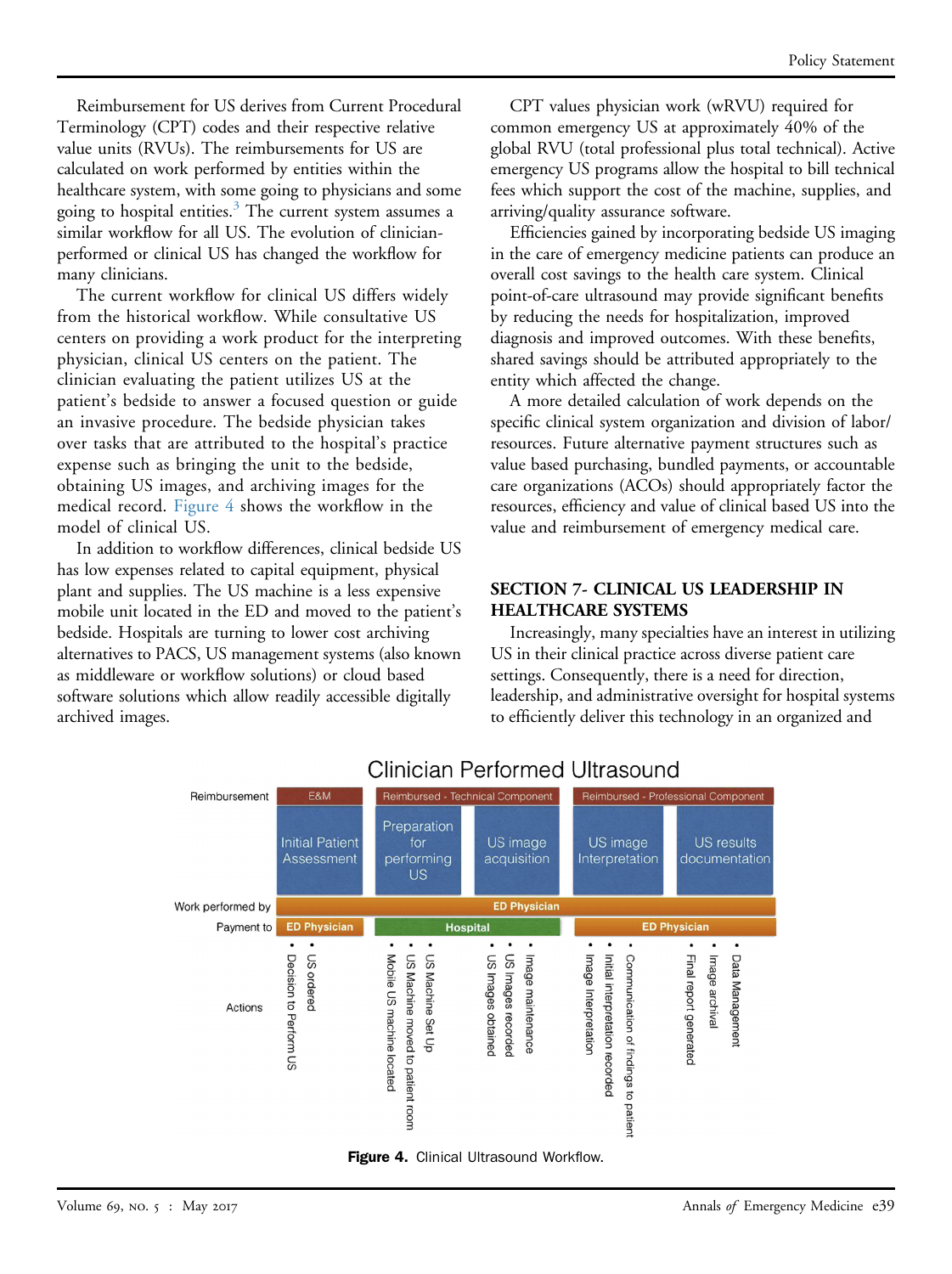Reimbursement for US derives from Current Procedural Terminology (CPT) codes and their respective relative value units (RVUs). The reimbursements for US are calculated on work performed by entities within the healthcare system, with some going to physicians and some going to hospital entities.<sup>[3](#page-23-2)</sup> The current system assumes a similar workflow for all US. The evolution of clinicianperformed or clinical US has changed the workflow for many clinicians.

The current workflow for clinical US differs widely from the historical workflow. While consultative US centers on providing a work product for the interpreting physician, clinical US centers on the patient. The clinician evaluating the patient utilizes US at the patient's bedside to answer a focused question or guide an invasive procedure. The bedside physician takes over tasks that are attributed to the hospital's practice expense such as bringing the unit to the bedside, obtaining US images, and archiving images for the medical record. [Figure 4](#page-12-0) shows the workflow in the model of clinical US.

In addition to workflow differences, clinical bedside US has low expenses related to capital equipment, physical plant and supplies. The US machine is a less expensive mobile unit located in the ED and moved to the patient's bedside. Hospitals are turning to lower cost archiving alternatives to PACS, US management systems (also known as middleware or workflow solutions) or cloud based software solutions which allow readily accessible digitally archived images.

CPT values physician work (wRVU) required for common emergency US at approximately 40% of the global RVU (total professional plus total technical). Active emergency US programs allow the hospital to bill technical fees which support the cost of the machine, supplies, and arriving/quality assurance software.

Efficiencies gained by incorporating bedside US imaging in the care of emergency medicine patients can produce an overall cost savings to the health care system. Clinical point-of-care ultrasound may provide significant benefits by reducing the needs for hospitalization, improved diagnosis and improved outcomes. With these benefits, shared savings should be attributed appropriately to the entity which affected the change.

A more detailed calculation of work depends on the specific clinical system organization and division of labor/ resources. Future alternative payment structures such as value based purchasing, bundled payments, or accountable care organizations (ACOs) should appropriately factor the resources, efficiency and value of clinical based US into the value and reimbursement of emergency medical care.

# SECTION 7- CLINICAL US LEADERSHIP IN HEALTHCARE SYSTEMS

Increasingly, many specialties have an interest in utilizing US in their clinical practice across diverse patient care settings. Consequently, there is a need for direction, leadership, and administrative oversight for hospital systems to efficiently deliver this technology in an organized and

<span id="page-12-0"></span>

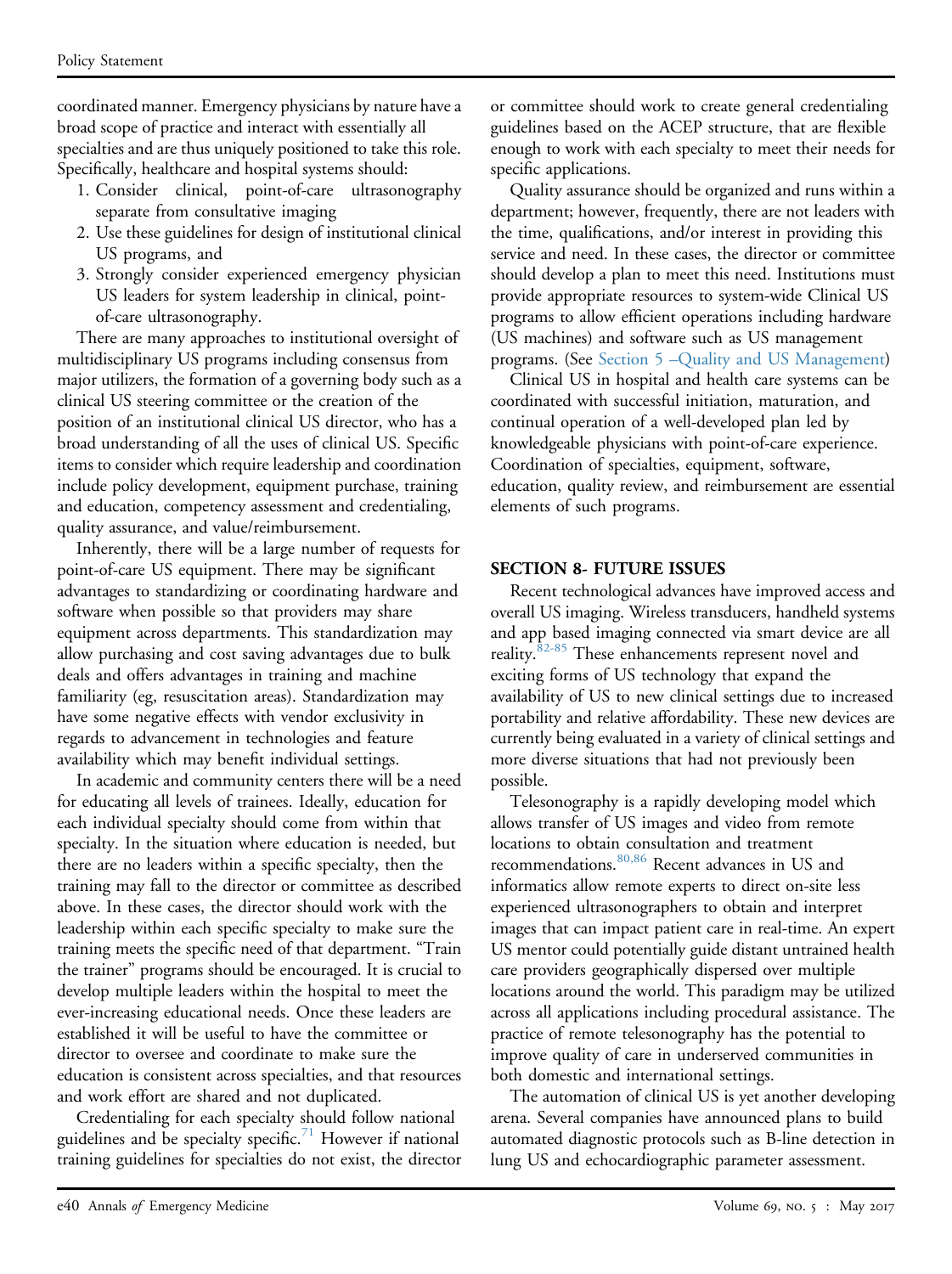coordinated manner. Emergency physicians by nature have a broad scope of practice and interact with essentially all specialties and are thus uniquely positioned to take this role. Specifically, healthcare and hospital systems should:

- 1. Consider clinical, point-of-care ultrasonography separate from consultative imaging
- 2. Use these guidelines for design of institutional clinical US programs, and
- 3. Strongly consider experienced emergency physician US leaders for system leadership in clinical, pointof-care ultrasonography.

There are many approaches to institutional oversight of multidisciplinary US programs including consensus from major utilizers, the formation of a governing body such as a clinical US steering committee or the creation of the position of an institutional clinical US director, who has a broad understanding of all the uses of clinical US. Specific items to consider which require leadership and coordination include policy development, equipment purchase, training and education, competency assessment and credentialing, quality assurance, and value/reimbursement.

Inherently, there will be a large number of requests for point-of-care US equipment. There may be significant advantages to standardizing or coordinating hardware and software when possible so that providers may share equipment across departments. This standardization may allow purchasing and cost saving advantages due to bulk deals and offers advantages in training and machine familiarity (eg, resuscitation areas). Standardization may have some negative effects with vendor exclusivity in regards to advancement in technologies and feature availability which may benefit individual settings.

In academic and community centers there will be a need for educating all levels of trainees. Ideally, education for each individual specialty should come from within that specialty. In the situation where education is needed, but there are no leaders within a specific specialty, then the training may fall to the director or committee as described above. In these cases, the director should work with the leadership within each specific specialty to make sure the training meets the specific need of that department. "Train the trainer" programs should be encouraged. It is crucial to develop multiple leaders within the hospital to meet the ever-increasing educational needs. Once these leaders are established it will be useful to have the committee or director to oversee and coordinate to make sure the education is consistent across specialties, and that resources and work effort are shared and not duplicated.

Credentialing for each specialty should follow national guidelines and be specialty specific.<sup>[71](#page-24-16)</sup> However if national training guidelines for specialties do not exist, the director or committee should work to create general credentialing guidelines based on the ACEP structure, that are flexible enough to work with each specialty to meet their needs for specific applications.

Quality assurance should be organized and runs within a department; however, frequently, there are not leaders with the time, qualifications, and/or interest in providing this service and need. In these cases, the director or committee should develop a plan to meet this need. Institutions must provide appropriate resources to system-wide Clinical US programs to allow efficient operations including hardware (US machines) and software such as US management programs. (See [Section 5](#page-9-0) –[Quality and US Management\)](#page-9-0)

Clinical US in hospital and health care systems can be coordinated with successful initiation, maturation, and continual operation of a well-developed plan led by knowledgeable physicians with point-of-care experience. Coordination of specialties, equipment, software, education, quality review, and reimbursement are essential elements of such programs.

#### SECTION 8- FUTURE ISSUES

Recent technological advances have improved access and overall US imaging. Wireless transducers, handheld systems and app based imaging connected via smart device are all reality.<sup>[82-85](#page-25-3)</sup> These enhancements represent novel and exciting forms of US technology that expand the availability of US to new clinical settings due to increased portability and relative affordability. These new devices are currently being evaluated in a variety of clinical settings and more diverse situations that had not previously been possible.

Telesonography is a rapidly developing model which allows transfer of US images and video from remote locations to obtain consultation and treatment recommendations.[80,86](#page-25-1) Recent advances in US and informatics allow remote experts to direct on-site less experienced ultrasonographers to obtain and interpret images that can impact patient care in real-time. An expert US mentor could potentially guide distant untrained health care providers geographically dispersed over multiple locations around the world. This paradigm may be utilized across all applications including procedural assistance. The practice of remote telesonography has the potential to improve quality of care in underserved communities in both domestic and international settings.

The automation of clinical US is yet another developing arena. Several companies have announced plans to build automated diagnostic protocols such as B-line detection in lung US and echocardiographic parameter assessment.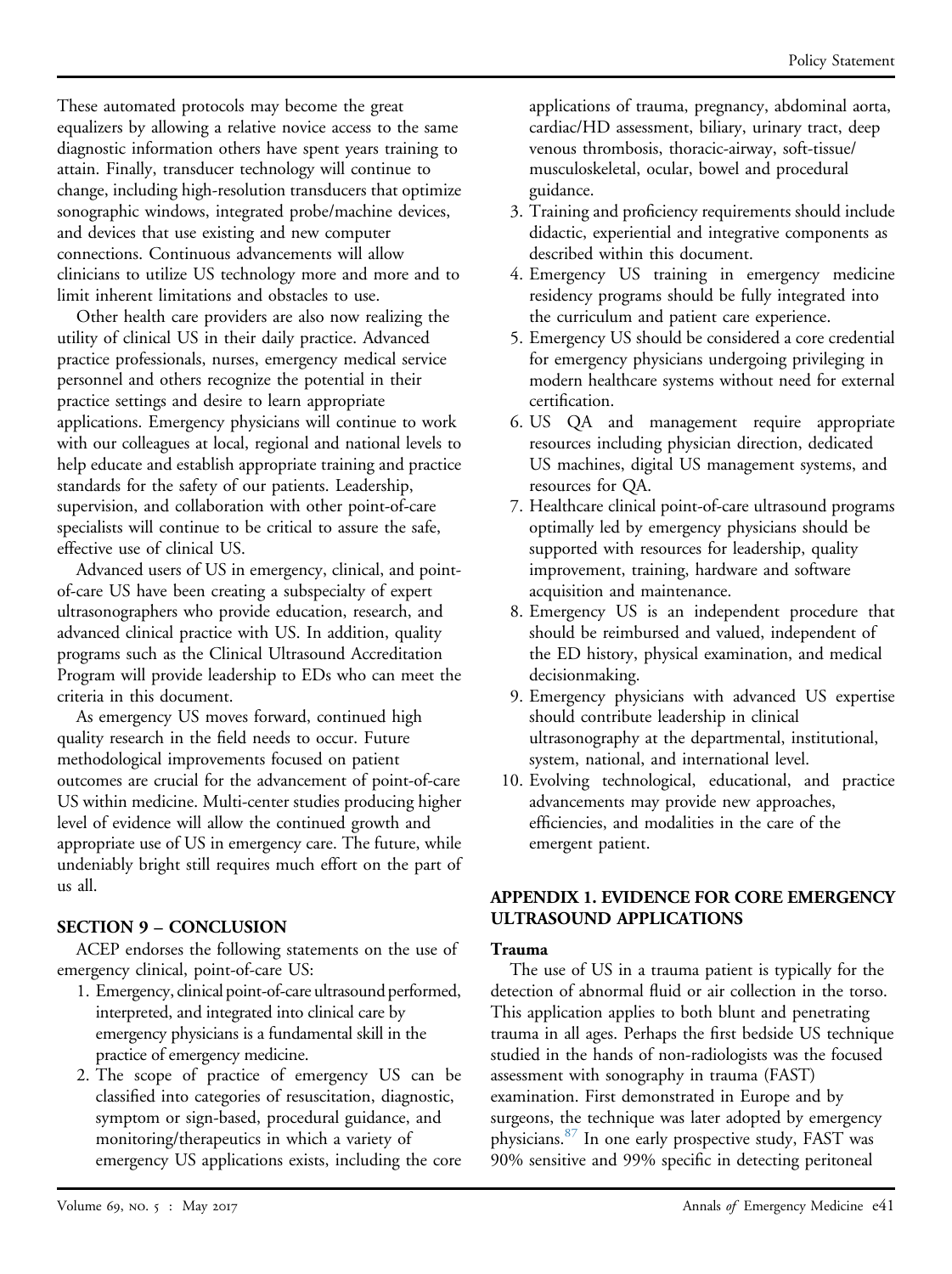These automated protocols may become the great equalizers by allowing a relative novice access to the same diagnostic information others have spent years training to attain. Finally, transducer technology will continue to change, including high-resolution transducers that optimize sonographic windows, integrated probe/machine devices, and devices that use existing and new computer connections. Continuous advancements will allow clinicians to utilize US technology more and more and to limit inherent limitations and obstacles to use.

Other health care providers are also now realizing the utility of clinical US in their daily practice. Advanced practice professionals, nurses, emergency medical service personnel and others recognize the potential in their practice settings and desire to learn appropriate applications. Emergency physicians will continue to work with our colleagues at local, regional and national levels to help educate and establish appropriate training and practice standards for the safety of our patients. Leadership, supervision, and collaboration with other point-of-care specialists will continue to be critical to assure the safe, effective use of clinical US.

Advanced users of US in emergency, clinical, and pointof-care US have been creating a subspecialty of expert ultrasonographers who provide education, research, and advanced clinical practice with US. In addition, quality programs such as the Clinical Ultrasound Accreditation Program will provide leadership to EDs who can meet the criteria in this document.

As emergency US moves forward, continued high quality research in the field needs to occur. Future methodological improvements focused on patient outcomes are crucial for the advancement of point-of-care US within medicine. Multi-center studies producing higher level of evidence will allow the continued growth and appropriate use of US in emergency care. The future, while undeniably bright still requires much effort on the part of us all.

# SECTION 9 – CONCLUSION

ACEP endorses the following statements on the use of emergency clinical, point-of-care US:

- 1. Emergency, clinical point-of-care ultrasound performed, interpreted, and integrated into clinical care by emergency physicians is a fundamental skill in the practice of emergency medicine.
- 2. The scope of practice of emergency US can be classified into categories of resuscitation, diagnostic, symptom or sign-based, procedural guidance, and monitoring/therapeutics in which a variety of emergency US applications exists, including the core

applications of trauma, pregnancy, abdominal aorta, cardiac/HD assessment, biliary, urinary tract, deep venous thrombosis, thoracic-airway, soft-tissue/ musculoskeletal, ocular, bowel and procedural guidance.

- 3. Training and proficiency requirements should include didactic, experiential and integrative components as described within this document.
- 4. Emergency US training in emergency medicine residency programs should be fully integrated into the curriculum and patient care experience.
- 5. Emergency US should be considered a core credential for emergency physicians undergoing privileging in modern healthcare systems without need for external certification.
- 6. US QA and management require appropriate resources including physician direction, dedicated US machines, digital US management systems, and resources for QA.
- 7. Healthcare clinical point-of-care ultrasound programs optimally led by emergency physicians should be supported with resources for leadership, quality improvement, training, hardware and software acquisition and maintenance.
- 8. Emergency US is an independent procedure that should be reimbursed and valued, independent of the ED history, physical examination, and medical decisionmaking.
- 9. Emergency physicians with advanced US expertise should contribute leadership in clinical ultrasonography at the departmental, institutional, system, national, and international level.
- 10. Evolving technological, educational, and practice advancements may provide new approaches, efficiencies, and modalities in the care of the emergent patient.

# <span id="page-14-0"></span>APPENDIX 1. EVIDENCE FOR CORE EMERGENCY ULTRASOUND APPLICATIONS

# Trauma

The use of US in a trauma patient is typically for the detection of abnormal fluid or air collection in the torso. This application applies to both blunt and penetrating trauma in all ages. Perhaps the first bedside US technique studied in the hands of non-radiologists was the focused assessment with sonography in trauma (FAST) examination. First demonstrated in Europe and by surgeons, the technique was later adopted by emergency physicians.<sup>[87](#page-25-4)</sup> In one early prospective study, FAST was 90% sensitive and 99% specific in detecting peritoneal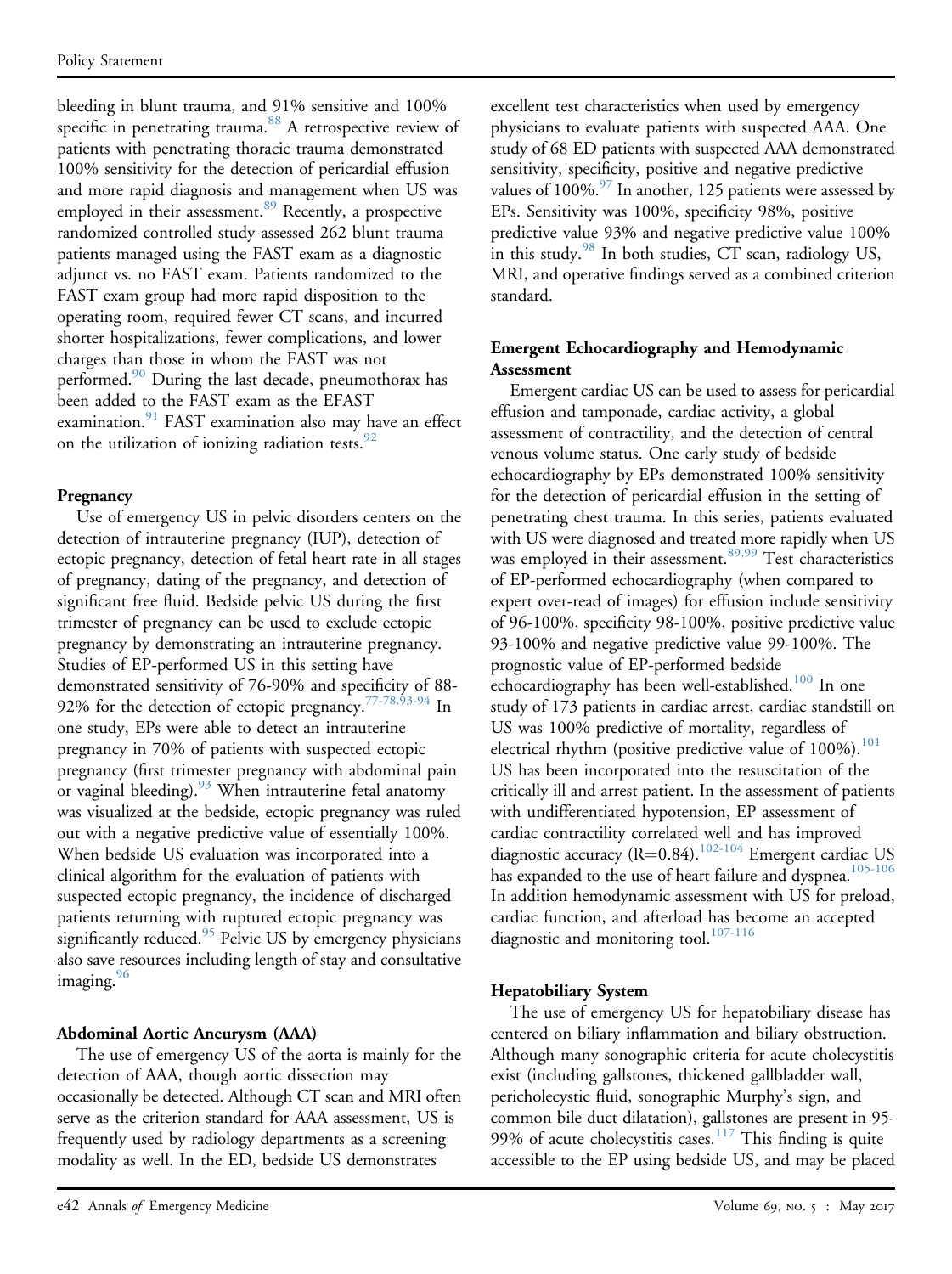bleeding in blunt trauma, and 91% sensitive and 100% specific in penetrating trauma.<sup>[88](#page-25-5)</sup> A retrospective review of patients with penetrating thoracic trauma demonstrated 100% sensitivity for the detection of pericardial effusion and more rapid diagnosis and management when US was employed in their assessment.<sup>[89](#page-25-6)</sup> Recently, a prospective randomized controlled study assessed 262 blunt trauma patients managed using the FAST exam as a diagnostic adjunct vs. no FAST exam. Patients randomized to the FAST exam group had more rapid disposition to the operating room, required fewer CT scans, and incurred shorter hospitalizations, fewer complications, and lower charges than those in whom the FAST was not performed.<sup>90</sup> During the last decade, pneumothorax has been added to the FAST exam as the EFAST examination.<sup>91</sup> FAST examination also may have an effect on the utilization of ionizing radiation tests. $^{92}$  $^{92}$  $^{92}$ 

#### **Pregnancy**

Use of emergency US in pelvic disorders centers on the detection of intrauterine pregnancy (IUP), detection of ectopic pregnancy, detection of fetal heart rate in all stages of pregnancy, dating of the pregnancy, and detection of significant free fluid. Bedside pelvic US during the first trimester of pregnancy can be used to exclude ectopic pregnancy by demonstrating an intrauterine pregnancy. Studies of EP-performed US in this setting have demonstrated sensitivity of 76-90% and specificity of 88- 92% for the detection of ectopic pregnancy.<sup>[77-78,93-94](#page-24-22)</sup> In one study, EPs were able to detect an intrauterine pregnancy in 70% of patients with suspected ectopic pregnancy (first trimester pregnancy with abdominal pain or vaginal bleeding).<sup>[93](#page-25-10)</sup> When intrauterine fetal anatomy was visualized at the bedside, ectopic pregnancy was ruled out with a negative predictive value of essentially 100%. When bedside US evaluation was incorporated into a clinical algorithm for the evaluation of patients with suspected ectopic pregnancy, the incidence of discharged patients returning with ruptured ectopic pregnancy was significantly reduced.<sup>[95](#page-25-11)</sup> Pelvic US by emergency physicians also save resources including length of stay and consultative imaging.<sup>96</sup>

# Abdominal Aortic Aneurysm (AAA)

The use of emergency US of the aorta is mainly for the detection of AAA, though aortic dissection may occasionally be detected. Although CT scan and MRI often serve as the criterion standard for AAA assessment, US is frequently used by radiology departments as a screening modality as well. In the ED, bedside US demonstrates

excellent test characteristics when used by emergency physicians to evaluate patients with suspected AAA. One study of 68 ED patients with suspected AAA demonstrated sensitivity, specificity, positive and negative predictive values of  $100\%$ .<sup>97</sup> In another, 125 patients were assessed by EPs. Sensitivity was 100%, specificity 98%, positive predictive value 93% and negative predictive value 100% in this study. $98$  In both studies, CT scan, radiology US, MRI, and operative findings served as a combined criterion standard.

## Emergent Echocardiography and Hemodynamic Assessment

Emergent cardiac US can be used to assess for pericardial effusion and tamponade, cardiac activity, a global assessment of contractility, and the detection of central venous volume status. One early study of bedside echocardiography by EPs demonstrated 100% sensitivity for the detection of pericardial effusion in the setting of penetrating chest trauma. In this series, patients evaluated with US were diagnosed and treated more rapidly when US was employed in their assessment.<sup>89,99</sup> Test characteristics of EP-performed echocardiography (when compared to expert over-read of images) for effusion include sensitivity of 96-100%, specificity 98-100%, positive predictive value 93-100% and negative predictive value 99-100%. The prognostic value of EP-performed bedside echocardiography has been well-established.<sup>[100](#page-25-15)</sup> In one study of 173 patients in cardiac arrest, cardiac standstill on US was 100% predictive of mortality, regardless of electrical rhythm (positive predictive value of  $100\%$ ).<sup>101</sup> US has been incorporated into the resuscitation of the critically ill and arrest patient. In the assessment of patients with undifferentiated hypotension, EP assessment of cardiac contractility correlated well and has improved diagnostic accuracy  $(R=0.84)$ .<sup>[102-104](#page-25-17)</sup> Emergent cardiac US has expanded to the use of heart failure and dyspnea.<sup>[105-106](#page-25-18)</sup> In addition hemodynamic assessment with US for preload, cardiac function, and afterload has become an accepted diagnostic and monitoring tool.<sup>[107-116](#page-25-19)</sup>

# Hepatobiliary System

The use of emergency US for hepatobiliary disease has centered on biliary inflammation and biliary obstruction. Although many sonographic criteria for acute cholecystitis exist (including gallstones, thickened gallbladder wall, pericholecystic fluid, sonographic Murphy's sign, and common bile duct dilatation), gallstones are present in 95- 99% of acute cholecystitis cases.<sup>[117](#page-26-0)</sup> This finding is quite accessible to the EP using bedside US, and may be placed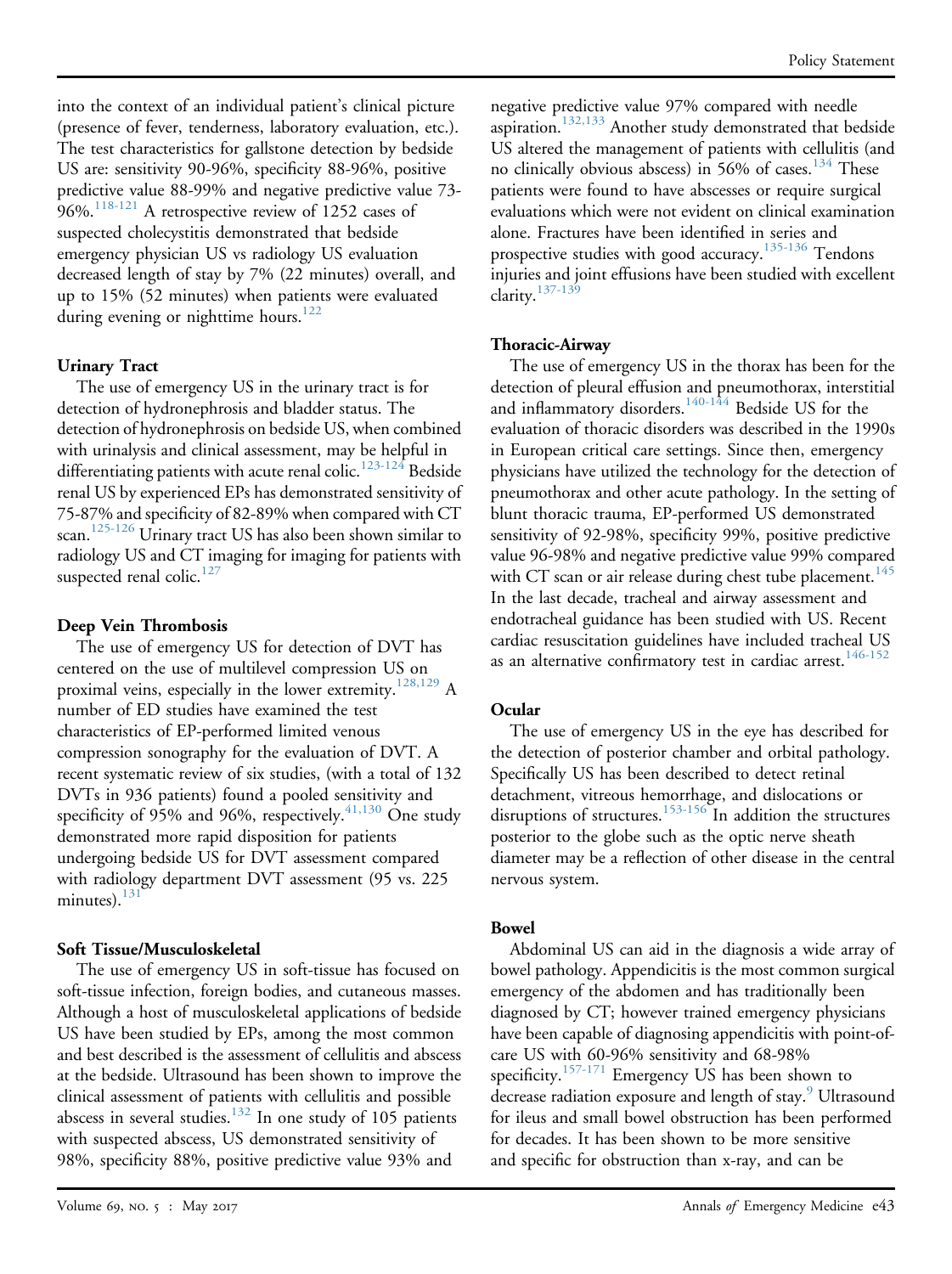into the context of an individual patient's clinical picture (presence of fever, tenderness, laboratory evaluation, etc.). The test characteristics for gallstone detection by bedside US are: sensitivity 90-96%, specificity 88-96%, positive predictive value 88-99% and negative predictive value 73-  $96\%$ .<sup>[118-121](#page-26-1)</sup> A retrospective review of 1252 cases of suspected cholecystitis demonstrated that bedside emergency physician US vs radiology US evaluation decreased length of stay by 7% (22 minutes) overall, and up to 15% (52 minutes) when patients were evaluated during evening or nighttime hours.<sup>[122](#page-26-2)</sup>

#### Urinary Tract

The use of emergency US in the urinary tract is for detection of hydronephrosis and bladder status. The detection of hydronephrosis on bedside US, when combined with urinalysis and clinical assessment, may be helpful in differentiating patients with acute renal colic.<sup>123-124</sup> Bedside renal US by experienced EPs has demonstrated sensitivity of 75-87% and specificity of 82-89% when compared with CT scan.<sup>[125-126](#page-26-4)</sup> Urinary tract US has also been shown similar to radiology US and CT imaging for imaging for patients with suspected renal colic.<sup>[127](#page-26-5)</sup>

#### Deep Vein Thrombosis

The use of emergency US for detection of DVT has centered on the use of multilevel compression US on proximal veins, especially in the lower extremity.<sup>128,129</sup> A number of ED studies have examined the test characteristics of EP-performed limited venous compression sonography for the evaluation of DVT. A recent systematic review of six studies, (with a total of 132 DVTs in 936 patients) found a pooled sensitivity and specificity of 95% and 96%, respectively.<sup>[41,130](#page-24-2)</sup> One study demonstrated more rapid disposition for patients undergoing bedside US for DVT assessment compared with radiology department DVT assessment (95 vs. 225 minutes). $131$ 

#### Soft Tissue/Musculoskeletal

The use of emergency US in soft-tissue has focused on soft-tissue infection, foreign bodies, and cutaneous masses. Although a host of musculoskeletal applications of bedside US have been studied by EPs, among the most common and best described is the assessment of cellulitis and abscess at the bedside. Ultrasound has been shown to improve the clinical assessment of patients with cellulitis and possible abscess in several studies.<sup>[132](#page-26-8)</sup> In one study of 105 patients with suspected abscess, US demonstrated sensitivity of 98%, specificity 88%, positive predictive value 93% and

negative predictive value 97% compared with needle aspiration[.132,133](#page-26-8) Another study demonstrated that bedside US altered the management of patients with cellulitis (and no clinically obvious abscess) in 56% of cases.<sup>[134](#page-26-9)</sup> These patients were found to have abscesses or require surgical evaluations which were not evident on clinical examination alone. Fractures have been identified in series and prospective studies with good accuracy.<sup>135-136</sup> Tendons injuries and joint effusions have been studied with excellent clarity. $137-13$ 

#### Thoracic-Airway

The use of emergency US in the thorax has been for the detection of pleural effusion and pneumothorax, interstitial and inflammatory disorders.<sup>[140-144](#page-26-12)</sup> Bedside US for the evaluation of thoracic disorders was described in the 1990s in European critical care settings. Since then, emergency physicians have utilized the technology for the detection of pneumothorax and other acute pathology. In the setting of blunt thoracic trauma, EP-performed US demonstrated sensitivity of 92-98%, specificity 99%, positive predictive value 96-98% and negative predictive value 99% compared with CT scan or air release during chest tube placement.<sup>[145](#page-26-13)</sup> In the last decade, tracheal and airway assessment and endotracheal guidance has been studied with US. Recent cardiac resuscitation guidelines have included tracheal US as an alternative confirmatory test in cardiac arrest.<sup>[146-152](#page-26-14)</sup>

#### **Ocular**

The use of emergency US in the eye has described for the detection of posterior chamber and orbital pathology. Specifically US has been described to detect retinal detachment, vitreous hemorrhage, and dislocations or disruptions of structures.<sup>[153-156](#page-26-15)</sup> In addition the structures posterior to the globe such as the optic nerve sheath diameter may be a reflection of other disease in the central nervous system.

#### Bowel

Abdominal US can aid in the diagnosis a wide array of bowel pathology. Appendicitis is the most common surgical emergency of the abdomen and has traditionally been diagnosed by CT; however trained emergency physicians have been capable of diagnosing appendicitis with point-ofcare US with 60-96% sensitivity and 68-98% specificity.<sup>[157-171](#page-26-16)</sup> Emergency US has been shown to decrease radiation exposure and length of stay.<sup>[9](#page-23-21)</sup> Ultrasound for ileus and small bowel obstruction has been performed for decades. It has been shown to be more sensitive and specific for obstruction than x-ray, and can be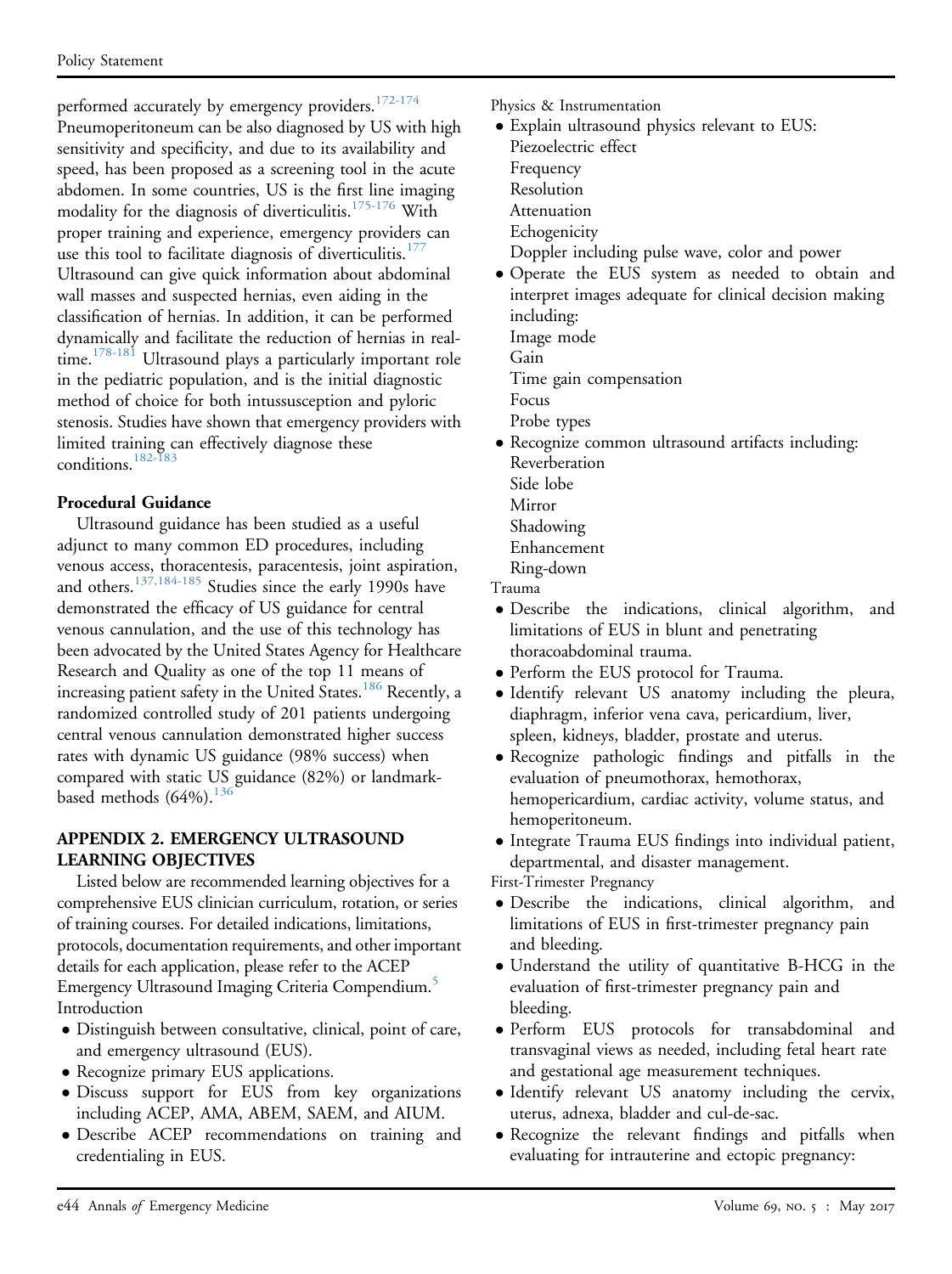performed accurately by emergency providers.<sup>[172-174](#page-27-0)</sup> Pneumoperitoneum can be also diagnosed by US with high sensitivity and specificity, and due to its availability and speed, has been proposed as a screening tool in the acute abdomen. In some countries, US is the first line imaging modality for the diagnosis of diverticulitis.<sup>[175-176](#page-27-1)</sup> With proper training and experience, emergency providers can use this tool to facilitate diagnosis of diverticulitis.<sup>[177](#page-27-2)</sup> Ultrasound can give quick information about abdominal wall masses and suspected hernias, even aiding in the classification of hernias. In addition, it can be performed dynamically and facilitate the reduction of hernias in real-time.<sup>[178-181](#page-27-3)</sup> Ultrasound plays a particularly important role in the pediatric population, and is the initial diagnostic method of choice for both intussusception and pyloric stenosis. Studies have shown that emergency providers with limited training can effectively diagnose these conditions.[182-183](#page-27-4)

#### Procedural Guidance

Ultrasound guidance has been studied as a useful adjunct to many common ED procedures, including venous access, thoracentesis, paracentesis, joint aspiration, and others.<sup>[137,184-185](#page-26-11)</sup> Studies since the early 1990s have demonstrated the efficacy of US guidance for central venous cannulation, and the use of this technology has been advocated by the United States Agency for Healthcare Research and Quality as one of the top 11 means of increasing patient safety in the United States.<sup>[186](#page-27-5)</sup> Recently, a randomized controlled study of 201 patients undergoing central venous cannulation demonstrated higher success rates with dynamic US guidance (98% success) when compared with static US guidance (82%) or landmarkbased methods  $(64%)$ .<sup>136</sup>

#### <span id="page-17-0"></span>APPENDIX 2. EMERGENCY ULTRASOUND LEARNING OBJECTIVES

Listed below are recommended learning objectives for a comprehensive EUS clinician curriculum, rotation, or series of training courses. For detailed indications, limitations, protocols, documentation requirements, and other important details for each application, please refer to the ACEP Emergency Ultrasound Imaging Criteria Compendium.<sup>5</sup> Introduction

- Distinguish between consultative, clinical, point of care, and emergency ultrasound (EUS).
- Recognize primary EUS applications.
- Discuss support for EUS from key organizations including ACEP, AMA, ABEM, SAEM, and AIUM.
- Describe ACEP recommendations on training and credentialing in EUS.

Physics & Instrumentation

- Explain ultrasound physics relevant to EUS: Piezoelectric effect Frequency Resolution Attenuation **Echogenicity** 

Doppler including pulse wave, color and power

- Operate the EUS system as needed to obtain and interpret images adequate for clinical decision making including:

Image mode

Gain

Time gain compensation

Focus

Probe types

- Recognize common ultrasound artifacts including: Reverberation Side lobe Mirror Shadowing
	- Enhancement
	- Ring-down

- Trauma
- Describe the indications, clinical algorithm, and limitations of EUS in blunt and penetrating thoracoabdominal trauma.
- Perform the EUS protocol for Trauma.
- Identify relevant US anatomy including the pleura, diaphragm, inferior vena cava, pericardium, liver, spleen, kidneys, bladder, prostate and uterus.
- Recognize pathologic findings and pitfalls in the evaluation of pneumothorax, hemothorax, hemopericardium, cardiac activity, volume status, and hemoperitoneum.
- Integrate Trauma EUS findings into individual patient, departmental, and disaster management.

First-Trimester Pregnancy

- Describe the indications, clinical algorithm, and limitations of EUS in first-trimester pregnancy pain and bleeding.
- Understand the utility of quantitative B-HCG in the evaluation of first-trimester pregnancy pain and bleeding.
- Perform EUS protocols for transabdominal and transvaginal views as needed, including fetal heart rate and gestational age measurement techniques.
- Identify relevant US anatomy including the cervix, uterus, adnexa, bladder and cul-de-sac.
- Recognize the relevant findings and pitfalls when evaluating for intrauterine and ectopic pregnancy: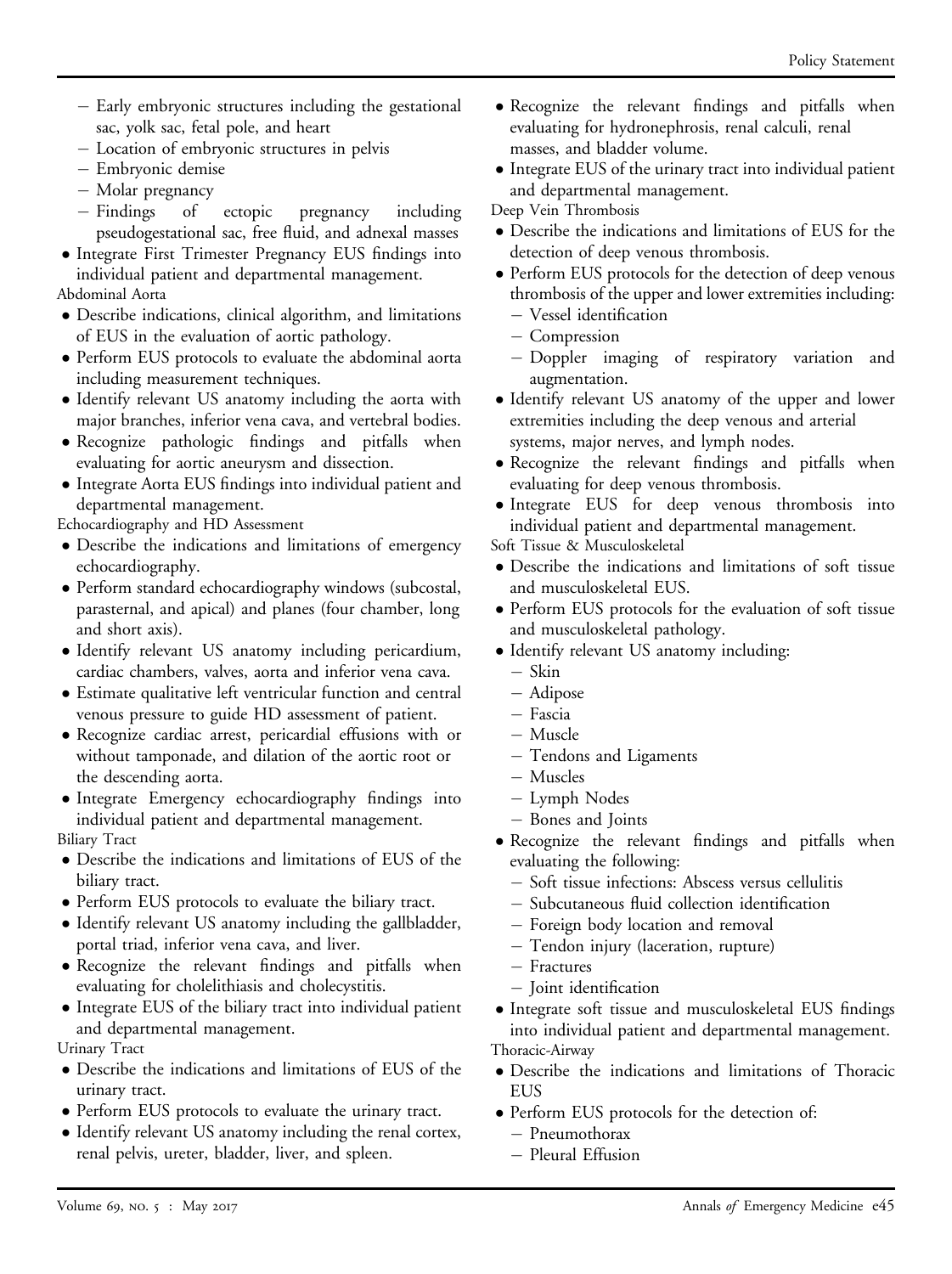- Early embryonic structures including the gestational sac, yolk sac, fetal pole, and heart
- Location of embryonic structures in pelvis
- Embryonic demise
- Molar pregnancy<br>– Findings of
- Findings of ectopic pregnancy including pseudogestational sac, free fluid, and adnexal masses
- Integrate First Trimester Pregnancy EUS findings into individual patient and departmental management. Abdominal Aorta
- Describe indications, clinical algorithm, and limitations of EUS in the evaluation of aortic pathology.
- Perform EUS protocols to evaluate the abdominal aorta including measurement techniques.
- Identify relevant US anatomy including the aorta with major branches, inferior vena cava, and vertebral bodies.
- Recognize pathologic findings and pitfalls when evaluating for aortic aneurysm and dissection.
- Integrate Aorta EUS findings into individual patient and departmental management.

Echocardiography and HD Assessment

- Describe the indications and limitations of emergency echocardiography.
- Perform standard echocardiography windows (subcostal, parasternal, and apical) and planes (four chamber, long and short axis).
- Identify relevant US anatomy including pericardium, cardiac chambers, valves, aorta and inferior vena cava.
- Estimate qualitative left ventricular function and central venous pressure to guide HD assessment of patient.
- Recognize cardiac arrest, pericardial effusions with or without tamponade, and dilation of the aortic root or the descending aorta.

- Integrate Emergency echocardiography findings into individual patient and departmental management. Biliary Tract

- Describe the indications and limitations of EUS of the biliary tract.
- Perform EUS protocols to evaluate the biliary tract.
- Identify relevant US anatomy including the gallbladder, portal triad, inferior vena cava, and liver.
- Recognize the relevant findings and pitfalls when evaluating for cholelithiasis and cholecystitis.
- Integrate EUS of the biliary tract into individual patient and departmental management.

Urinary Tract

- Describe the indications and limitations of EUS of the urinary tract.
- Perform EUS protocols to evaluate the urinary tract.
- Identify relevant US anatomy including the renal cortex, renal pelvis, ureter, bladder, liver, and spleen.
- Recognize the relevant findings and pitfalls when evaluating for hydronephrosis, renal calculi, renal masses, and bladder volume.
- Integrate EUS of the urinary tract into individual patient and departmental management.

Deep Vein Thrombosis

- Describe the indications and limitations of EUS for the detection of deep venous thrombosis.
- Perform EUS protocols for the detection of deep venous thrombosis of the upper and lower extremities including:
	- Vessel identification
	- Compression
	- Doppler imaging of respiratory variation and augmentation.
- Identify relevant US anatomy of the upper and lower extremities including the deep venous and arterial systems, major nerves, and lymph nodes.
- Recognize the relevant findings and pitfalls when evaluating for deep venous thrombosis.
- Integrate EUS for deep venous thrombosis into individual patient and departmental management.

Soft Tissue & Musculoskeletal

- Describe the indications and limitations of soft tissue and musculoskeletal EUS.
- Perform EUS protocols for the evaluation of soft tissue and musculoskeletal pathology.
- Identify relevant US anatomy including:
	- $-$  Skin
	- Adipose
	- Fascia
	- Muscle
	- Tendons and Ligaments
	- Muscles
	- Lymph Nodes
	- Bones and Joints
- Recognize the relevant findings and pitfalls when evaluating the following:
	- Soft tissue infections: Abscess versus cellulitis
	- Subcutaneous fluid collection identification
	- Foreign body location and removal
	- Tendon injury (laceration, rupture)
	- Fractures
	- Joint identification
- Integrate soft tissue and musculoskeletal EUS findings into individual patient and departmental management. Thoracic-Airway
- Describe the indications and limitations of Thoracic **EUS**
- Perform EUS protocols for the detection of:
	- Pneumothorax - Pleural Effusion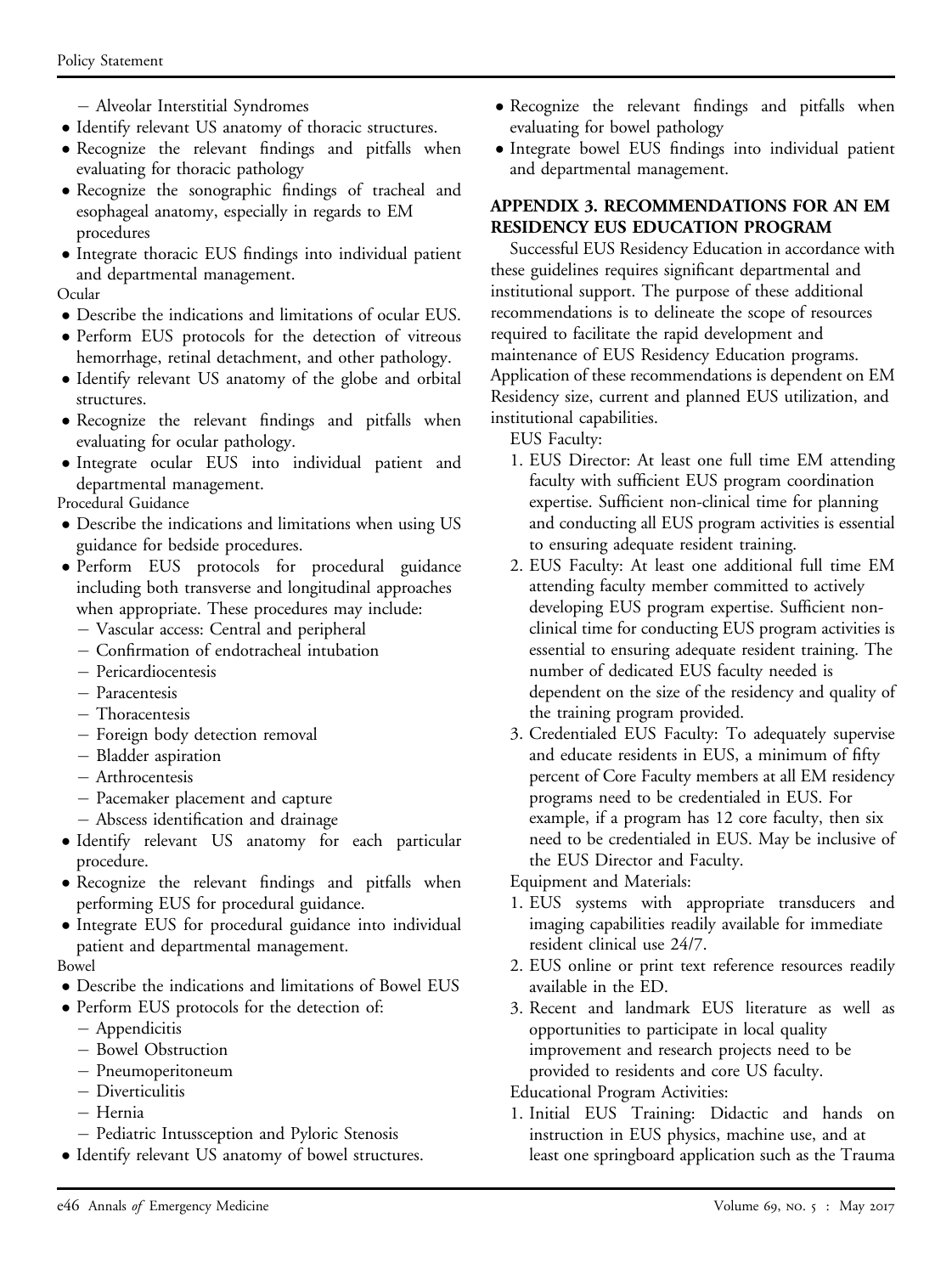Alveolar Interstitial Syndromes

- Identify relevant US anatomy of thoracic structures.
- Recognize the relevant findings and pitfalls when evaluating for thoracic pathology
- Recognize the sonographic findings of tracheal and esophageal anatomy, especially in regards to EM procedures
- Integrate thoracic EUS findings into individual patient and departmental management.

Ocular

- Describe the indications and limitations of ocular EUS.
- Perform EUS protocols for the detection of vitreous hemorrhage, retinal detachment, and other pathology.
- Identify relevant US anatomy of the globe and orbital structures.
- Recognize the relevant findings and pitfalls when evaluating for ocular pathology.
- Integrate ocular EUS into individual patient and departmental management.

Procedural Guidance

- Describe the indications and limitations when using US guidance for bedside procedures.
- Perform EUS protocols for procedural guidance including both transverse and longitudinal approaches when appropriate. These procedures may include:
	- Vascular access: Central and peripheral
	- Confirmation of endotracheal intubation
	- Pericardiocentesis
	- Paracentesis
	- Thoracentesis
	- Foreign body detection removal
	- Bladder aspiration
	- Arthrocentesis
	- Pacemaker placement and capture
	- Abscess identification and drainage
- Identify relevant US anatomy for each particular procedure.
- Recognize the relevant findings and pitfalls when performing EUS for procedural guidance.
- Integrate EUS for procedural guidance into individual patient and departmental management.

Bowel

- Describe the indications and limitations of Bowel EUS
- Perform EUS protocols for the detection of:
	- Appendicitis
	- Bowel Obstruction
	- Pneumoperitoneum
	- Diverticulitis
	- Hernia
	- Pediatric Intussception and Pyloric Stenosis
- Identify relevant US anatomy of bowel structures.
- Recognize the relevant findings and pitfalls when evaluating for bowel pathology
- Integrate bowel EUS findings into individual patient and departmental management.

# <span id="page-19-0"></span>APPENDIX 3. RECOMMENDATIONS FOR AN EM RESIDENCY EUS EDUCATION PROGRAM

Successful EUS Residency Education in accordance with these guidelines requires significant departmental and institutional support. The purpose of these additional recommendations is to delineate the scope of resources required to facilitate the rapid development and maintenance of EUS Residency Education programs. Application of these recommendations is dependent on EM Residency size, current and planned EUS utilization, and institutional capabilities.

EUS Faculty:

- 1. EUS Director: At least one full time EM attending faculty with sufficient EUS program coordination expertise. Sufficient non-clinical time for planning and conducting all EUS program activities is essential to ensuring adequate resident training.
- 2. EUS Faculty: At least one additional full time EM attending faculty member committed to actively developing EUS program expertise. Sufficient nonclinical time for conducting EUS program activities is essential to ensuring adequate resident training. The number of dedicated EUS faculty needed is dependent on the size of the residency and quality of the training program provided.
- 3. Credentialed EUS Faculty: To adequately supervise and educate residents in EUS, a minimum of fifty percent of Core Faculty members at all EM residency programs need to be credentialed in EUS. For example, if a program has 12 core faculty, then six need to be credentialed in EUS. May be inclusive of the EUS Director and Faculty.

Equipment and Materials:

- 1. EUS systems with appropriate transducers and imaging capabilities readily available for immediate resident clinical use 24/7.
- 2. EUS online or print text reference resources readily available in the ED.
- 3. Recent and landmark EUS literature as well as opportunities to participate in local quality improvement and research projects need to be provided to residents and core US faculty.

Educational Program Activities:

1. Initial EUS Training: Didactic and hands on instruction in EUS physics, machine use, and at least one springboard application such as the Trauma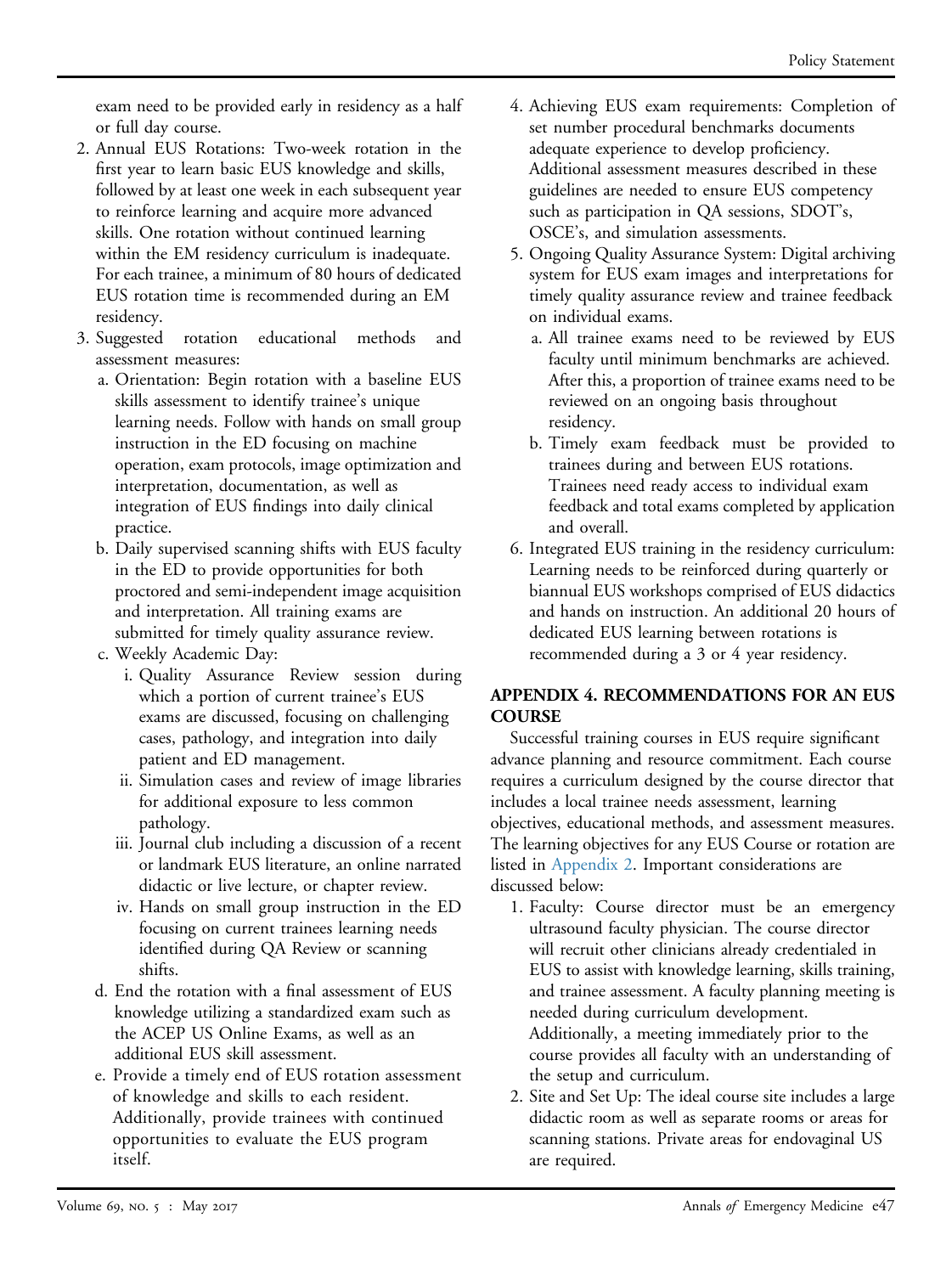exam need to be provided early in residency as a half or full day course.

- 2. Annual EUS Rotations: Two-week rotation in the first year to learn basic EUS knowledge and skills, followed by at least one week in each subsequent year to reinforce learning and acquire more advanced skills. One rotation without continued learning within the EM residency curriculum is inadequate. For each trainee, a minimum of 80 hours of dedicated EUS rotation time is recommended during an EM residency.
- 3. Suggested rotation educational methods and assessment measures:
	- a. Orientation: Begin rotation with a baseline EUS skills assessment to identify trainee's unique learning needs. Follow with hands on small group instruction in the ED focusing on machine operation, exam protocols, image optimization and interpretation, documentation, as well as integration of EUS findings into daily clinical practice.
	- b. Daily supervised scanning shifts with EUS faculty in the ED to provide opportunities for both proctored and semi-independent image acquisition and interpretation. All training exams are submitted for timely quality assurance review.
	- c. Weekly Academic Day:
		- i. Quality Assurance Review session during which a portion of current trainee's EUS exams are discussed, focusing on challenging cases, pathology, and integration into daily patient and ED management.
		- ii. Simulation cases and review of image libraries for additional exposure to less common pathology.
		- iii. Journal club including a discussion of a recent or landmark EUS literature, an online narrated didactic or live lecture, or chapter review.
		- iv. Hands on small group instruction in the ED focusing on current trainees learning needs identified during QA Review or scanning shifts.
	- d. End the rotation with a final assessment of EUS knowledge utilizing a standardized exam such as the ACEP US Online Exams, as well as an additional EUS skill assessment.
	- e. Provide a timely end of EUS rotation assessment of knowledge and skills to each resident. Additionally, provide trainees with continued opportunities to evaluate the EUS program itself.
- 4. Achieving EUS exam requirements: Completion of set number procedural benchmarks documents adequate experience to develop proficiency. Additional assessment measures described in these guidelines are needed to ensure EUS competency such as participation in QA sessions, SDOT's, OSCE's, and simulation assessments.
- 5. Ongoing Quality Assurance System: Digital archiving system for EUS exam images and interpretations for timely quality assurance review and trainee feedback on individual exams.
	- a. All trainee exams need to be reviewed by EUS faculty until minimum benchmarks are achieved. After this, a proportion of trainee exams need to be reviewed on an ongoing basis throughout residency.
	- b. Timely exam feedback must be provided to trainees during and between EUS rotations. Trainees need ready access to individual exam feedback and total exams completed by application and overall.
- 6. Integrated EUS training in the residency curriculum: Learning needs to be reinforced during quarterly or biannual EUS workshops comprised of EUS didactics and hands on instruction. An additional 20 hours of dedicated EUS learning between rotations is recommended during a 3 or 4 year residency.

# <span id="page-20-0"></span>APPENDIX 4. RECOMMENDATIONS FOR AN EUS **COURSE**

Successful training courses in EUS require significant advance planning and resource commitment. Each course requires a curriculum designed by the course director that includes a local trainee needs assessment, learning objectives, educational methods, and assessment measures. The learning objectives for any EUS Course or rotation are listed in [Appendix 2.](#page-17-0) Important considerations are discussed below:

- 1. Faculty: Course director must be an emergency ultrasound faculty physician. The course director will recruit other clinicians already credentialed in EUS to assist with knowledge learning, skills training, and trainee assessment. A faculty planning meeting is needed during curriculum development. Additionally, a meeting immediately prior to the course provides all faculty with an understanding of the setup and curriculum.
- 2. Site and Set Up: The ideal course site includes a large didactic room as well as separate rooms or areas for scanning stations. Private areas for endovaginal US are required.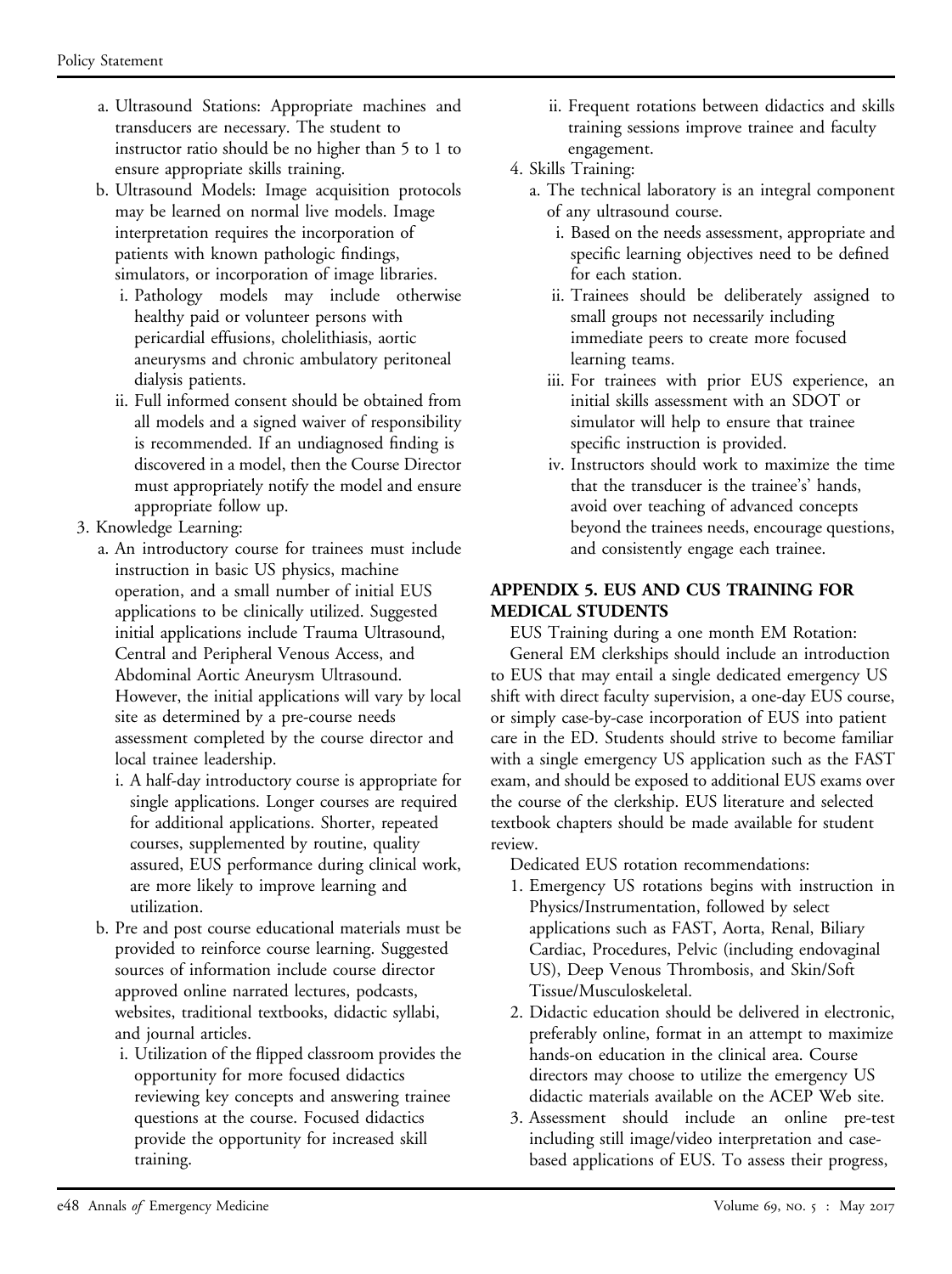- a. Ultrasound Stations: Appropriate machines and transducers are necessary. The student to instructor ratio should be no higher than 5 to 1 to ensure appropriate skills training.
- b. Ultrasound Models: Image acquisition protocols may be learned on normal live models. Image interpretation requires the incorporation of patients with known pathologic findings, simulators, or incorporation of image libraries.
	- i. Pathology models may include otherwise healthy paid or volunteer persons with pericardial effusions, cholelithiasis, aortic aneurysms and chronic ambulatory peritoneal dialysis patients.
	- ii. Full informed consent should be obtained from all models and a signed waiver of responsibility is recommended. If an undiagnosed finding is discovered in a model, then the Course Director must appropriately notify the model and ensure appropriate follow up.
- 3. Knowledge Learning:
	- a. An introductory course for trainees must include instruction in basic US physics, machine operation, and a small number of initial EUS applications to be clinically utilized. Suggested initial applications include Trauma Ultrasound, Central and Peripheral Venous Access, and Abdominal Aortic Aneurysm Ultrasound. However, the initial applications will vary by local site as determined by a pre-course needs assessment completed by the course director and local trainee leadership.
		- i. A half-day introductory course is appropriate for single applications. Longer courses are required for additional applications. Shorter, repeated courses, supplemented by routine, quality assured, EUS performance during clinical work, are more likely to improve learning and utilization.
	- b. Pre and post course educational materials must be provided to reinforce course learning. Suggested sources of information include course director approved online narrated lectures, podcasts, websites, traditional textbooks, didactic syllabi, and journal articles.
		- i. Utilization of the flipped classroom provides the opportunity for more focused didactics reviewing key concepts and answering trainee questions at the course. Focused didactics provide the opportunity for increased skill training.
- ii. Frequent rotations between didactics and skills training sessions improve trainee and faculty engagement.
- 4. Skills Training:
	- a. The technical laboratory is an integral component of any ultrasound course.
		- i. Based on the needs assessment, appropriate and specific learning objectives need to be defined for each station.
		- ii. Trainees should be deliberately assigned to small groups not necessarily including immediate peers to create more focused learning teams.
		- iii. For trainees with prior EUS experience, an initial skills assessment with an SDOT or simulator will help to ensure that trainee specific instruction is provided.
		- iv. Instructors should work to maximize the time that the transducer is the trainee's' hands, avoid over teaching of advanced concepts beyond the trainees needs, encourage questions, and consistently engage each trainee.

## <span id="page-21-0"></span>APPENDIX 5. EUS AND CUS TRAINING FOR MEDICAL STUDENTS

EUS Training during a one month EM Rotation:

General EM clerkships should include an introduction to EUS that may entail a single dedicated emergency US shift with direct faculty supervision, a one-day EUS course, or simply case-by-case incorporation of EUS into patient care in the ED. Students should strive to become familiar with a single emergency US application such as the FAST exam, and should be exposed to additional EUS exams over the course of the clerkship. EUS literature and selected textbook chapters should be made available for student review.

Dedicated EUS rotation recommendations:

- 1. Emergency US rotations begins with instruction in Physics/Instrumentation, followed by select applications such as FAST, Aorta, Renal, Biliary Cardiac, Procedures, Pelvic (including endovaginal US), Deep Venous Thrombosis, and Skin/Soft Tissue/Musculoskeletal.
- 2. Didactic education should be delivered in electronic, preferably online, format in an attempt to maximize hands-on education in the clinical area. Course directors may choose to utilize the emergency US didactic materials available on the ACEP Web site.
- 3. Assessment should include an online pre-test including still image/video interpretation and casebased applications of EUS. To assess their progress,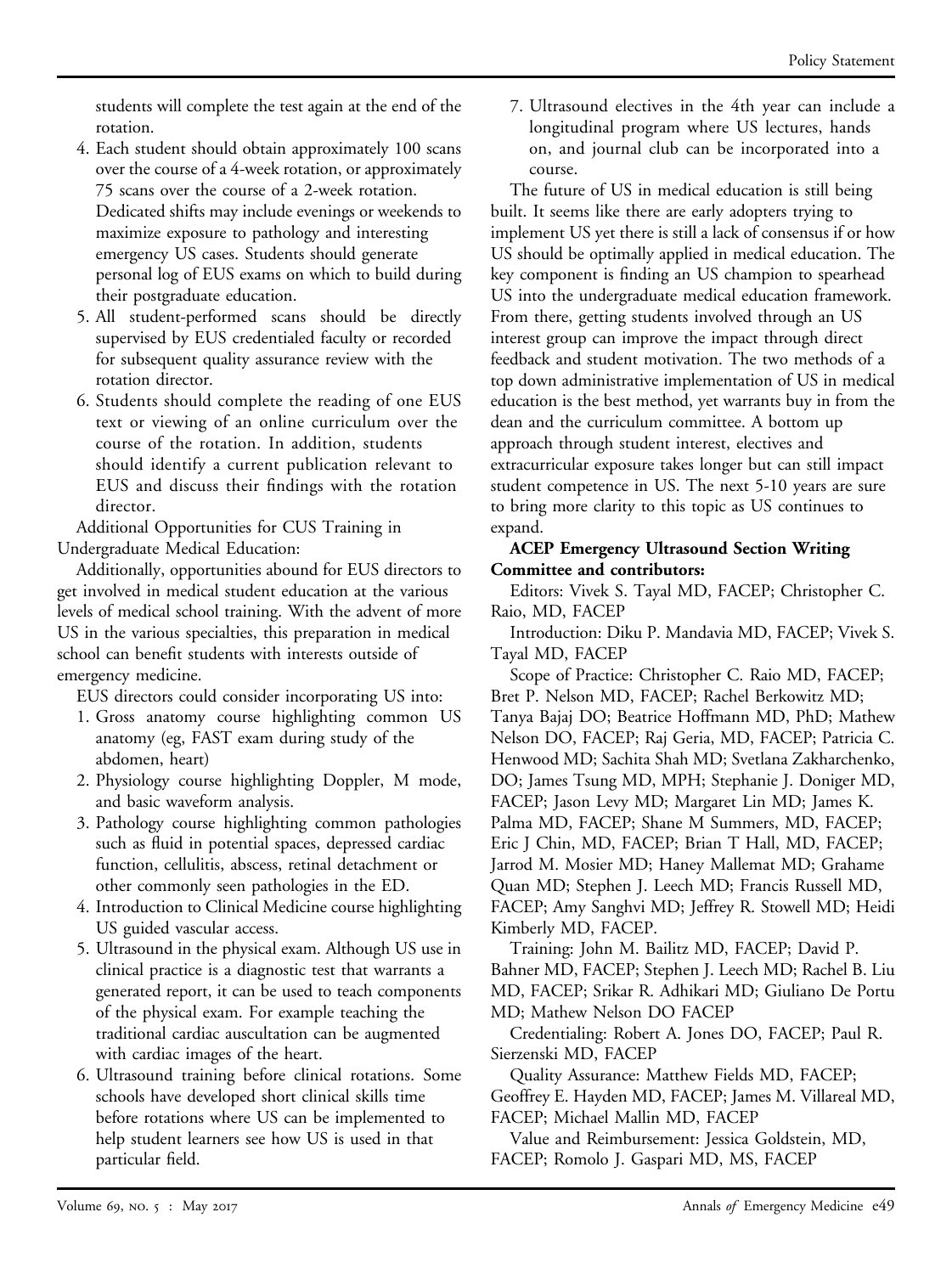students will complete the test again at the end of the rotation.

- 4. Each student should obtain approximately 100 scans over the course of a 4-week rotation, or approximately 75 scans over the course of a 2-week rotation. Dedicated shifts may include evenings or weekends to maximize exposure to pathology and interesting emergency US cases. Students should generate personal log of EUS exams on which to build during their postgraduate education.
- 5. All student-performed scans should be directly supervised by EUS credentialed faculty or recorded for subsequent quality assurance review with the rotation director.
- 6. Students should complete the reading of one EUS text or viewing of an online curriculum over the course of the rotation. In addition, students should identify a current publication relevant to EUS and discuss their findings with the rotation director.

Additional Opportunities for CUS Training in Undergraduate Medical Education:

Additionally, opportunities abound for EUS directors to get involved in medical student education at the various levels of medical school training. With the advent of more US in the various specialties, this preparation in medical school can benefit students with interests outside of emergency medicine.

EUS directors could consider incorporating US into:

- 1. Gross anatomy course highlighting common US anatomy (eg, FAST exam during study of the abdomen, heart)
- 2. Physiology course highlighting Doppler, M mode, and basic waveform analysis.
- 3. Pathology course highlighting common pathologies such as fluid in potential spaces, depressed cardiac function, cellulitis, abscess, retinal detachment or other commonly seen pathologies in the ED.
- 4. Introduction to Clinical Medicine course highlighting US guided vascular access.
- 5. Ultrasound in the physical exam. Although US use in clinical practice is a diagnostic test that warrants a generated report, it can be used to teach components of the physical exam. For example teaching the traditional cardiac auscultation can be augmented with cardiac images of the heart.
- 6. Ultrasound training before clinical rotations. Some schools have developed short clinical skills time before rotations where US can be implemented to help student learners see how US is used in that particular field.

7. Ultrasound electives in the 4th year can include a longitudinal program where US lectures, hands on, and journal club can be incorporated into a course.

The future of US in medical education is still being built. It seems like there are early adopters trying to implement US yet there is still a lack of consensus if or how US should be optimally applied in medical education. The key component is finding an US champion to spearhead US into the undergraduate medical education framework. From there, getting students involved through an US interest group can improve the impact through direct feedback and student motivation. The two methods of a top down administrative implementation of US in medical education is the best method, yet warrants buy in from the dean and the curriculum committee. A bottom up approach through student interest, electives and extracurricular exposure takes longer but can still impact student competence in US. The next 5-10 years are sure to bring more clarity to this topic as US continues to expand.

# ACEP Emergency Ultrasound Section Writing Committee and contributors:

Editors: Vivek S. Tayal MD, FACEP; Christopher C. Raio, MD, FACEP

Introduction: Diku P. Mandavia MD, FACEP; Vivek S. Tayal MD, FACEP

Scope of Practice: Christopher C. Raio MD, FACEP; Bret P. Nelson MD, FACEP; Rachel Berkowitz MD; Tanya Bajaj DO; Beatrice Hoffmann MD, PhD; Mathew Nelson DO, FACEP; Raj Geria, MD, FACEP; Patricia C. Henwood MD; Sachita Shah MD; Svetlana Zakharchenko, DO; James Tsung MD, MPH; Stephanie J. Doniger MD, FACEP; Jason Levy MD; Margaret Lin MD; James K. Palma MD, FACEP; Shane M Summers, MD, FACEP; Eric J Chin, MD, FACEP; Brian T Hall, MD, FACEP; Jarrod M. Mosier MD; Haney Mallemat MD; Grahame Quan MD; Stephen J. Leech MD; Francis Russell MD, FACEP; Amy Sanghvi MD; Jeffrey R. Stowell MD; Heidi Kimberly MD, FACEP.

Training: John M. Bailitz MD, FACEP; David P. Bahner MD, FACEP; Stephen J. Leech MD; Rachel B. Liu MD, FACEP; Srikar R. Adhikari MD; Giuliano De Portu MD; Mathew Nelson DO FACEP

Credentialing: Robert A. Jones DO, FACEP; Paul R. Sierzenski MD, FACEP

Quality Assurance: Matthew Fields MD, FACEP; Geoffrey E. Hayden MD, FACEP; James M. Villareal MD, FACEP; Michael Mallin MD, FACEP

Value and Reimbursement: Jessica Goldstein, MD, FACEP; Romolo J. Gaspari MD, MS, FACEP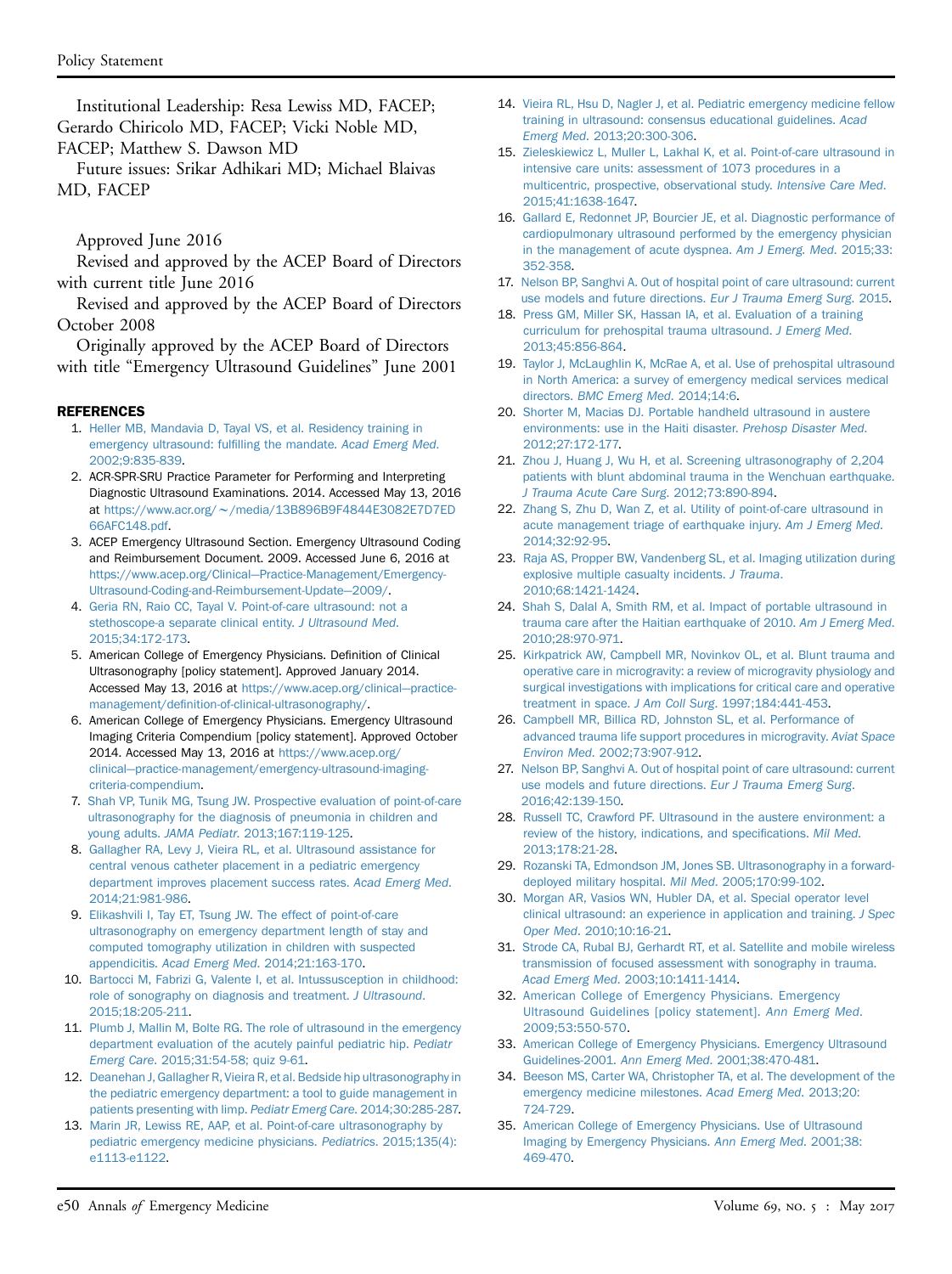Institutional Leadership: Resa Lewiss MD, FACEP; Gerardo Chiricolo MD, FACEP; Vicki Noble MD,

FACEP; Matthew S. Dawson MD

Future issues: Srikar Adhikari MD; Michael Blaivas MD, FACEP

Approved June 2016

Revised and approved by the ACEP Board of Directors with current title June 2016

Revised and approved by the ACEP Board of Directors October 2008

Originally approved by the ACEP Board of Directors with title "Emergency Ultrasound Guidelines" June 2001

#### <span id="page-23-0"></span>**REFERENCES**

- 1. [Heller MB, Mandavia D, Tayal VS, et al. Residency training in](http://refhub.elsevier.com/S0196-0644(16)30935-0/sref1) [emergency ultrasound: ful](http://refhub.elsevier.com/S0196-0644(16)30935-0/sref1)filling the mandate. Acad Emerg Med. [2002;9:835-839.](http://refhub.elsevier.com/S0196-0644(16)30935-0/sref1)
- <span id="page-23-1"></span>2. ACR-SPR-SRU Practice Parameter for Performing and Interpreting Diagnostic Ultrasound Examinations. 2014. Accessed May 13, 2016 at [https://www.acr.org/](https://www.acr.org/%7E/media/13B896B9F4844E3082E7D7ED66AFC148.pdf)~[/media/13B896B9F4844E3082E7D7ED](https://www.acr.org/%7E/media/13B896B9F4844E3082E7D7ED66AFC148.pdf) [66AFC148.pdf](https://www.acr.org/%7E/media/13B896B9F4844E3082E7D7ED66AFC148.pdf).
- <span id="page-23-2"></span>3. ACEP Emergency Ultrasound Section. Emergency Ultrasound Coding and Reimbursement Document. 2009. Accessed June 6, 2016 at [https://www.acep.org/Clinical](https://www.acep.org/Clinical%97Practice-Management/Emergency-Ultrasound-Coding-and-Reimbursement-Update%972009/)—[Practice-Management/Emergency-](https://www.acep.org/Clinical%97Practice-Management/Emergency-Ultrasound-Coding-and-Reimbursement-Update%972009/)[Ultrasound-Coding-and-Reimbursement-Update](https://www.acep.org/Clinical%97Practice-Management/Emergency-Ultrasound-Coding-and-Reimbursement-Update%972009/)—[2009/.](https://www.acep.org/Clinical%97Practice-Management/Emergency-Ultrasound-Coding-and-Reimbursement-Update%972009/)
- <span id="page-23-3"></span>4. [Geria RN, Raio CC, Tayal V. Point-of-care ultrasound: not a](http://refhub.elsevier.com/S0196-0644(16)30935-0/sref4) [stethoscope-a separate clinical entity.](http://refhub.elsevier.com/S0196-0644(16)30935-0/sref4) J Ultrasound Med. [2015;34:172-173](http://refhub.elsevier.com/S0196-0644(16)30935-0/sref4).
- <span id="page-23-4"></span>5. American College of Emergency Physicians. Definition of Clinical Ultrasonography [policy statement]. Approved January 2014. Accessed May 13, 2016 at [https://www.acep.org/clinical](https://www.acep.org/clinical%97practice-management/definition-of-clinical-ultrasonography/)—[practice](https://www.acep.org/clinical%97practice-management/definition-of-clinical-ultrasonography/)management/defi[nition-of-clinical-ultrasonography/.](https://www.acep.org/clinical%97practice-management/definition-of-clinical-ultrasonography/)
- <span id="page-23-5"></span>6. American College of Emergency Physicians. Emergency Ultrasound Imaging Criteria Compendium [policy statement]. Approved October 2014. Accessed May 13, 2016 at [https://www.acep.org/](https://www.acep.org/clinical%97practice-management/emergency-ultrasound-imaging-criteria-compendium) [clinical](https://www.acep.org/clinical%97practice-management/emergency-ultrasound-imaging-criteria-compendium)—[practice-management/emergency-ultrasound-imaging](https://www.acep.org/clinical%97practice-management/emergency-ultrasound-imaging-criteria-compendium)[criteria-compendium](https://www.acep.org/clinical%97practice-management/emergency-ultrasound-imaging-criteria-compendium).
- <span id="page-23-6"></span>7. [Shah VP, Tunik MG, Tsung JW. Prospective evaluation of point-of-care](http://refhub.elsevier.com/S0196-0644(16)30935-0/sref7) [ultrasonography for the diagnosis of pneumonia in children and](http://refhub.elsevier.com/S0196-0644(16)30935-0/sref7) young adults. JAMA Pediatr[. 2013;167:119-125](http://refhub.elsevier.com/S0196-0644(16)30935-0/sref7).
- <span id="page-23-7"></span>8. [Gallagher RA, Levy J, Vieira RL, et al. Ultrasound assistance for](http://refhub.elsevier.com/S0196-0644(16)30935-0/sref8) [central venous catheter placement in a pediatric emergency](http://refhub.elsevier.com/S0196-0644(16)30935-0/sref8) [department improves placement success rates.](http://refhub.elsevier.com/S0196-0644(16)30935-0/sref8) Acad Emerg Med. [2014;21:981-986](http://refhub.elsevier.com/S0196-0644(16)30935-0/sref8).
- <span id="page-23-21"></span>9. [Elikashvili I, Tay ET, Tsung JW. The effect of point-of-care](http://refhub.elsevier.com/S0196-0644(16)30935-0/sref9) [ultrasonography on emergency department length of stay and](http://refhub.elsevier.com/S0196-0644(16)30935-0/sref9) [computed tomography utilization in children with suspected](http://refhub.elsevier.com/S0196-0644(16)30935-0/sref9) appendicitis. Acad Emerg Med[. 2014;21:163-170.](http://refhub.elsevier.com/S0196-0644(16)30935-0/sref9)
- <span id="page-23-8"></span>10. [Bartocci M, Fabrizi G, Valente I, et al. Intussusception in childhood:](http://refhub.elsevier.com/S0196-0644(16)30935-0/sref10) [role of sonography on diagnosis and treatment.](http://refhub.elsevier.com/S0196-0644(16)30935-0/sref10) J Ultrasound. [2015;18:205-211.](http://refhub.elsevier.com/S0196-0644(16)30935-0/sref10)
- 11. [Plumb J, Mallin M, Bolte RG. The role of ultrasound in the emergency](http://refhub.elsevier.com/S0196-0644(16)30935-0/sref11) [department evaluation of the acutely painful pediatric hip.](http://refhub.elsevier.com/S0196-0644(16)30935-0/sref11) Pediatr Emerg Care[. 2015;31:54-58; quiz 9-61](http://refhub.elsevier.com/S0196-0644(16)30935-0/sref11).
- 12. [Deanehan J, Gallagher R, Vieira R, et al. Bedside hip ultrasonography in](http://refhub.elsevier.com/S0196-0644(16)30935-0/sref12) [the pediatric emergency department: a tool to guide management in](http://refhub.elsevier.com/S0196-0644(16)30935-0/sref12) [patients presenting with limp.](http://refhub.elsevier.com/S0196-0644(16)30935-0/sref12) Pediatr Emerg Care. 2014;30:285-287.
- <span id="page-23-9"></span>13. [Marin JR, Lewiss RE, AAP, et al. Point-of-care ultrasonography by](http://refhub.elsevier.com/S0196-0644(16)30935-0/sref13) [pediatric emergency medicine physicians.](http://refhub.elsevier.com/S0196-0644(16)30935-0/sref13) Pediatrics. 2015;135(4): [e1113-e1122](http://refhub.elsevier.com/S0196-0644(16)30935-0/sref13).
- 14. [Vieira RL, Hsu D, Nagler J, et al. Pediatric emergency medicine fellow](http://refhub.elsevier.com/S0196-0644(16)30935-0/sref14) [training in ultrasound: consensus educational guidelines.](http://refhub.elsevier.com/S0196-0644(16)30935-0/sref14) Acad Emerg Med[. 2013;20:300-306](http://refhub.elsevier.com/S0196-0644(16)30935-0/sref14).
- <span id="page-23-10"></span>15. [Zieleskiewicz L, Muller L, Lakhal K, et al. Point-of-care ultrasound in](http://refhub.elsevier.com/S0196-0644(16)30935-0/sref15) [intensive care units: assessment of 1073 procedures in a](http://refhub.elsevier.com/S0196-0644(16)30935-0/sref15) [multicentric, prospective, observational study.](http://refhub.elsevier.com/S0196-0644(16)30935-0/sref15) Intensive Care Med. [2015;41:1638-1647.](http://refhub.elsevier.com/S0196-0644(16)30935-0/sref15)
- 16. [Gallard E, Redonnet JP, Bourcier JE, et al. Diagnostic performance of](http://refhub.elsevier.com/S0196-0644(16)30935-0/sref16) [cardiopulmonary ultrasound performed by the emergency physician](http://refhub.elsevier.com/S0196-0644(16)30935-0/sref16) [in the management of acute dyspnea.](http://refhub.elsevier.com/S0196-0644(16)30935-0/sref16) Am J Emerg. Med. 2015;33: [352-358](http://refhub.elsevier.com/S0196-0644(16)30935-0/sref16).
- <span id="page-23-11"></span>17. [Nelson BP, Sanghvi A. Out of hospital point of care ultrasound: current](http://refhub.elsevier.com/S0196-0644(16)30935-0/sref17) [use models and future directions.](http://refhub.elsevier.com/S0196-0644(16)30935-0/sref17) Eur J Trauma Emerg Surg. 2015.
- 18. [Press GM, Miller SK, Hassan IA, et al. Evaluation of a training](http://refhub.elsevier.com/S0196-0644(16)30935-0/sref18) [curriculum for prehospital trauma ultrasound.](http://refhub.elsevier.com/S0196-0644(16)30935-0/sref18) J Emerg Med. [2013;45:856-864.](http://refhub.elsevier.com/S0196-0644(16)30935-0/sref18)
- <span id="page-23-12"></span>19. [Taylor J, McLaughlin K, McRae A, et al. Use of prehospital ultrasound](http://refhub.elsevier.com/S0196-0644(16)30935-0/sref19) [in North America: a survey of emergency medical services medical](http://refhub.elsevier.com/S0196-0644(16)30935-0/sref19) directors. [BMC Emerg Med](http://refhub.elsevier.com/S0196-0644(16)30935-0/sref19). 2014;14:6.
- <span id="page-23-13"></span>20. [Shorter M, Macias DJ. Portable handheld ultrasound in austere](http://refhub.elsevier.com/S0196-0644(16)30935-0/sref20) [environments: use in the Haiti disaster.](http://refhub.elsevier.com/S0196-0644(16)30935-0/sref20) Prehosp Disaster Med. [2012;27:172-177.](http://refhub.elsevier.com/S0196-0644(16)30935-0/sref20)
- 21. [Zhou J, Huang J, Wu H, et al. Screening ultrasonography of 2,204](http://refhub.elsevier.com/S0196-0644(16)30935-0/sref21) [patients with blunt abdominal trauma in the Wenchuan earthquake.](http://refhub.elsevier.com/S0196-0644(16)30935-0/sref21) [J Trauma Acute Care Surg](http://refhub.elsevier.com/S0196-0644(16)30935-0/sref21). 2012;73:890-894.
- 22. [Zhang S, Zhu D, Wan Z, et al. Utility of point-of-care ultrasound in](http://refhub.elsevier.com/S0196-0644(16)30935-0/sref22) [acute management triage of earthquake injury.](http://refhub.elsevier.com/S0196-0644(16)30935-0/sref22) Am J Emerg Med. [2014;32:92-95](http://refhub.elsevier.com/S0196-0644(16)30935-0/sref22).
- 23. [Raja AS, Propper BW, Vandenberg SL, et al. Imaging utilization during](http://refhub.elsevier.com/S0196-0644(16)30935-0/sref23) [explosive multiple casualty incidents.](http://refhub.elsevier.com/S0196-0644(16)30935-0/sref23) J Trauma. [2010;68:1421-1424.](http://refhub.elsevier.com/S0196-0644(16)30935-0/sref23)
- 24. [Shah S, Dalal A, Smith RM, et al. Impact of portable ultrasound in](http://refhub.elsevier.com/S0196-0644(16)30935-0/sref24) [trauma care after the Haitian earthquake of 2010.](http://refhub.elsevier.com/S0196-0644(16)30935-0/sref24) Am J Emerg Med. [2010;28:970-971.](http://refhub.elsevier.com/S0196-0644(16)30935-0/sref24)
- <span id="page-23-14"></span>25. [Kirkpatrick AW, Campbell MR, Novinkov OL, et al. Blunt trauma and](http://refhub.elsevier.com/S0196-0644(16)30935-0/sref25) [operative care in microgravity: a review of microgravity physiology and](http://refhub.elsevier.com/S0196-0644(16)30935-0/sref25) [surgical investigations with implications for critical care and operative](http://refhub.elsevier.com/S0196-0644(16)30935-0/sref25) treatment in space. J Am Coll Surg[. 1997;184:441-453.](http://refhub.elsevier.com/S0196-0644(16)30935-0/sref25)
- 26. [Campbell MR, Billica RD, Johnston SL, et al. Performance of](http://refhub.elsevier.com/S0196-0644(16)30935-0/sref26) [advanced trauma life support procedures in microgravity.](http://refhub.elsevier.com/S0196-0644(16)30935-0/sref26) Aviat Space Environ Med[. 2002;73:907-912](http://refhub.elsevier.com/S0196-0644(16)30935-0/sref26).
- <span id="page-23-15"></span>27. [Nelson BP, Sanghvi A. Out of hospital point of care ultrasound: current](http://refhub.elsevier.com/S0196-0644(16)30935-0/sref27) [use models and future directions.](http://refhub.elsevier.com/S0196-0644(16)30935-0/sref27) Eur J Trauma Emerg Surg. [2016;42:139-150](http://refhub.elsevier.com/S0196-0644(16)30935-0/sref27).
- <span id="page-23-16"></span>28. [Russell TC, Crawford PF. Ultrasound in the austere environment: a](http://refhub.elsevier.com/S0196-0644(16)30935-0/sref28) [review of the history, indications, and speci](http://refhub.elsevier.com/S0196-0644(16)30935-0/sref28)fications. Mil Med. [2013;178:21-28.](http://refhub.elsevier.com/S0196-0644(16)30935-0/sref28)
- 29. [Rozanski TA, Edmondson JM, Jones SB. Ultrasonography in a forward](http://refhub.elsevier.com/S0196-0644(16)30935-0/sref29)[deployed military hospital.](http://refhub.elsevier.com/S0196-0644(16)30935-0/sref29) Mil Med. 2005;170:99-102.
- <span id="page-23-17"></span>30. [Morgan AR, Vasios WN, Hubler DA, et al. Special operator level](http://refhub.elsevier.com/S0196-0644(16)30935-0/sref30) [clinical ultrasound: an experience in application and training.](http://refhub.elsevier.com/S0196-0644(16)30935-0/sref30) J Spec Oper Med[. 2010;10:16-21.](http://refhub.elsevier.com/S0196-0644(16)30935-0/sref30)
- <span id="page-23-18"></span>31. [Strode CA, Rubal BJ, Gerhardt RT, et al. Satellite and mobile wireless](http://refhub.elsevier.com/S0196-0644(16)30935-0/sref31) [transmission of focused assessment with sonography in trauma.](http://refhub.elsevier.com/S0196-0644(16)30935-0/sref31) Acad Emerg Med[. 2003;10:1411-1414.](http://refhub.elsevier.com/S0196-0644(16)30935-0/sref31)
- <span id="page-23-19"></span>32. [American College of Emergency Physicians. Emergency](http://refhub.elsevier.com/S0196-0644(16)30935-0/sref32) [Ultrasound Guidelines \[policy statement\].](http://refhub.elsevier.com/S0196-0644(16)30935-0/sref32) Ann Emerg Med. [2009;53:550-570](http://refhub.elsevier.com/S0196-0644(16)30935-0/sref32).
- 33. [American College of Emergency Physicians. Emergency Ultrasound](http://refhub.elsevier.com/S0196-0644(16)30935-0/sref33) Guidelines-2001. Ann Emerg Med[. 2001;38:470-481](http://refhub.elsevier.com/S0196-0644(16)30935-0/sref33).
- <span id="page-23-20"></span>34. [Beeson MS, Carter WA, Christopher TA, et al. The development of the](http://refhub.elsevier.com/S0196-0644(16)30935-0/sref34) [emergency medicine milestones.](http://refhub.elsevier.com/S0196-0644(16)30935-0/sref34) Acad Emerg Med. 2013;20: [724-729](http://refhub.elsevier.com/S0196-0644(16)30935-0/sref34).
- 35. [American College of Emergency Physicians. Use of Ultrasound](http://refhub.elsevier.com/S0196-0644(16)30935-0/sref35) [Imaging by Emergency Physicians.](http://refhub.elsevier.com/S0196-0644(16)30935-0/sref35) Ann Emerg Med. 2001;38: [469-470.](http://refhub.elsevier.com/S0196-0644(16)30935-0/sref35)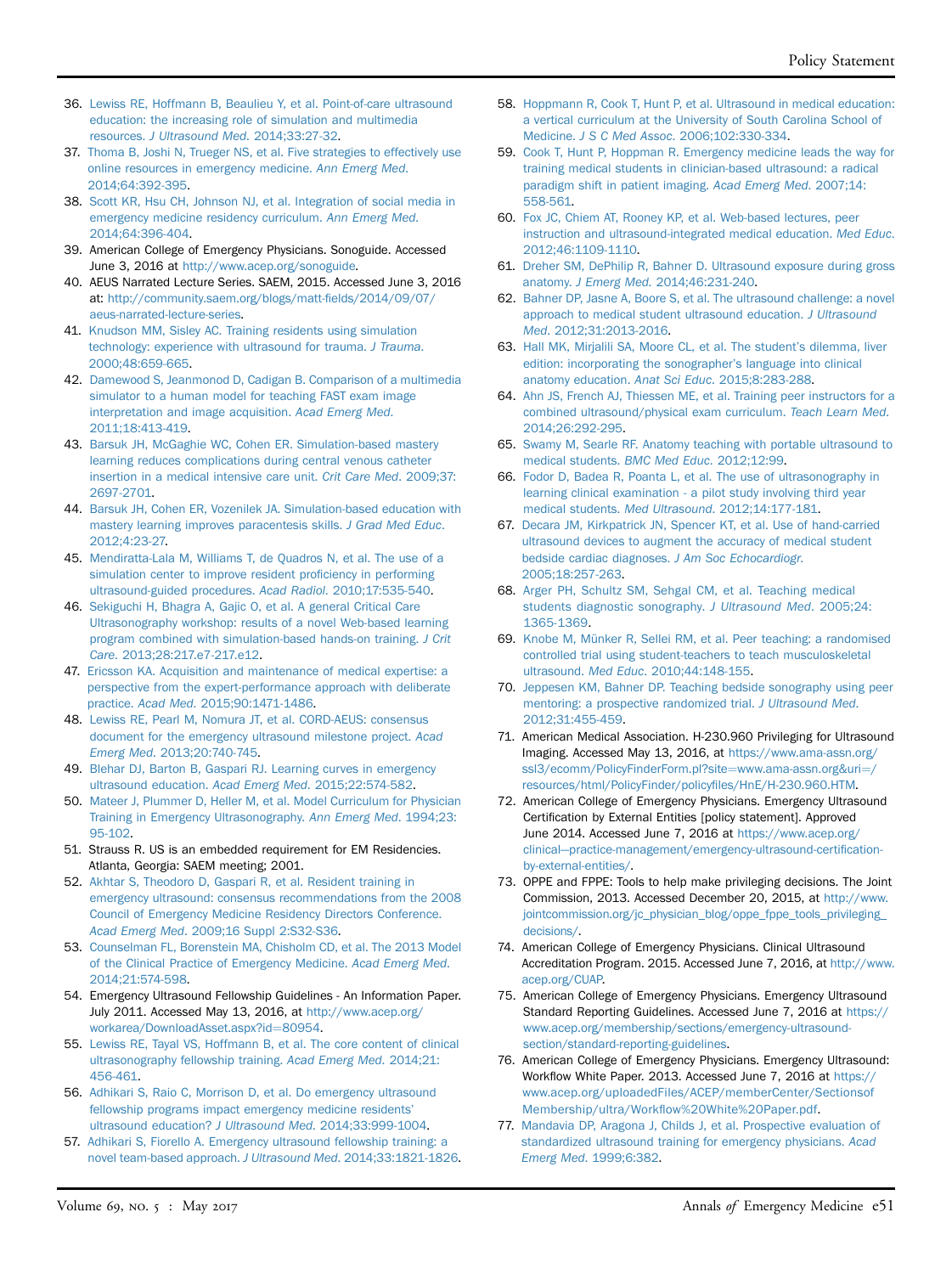- <span id="page-24-1"></span>36. [Lewiss RE, Hoffmann B, Beaulieu Y, et al. Point-of-care ultrasound](http://refhub.elsevier.com/S0196-0644(16)30935-0/sref36) [education: the increasing role of simulation and multimedia](http://refhub.elsevier.com/S0196-0644(16)30935-0/sref36) resources. [J Ultrasound Med](http://refhub.elsevier.com/S0196-0644(16)30935-0/sref36). 2014;33:27-32.
- <span id="page-24-0"></span>37. [Thoma B, Joshi N, Trueger NS, et al. Five strategies to effectively use](http://refhub.elsevier.com/S0196-0644(16)30935-0/sref37) [online resources in emergency medicine.](http://refhub.elsevier.com/S0196-0644(16)30935-0/sref37) Ann Emerg Med. [2014;64:392-395](http://refhub.elsevier.com/S0196-0644(16)30935-0/sref37).
- 38. [Scott KR, Hsu CH, Johnson NJ, et al. Integration of social media in](http://refhub.elsevier.com/S0196-0644(16)30935-0/sref38) [emergency medicine residency curriculum.](http://refhub.elsevier.com/S0196-0644(16)30935-0/sref38) Ann Emerg Med. [2014;64:396-404](http://refhub.elsevier.com/S0196-0644(16)30935-0/sref38).
- 39. American College of Emergency Physicians. Sonoguide. Accessed June 3, 2016 at <http://www.acep.org/sonoguide>.
- 40. AEUS Narrated Lecture Series. SAEM, 2015. Accessed June 3, 2016 at: [http://community.saem.org/blogs/matt-](http://community.saem.org/blogs/matt-fields/2014/09/07/aeus-narrated-lecture-series)fields/2014/09/07/ [aeus-narrated-lecture-series.](http://community.saem.org/blogs/matt-fields/2014/09/07/aeus-narrated-lecture-series)
- <span id="page-24-2"></span>41. [Knudson MM, Sisley AC. Training residents using simulation](http://refhub.elsevier.com/S0196-0644(16)30935-0/sref41) [technology: experience with ultrasound for trauma.](http://refhub.elsevier.com/S0196-0644(16)30935-0/sref41) J Trauma. [2000;48:659-665](http://refhub.elsevier.com/S0196-0644(16)30935-0/sref41).
- <span id="page-24-5"></span>42. [Damewood S, Jeanmonod D, Cadigan B. Comparison of a multimedia](http://refhub.elsevier.com/S0196-0644(16)30935-0/sref42) [simulator to a human model for teaching FAST exam image](http://refhub.elsevier.com/S0196-0644(16)30935-0/sref42) [interpretation and image acquisition.](http://refhub.elsevier.com/S0196-0644(16)30935-0/sref42) Acad Emerg Med. [2011;18:413-419](http://refhub.elsevier.com/S0196-0644(16)30935-0/sref42).
- <span id="page-24-3"></span>43. [Barsuk JH, McGaghie WC, Cohen ER. Simulation-based mastery](http://refhub.elsevier.com/S0196-0644(16)30935-0/sref43) [learning reduces complications during central venous catheter](http://refhub.elsevier.com/S0196-0644(16)30935-0/sref43) [insertion in a medical intensive care unit.](http://refhub.elsevier.com/S0196-0644(16)30935-0/sref43) Crit Care Med. 2009;37: [2697-2701](http://refhub.elsevier.com/S0196-0644(16)30935-0/sref43).
- 44. [Barsuk JH, Cohen ER, Vozenilek JA. Simulation-based education with](http://refhub.elsevier.com/S0196-0644(16)30935-0/sref44) [mastery learning improves paracentesis skills.](http://refhub.elsevier.com/S0196-0644(16)30935-0/sref44) J Grad Med Educ. [2012;4:23-27.](http://refhub.elsevier.com/S0196-0644(16)30935-0/sref44)
- <span id="page-24-4"></span>45. [Mendiratta-Lala M, Williams T, de Quadros N, et al. The use of a](http://refhub.elsevier.com/S0196-0644(16)30935-0/sref45) [simulation center to improve resident pro](http://refhub.elsevier.com/S0196-0644(16)30935-0/sref45)ficiency in performing [ultrasound-guided procedures.](http://refhub.elsevier.com/S0196-0644(16)30935-0/sref45) Acad Radiol. 2010;17:535-540.
- 46. [Sekiguchi H, Bhagra A, Gajic O, et al. A general Critical Care](http://refhub.elsevier.com/S0196-0644(16)30935-0/sref46) [Ultrasonography workshop: results of a novel Web-based learning](http://refhub.elsevier.com/S0196-0644(16)30935-0/sref46) [program combined with simulation-based hands-on training.](http://refhub.elsevier.com/S0196-0644(16)30935-0/sref46) J Crit Care[. 2013;28:217.e7-217.e12](http://refhub.elsevier.com/S0196-0644(16)30935-0/sref46).
- 47. [Ericsson KA. Acquisition and maintenance of medical expertise: a](http://refhub.elsevier.com/S0196-0644(16)30935-0/sref47) [perspective from the expert-performance approach with deliberate](http://refhub.elsevier.com/S0196-0644(16)30935-0/sref47) practice. Acad Med[. 2015;90:1471-1486](http://refhub.elsevier.com/S0196-0644(16)30935-0/sref47).
- <span id="page-24-6"></span>48. [Lewiss RE, Pearl M, Nomura JT, et al. CORD-AEUS: consensus](http://refhub.elsevier.com/S0196-0644(16)30935-0/sref48) [document for the emergency ultrasound milestone project.](http://refhub.elsevier.com/S0196-0644(16)30935-0/sref48) Acad Emerg Med[. 2013;20:740-745](http://refhub.elsevier.com/S0196-0644(16)30935-0/sref48).
- <span id="page-24-7"></span>49. [Blehar DJ, Barton B, Gaspari RJ. Learning curves in emergency](http://refhub.elsevier.com/S0196-0644(16)30935-0/sref49) [ultrasound education.](http://refhub.elsevier.com/S0196-0644(16)30935-0/sref49) Acad Emerg Med. 2015;22:574-582.
- <span id="page-24-8"></span>50. [Mateer J, Plummer D, Heller M, et al. Model Curriculum for Physician](http://refhub.elsevier.com/S0196-0644(16)30935-0/sref50) [Training in Emergency Ultrasonography.](http://refhub.elsevier.com/S0196-0644(16)30935-0/sref50) Ann Emerg Med. 1994;23: [95-102.](http://refhub.elsevier.com/S0196-0644(16)30935-0/sref50)
- 51. Strauss R. US is an embedded requirement for EM Residencies. Atlanta, Georgia: SAEM meeting; 2001.
- 52. [Akhtar S, Theodoro D, Gaspari R, et al. Resident training in](http://refhub.elsevier.com/S0196-0644(16)30935-0/sref52) [emergency ultrasound: consensus recommendations from the 2008](http://refhub.elsevier.com/S0196-0644(16)30935-0/sref52) [Council of Emergency Medicine Residency Directors Conference.](http://refhub.elsevier.com/S0196-0644(16)30935-0/sref52) Acad Emerg Med[. 2009;16 Suppl 2:S32-S36.](http://refhub.elsevier.com/S0196-0644(16)30935-0/sref52)
- <span id="page-24-9"></span>53. [Counselman FL, Borenstein MA, Chisholm CD, et al. The 2013 Model](http://refhub.elsevier.com/S0196-0644(16)30935-0/sref53) [of the Clinical Practice of Emergency Medicine.](http://refhub.elsevier.com/S0196-0644(16)30935-0/sref53) Acad Emerg Med. [2014;21:574-598.](http://refhub.elsevier.com/S0196-0644(16)30935-0/sref53)
- <span id="page-24-10"></span>54. Emergency Ultrasound Fellowship Guidelines - An Information Paper. July 2011. Accessed May 13, 2016, at [http://www.acep.org/](http://www.acep.org/workarea/DownloadAsset.aspx?id=80954) [workarea/DownloadAsset.aspx?id](http://www.acep.org/workarea/DownloadAsset.aspx?id=80954)=[80954.](http://www.acep.org/workarea/DownloadAsset.aspx?id=80954)
- 55. [Lewiss RE, Tayal VS, Hoffmann B, et al. The core content of clinical](http://refhub.elsevier.com/S0196-0644(16)30935-0/sref55) [ultrasonography fellowship training.](http://refhub.elsevier.com/S0196-0644(16)30935-0/sref55) Acad Emerg Med. 2014;21: [456-461.](http://refhub.elsevier.com/S0196-0644(16)30935-0/sref55)
- <span id="page-24-11"></span>56. [Adhikari S, Raio C, Morrison D, et al. Do emergency ultrasound](http://refhub.elsevier.com/S0196-0644(16)30935-0/sref56) [fellowship programs impact emergency medicine residents](http://refhub.elsevier.com/S0196-0644(16)30935-0/sref56)' [ultrasound education?](http://refhub.elsevier.com/S0196-0644(16)30935-0/sref56) J Ultrasound Med. 2014;33:999-1004.
- <span id="page-24-12"></span>57. [Adhikari S, Fiorello A. Emergency ultrasound fellowship training: a](http://refhub.elsevier.com/S0196-0644(16)30935-0/sref57) [novel team-based approach.](http://refhub.elsevier.com/S0196-0644(16)30935-0/sref57) J Ultrasound Med. 2014;33:1821-1826.
- <span id="page-24-13"></span>58. [Hoppmann R, Cook T, Hunt P, et al. Ultrasound in medical education:](http://refhub.elsevier.com/S0196-0644(16)30935-0/sref58) [a vertical curriculum at the University of South Carolina School of](http://refhub.elsevier.com/S0196-0644(16)30935-0/sref58) Medicine. J S C Med Assoc[. 2006;102:330-334.](http://refhub.elsevier.com/S0196-0644(16)30935-0/sref58)
- 59. [Cook T, Hunt P, Hoppman R. Emergency medicine leads the way for](http://refhub.elsevier.com/S0196-0644(16)30935-0/sref59) [training medical students in clinician-based ultrasound: a radical](http://refhub.elsevier.com/S0196-0644(16)30935-0/sref59) [paradigm shift in patient imaging.](http://refhub.elsevier.com/S0196-0644(16)30935-0/sref59) Acad Emerg Med. 2007;14: [558-561](http://refhub.elsevier.com/S0196-0644(16)30935-0/sref59).
- <span id="page-24-15"></span>60. [Fox JC, Chiem AT, Rooney KP, et al. Web-based lectures, peer](http://refhub.elsevier.com/S0196-0644(16)30935-0/sref60) [instruction and ultrasound-integrated medical education.](http://refhub.elsevier.com/S0196-0644(16)30935-0/sref60) Med Educ. [2012;46:1109-1110](http://refhub.elsevier.com/S0196-0644(16)30935-0/sref60).
- 61. [Dreher SM, DePhilip R, Bahner D. Ultrasound exposure during gross](http://refhub.elsevier.com/S0196-0644(16)30935-0/sref61) anatomy. J Emerg Med[. 2014;46:231-240.](http://refhub.elsevier.com/S0196-0644(16)30935-0/sref61)
- 62. [Bahner DP, Jasne A, Boore S, et al. The ultrasound challenge: a novel](http://refhub.elsevier.com/S0196-0644(16)30935-0/sref62) [approach to medical student ultrasound education.](http://refhub.elsevier.com/S0196-0644(16)30935-0/sref62) J Ultrasound Med[. 2012;31:2013-2016](http://refhub.elsevier.com/S0196-0644(16)30935-0/sref62).
- <span id="page-24-14"></span>63. [Hall MK, Mirjalili SA, Moore CL, et al. The student](http://refhub.elsevier.com/S0196-0644(16)30935-0/sref63)'s dilemma, liver [edition: incorporating the sonographer](http://refhub.elsevier.com/S0196-0644(16)30935-0/sref63)'s language into clinical [anatomy education.](http://refhub.elsevier.com/S0196-0644(16)30935-0/sref63) Anat Sci Educ. 2015;8:283-288.
- 64. [Ahn JS, French AJ, Thiessen ME, et al. Training peer instructors for a](http://refhub.elsevier.com/S0196-0644(16)30935-0/sref64) [combined ultrasound/physical exam curriculum.](http://refhub.elsevier.com/S0196-0644(16)30935-0/sref64) Teach Learn Med. [2014;26:292-295.](http://refhub.elsevier.com/S0196-0644(16)30935-0/sref64)
- 65. [Swamy M, Searle RF. Anatomy teaching with portable ultrasound to](http://refhub.elsevier.com/S0196-0644(16)30935-0/sref65) [medical students.](http://refhub.elsevier.com/S0196-0644(16)30935-0/sref65) BMC Med Educ. 2012;12:99.
- 66. [Fodor D, Badea R, Poanta L, et al. The use of ultrasonography in](http://refhub.elsevier.com/S0196-0644(16)30935-0/sref66) [learning clinical examination - a pilot study involving third year](http://refhub.elsevier.com/S0196-0644(16)30935-0/sref66) medical students. Med Ultrasound[. 2012;14:177-181.](http://refhub.elsevier.com/S0196-0644(16)30935-0/sref66)
- 67. [Decara JM, Kirkpatrick JN, Spencer KT, et al. Use of hand-carried](http://refhub.elsevier.com/S0196-0644(16)30935-0/sref67) [ultrasound devices to augment the accuracy of medical student](http://refhub.elsevier.com/S0196-0644(16)30935-0/sref67) [bedside cardiac diagnoses.](http://refhub.elsevier.com/S0196-0644(16)30935-0/sref67) J Am Soc Echocardiogr. [2005;18:257-263](http://refhub.elsevier.com/S0196-0644(16)30935-0/sref67).
- 68. [Arger PH, Schultz SM, Sehgal CM, et al. Teaching medical](http://refhub.elsevier.com/S0196-0644(16)30935-0/sref68) [students diagnostic sonography.](http://refhub.elsevier.com/S0196-0644(16)30935-0/sref68) J Ultrasound Med. 2005;24: [1365-1369.](http://refhub.elsevier.com/S0196-0644(16)30935-0/sref68)
- 69. [Knobe M, Münker R, Sellei RM, et al. Peer teaching: a randomised](http://refhub.elsevier.com/S0196-0644(16)30935-0/sref69) [controlled trial using student-teachers to teach musculoskeletal](http://refhub.elsevier.com/S0196-0644(16)30935-0/sref69) ultrasound. Med Educ[. 2010;44:148-155](http://refhub.elsevier.com/S0196-0644(16)30935-0/sref69).
- 70. [Jeppesen KM, Bahner DP. Teaching bedside sonography using peer](http://refhub.elsevier.com/S0196-0644(16)30935-0/sref70) [mentoring: a prospective randomized trial.](http://refhub.elsevier.com/S0196-0644(16)30935-0/sref70) J Ultrasound Med. [2012;31:455-459.](http://refhub.elsevier.com/S0196-0644(16)30935-0/sref70)
- <span id="page-24-16"></span>71. American Medical Association. H-230.960 Privileging for Ultrasound Imaging. Accessed May 13, 2016, at [https://www.ama-assn.org/](https://www.ama-assn.org/ssl3/ecomm/PolicyFinderForm.pl?site=www.ama-assn.org&uri=/resources/html/PolicyFinder/policyfiles/HnE/H-230.960.HTM) [ssl3/ecomm/PolicyFinderForm.pl?site](https://www.ama-assn.org/ssl3/ecomm/PolicyFinderForm.pl?site=www.ama-assn.org&uri=/resources/html/PolicyFinder/policyfiles/HnE/H-230.960.HTM)=[www.ama-assn.org&uri](https://www.ama-assn.org/ssl3/ecomm/PolicyFinderForm.pl?site=www.ama-assn.org&uri=/resources/html/PolicyFinder/policyfiles/HnE/H-230.960.HTM)=[/](https://www.ama-assn.org/ssl3/ecomm/PolicyFinderForm.pl?site=www.ama-assn.org&uri=/resources/html/PolicyFinder/policyfiles/HnE/H-230.960.HTM) [resources/html/PolicyFinder/policy](https://www.ama-assn.org/ssl3/ecomm/PolicyFinderForm.pl?site=www.ama-assn.org&uri=/resources/html/PolicyFinder/policyfiles/HnE/H-230.960.HTM)files/HnE/H-230.960.HTM.
- <span id="page-24-17"></span>72. American College of Emergency Physicians. Emergency Ultrasound Certification by External Entities [policy statement]. Approved June 2014. Accessed June 7, 2016 at [https://www.acep.org/](https://www.acep.org/clinical%97practice-management/emergency-ultrasound-certification-by-external-entities/) [clinical](https://www.acep.org/clinical%97practice-management/emergency-ultrasound-certification-by-external-entities/)—[practice-management/emergency-ultrasound-certi](https://www.acep.org/clinical%97practice-management/emergency-ultrasound-certification-by-external-entities/)fication[by-external-entities/.](https://www.acep.org/clinical%97practice-management/emergency-ultrasound-certification-by-external-entities/)
- <span id="page-24-18"></span>73. OPPE and FPPE: Tools to help make privileging decisions. The Joint Commission, 2013. Accessed December 20, 2015, at [http://www.](http://www.jointcommission.org/jc_physician_blog/oppe_fppe_tools_privileging_decisions/) [jointcommission.org/jc\\_physician\\_blog/oppe\\_fppe\\_tools\\_privileging\\_](http://www.jointcommission.org/jc_physician_blog/oppe_fppe_tools_privileging_decisions/) [decisions/](http://www.jointcommission.org/jc_physician_blog/oppe_fppe_tools_privileging_decisions/).
- <span id="page-24-19"></span>74. American College of Emergency Physicians. Clinical Ultrasound Accreditation Program. 2015. Accessed June 7, 2016, at [http://www.](http://www.acep.org/CUAP) [acep.org/CUAP.](http://www.acep.org/CUAP)
- <span id="page-24-20"></span>75. American College of Emergency Physicians. Emergency Ultrasound Standard Reporting Guidelines. Accessed June 7, 2016 at [https://](https://www.acep.org/membership/sections/emergency-ultrasound-section/standard-reporting-guidelines) [www.acep.org/membership/sections/emergency-ultrasound](https://www.acep.org/membership/sections/emergency-ultrasound-section/standard-reporting-guidelines)[section/standard-reporting-guidelines.](https://www.acep.org/membership/sections/emergency-ultrasound-section/standard-reporting-guidelines)
- <span id="page-24-21"></span>76. American College of Emergency Physicians. Emergency Ultrasound: Workflow White Paper. 2013. Accessed June 7, 2016 at [https://](https://www.acep.org/uploadedFiles/ACEP/memberCenter/SectionsofMembership/ultra/Workflow%20White%20Paper.pdf) [www.acep.org/uploadedFiles/ACEP/memberCenter/Sectionsof](https://www.acep.org/uploadedFiles/ACEP/memberCenter/SectionsofMembership/ultra/Workflow%20White%20Paper.pdf) Membership/ultra/Workfl[ow%20White%20Paper.pdf](https://www.acep.org/uploadedFiles/ACEP/memberCenter/SectionsofMembership/ultra/Workflow%20White%20Paper.pdf).
- <span id="page-24-22"></span>77. [Mandavia DP, Aragona J, Childs J, et al. Prospective evaluation of](http://refhub.elsevier.com/S0196-0644(16)30935-0/sref77) [standardized ultrasound training for emergency physicians.](http://refhub.elsevier.com/S0196-0644(16)30935-0/sref77) Acad Emerg Med[. 1999;6:382.](http://refhub.elsevier.com/S0196-0644(16)30935-0/sref77)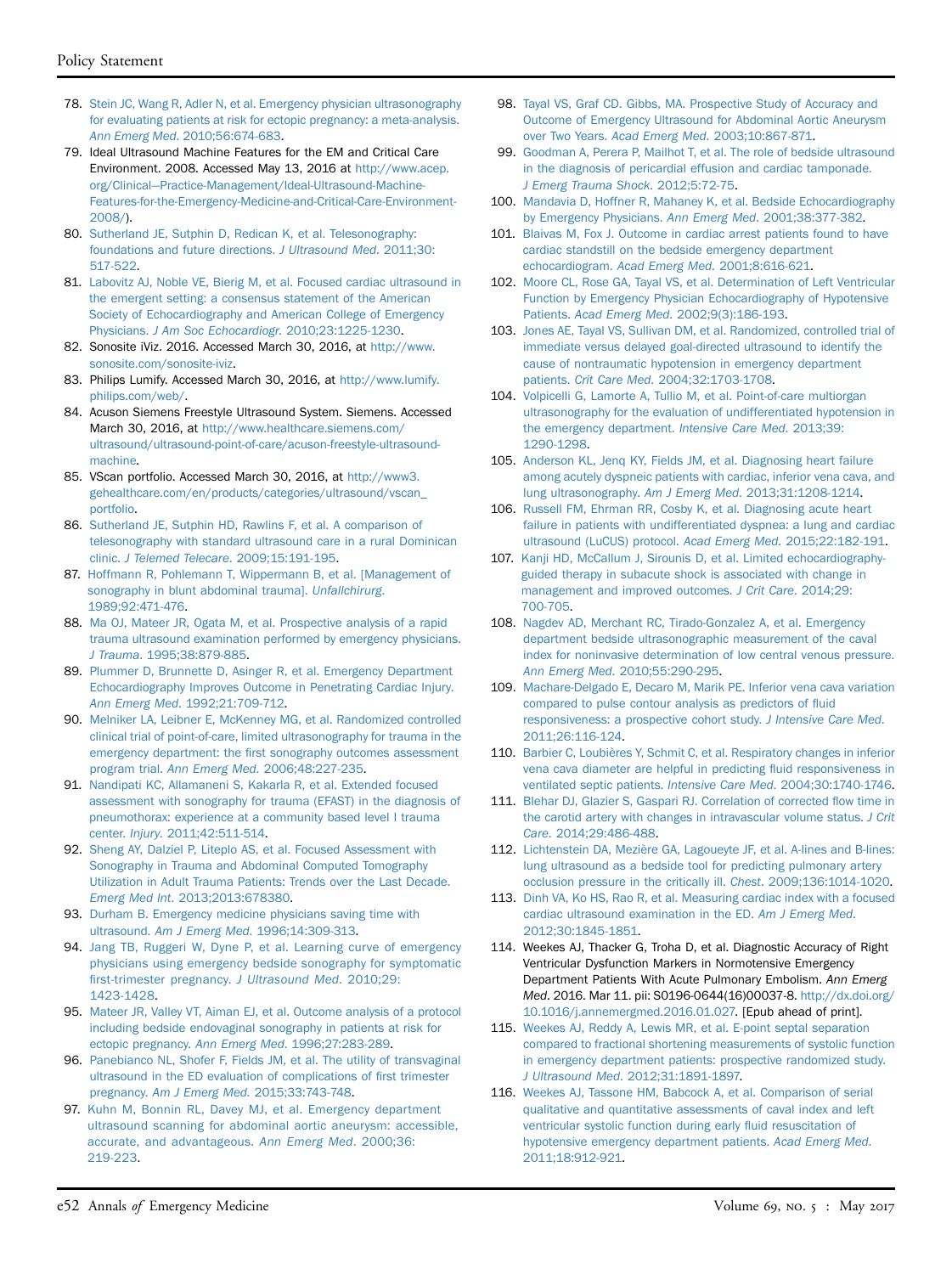- 78. [Stein JC, Wang R, Adler N, et al. Emergency physician ultrasonography](http://refhub.elsevier.com/S0196-0644(16)30935-0/sref78) [for evaluating patients at risk for ectopic pregnancy: a meta-analysis.](http://refhub.elsevier.com/S0196-0644(16)30935-0/sref78) Ann Emerg Med[. 2010;56:674-683.](http://refhub.elsevier.com/S0196-0644(16)30935-0/sref78)
- <span id="page-25-0"></span>79. Ideal Ultrasound Machine Features for the EM and Critical Care Environment. 2008. Accessed May 13, 2016 at [http://www.acep.](http://www.acep.org/Clinical%97Practice-Management/Ideal-Ultrasound-Machine-Features-for-the-Emergency-Medicine-and-Critical-Care-Environment-2008/) [org/Clinical](http://www.acep.org/Clinical%97Practice-Management/Ideal-Ultrasound-Machine-Features-for-the-Emergency-Medicine-and-Critical-Care-Environment-2008/)—[Practice-Management/Ideal-Ultrasound-Machine-](http://www.acep.org/Clinical%97Practice-Management/Ideal-Ultrasound-Machine-Features-for-the-Emergency-Medicine-and-Critical-Care-Environment-2008/)[Features-for-the-Emergency-Medicine-and-Critical-Care-Environment-](http://www.acep.org/Clinical%97Practice-Management/Ideal-Ultrasound-Machine-Features-for-the-Emergency-Medicine-and-Critical-Care-Environment-2008/)[2008/](http://www.acep.org/Clinical%97Practice-Management/Ideal-Ultrasound-Machine-Features-for-the-Emergency-Medicine-and-Critical-Care-Environment-2008/)).
- <span id="page-25-1"></span>80. [Sutherland JE, Sutphin D, Redican K, et al. Telesonography:](http://refhub.elsevier.com/S0196-0644(16)30935-0/sref80) [foundations and future directions.](http://refhub.elsevier.com/S0196-0644(16)30935-0/sref80) J Ultrasound Med. 2011;30: [517-522.](http://refhub.elsevier.com/S0196-0644(16)30935-0/sref80)
- <span id="page-25-2"></span>81. [Labovitz AJ, Noble VE, Bierig M, et al. Focused cardiac ultrasound in](http://refhub.elsevier.com/S0196-0644(16)30935-0/sref81) [the emergent setting: a consensus statement of the American](http://refhub.elsevier.com/S0196-0644(16)30935-0/sref81) [Society of Echocardiography and American College of Emergency](http://refhub.elsevier.com/S0196-0644(16)30935-0/sref81) Physicians. [J Am Soc Echocardiogr](http://refhub.elsevier.com/S0196-0644(16)30935-0/sref81). 2010;23:1225-1230.
- <span id="page-25-3"></span>82. Sonosite iViz. 2016. Accessed March 30, 2016, at [http://www.](http://www.sonosite.com/sonosite-iviz) [sonosite.com/sonosite-iviz](http://www.sonosite.com/sonosite-iviz).
- 83. Philips Lumify. Accessed March 30, 2016, at [http://www.lumify.](http://www.lumify.philips.com/web/) [philips.com/web/.](http://www.lumify.philips.com/web/)
- 84. Acuson Siemens Freestyle Ultrasound System. Siemens. Accessed March 30, 2016, at [http://www.healthcare.siemens.com/](http://www.healthcare.siemens.com/ultrasound/ultrasound-point-of-care/acuson-freestyle-ultrasound-machine) [ultrasound/ultrasound-point-of-care/acuson-freestyle-ultrasound](http://www.healthcare.siemens.com/ultrasound/ultrasound-point-of-care/acuson-freestyle-ultrasound-machine)[machine.](http://www.healthcare.siemens.com/ultrasound/ultrasound-point-of-care/acuson-freestyle-ultrasound-machine)
- 85. VScan portfolio. Accessed March 30, 2016, at [http://www3.](http://www3.gehealthcare.com/en/products/categories/ultrasound/vscan_portfolio) [gehealthcare.com/en/products/categories/ultrasound/vscan\\_](http://www3.gehealthcare.com/en/products/categories/ultrasound/vscan_portfolio) [portfolio](http://www3.gehealthcare.com/en/products/categories/ultrasound/vscan_portfolio).
- 86. [Sutherland JE, Sutphin HD, Rawlins F, et al. A comparison of](http://refhub.elsevier.com/S0196-0644(16)30935-0/sref86) [telesonography with standard ultrasound care in a rural Dominican](http://refhub.elsevier.com/S0196-0644(16)30935-0/sref86) clinic. J Telemed Telecare[. 2009;15:191-195.](http://refhub.elsevier.com/S0196-0644(16)30935-0/sref86)
- <span id="page-25-4"></span>87. [Hoffmann R, Pohlemann T, Wippermann B, et al. \[Management of](http://refhub.elsevier.com/S0196-0644(16)30935-0/sref87) [sonography in blunt abdominal trauma\].](http://refhub.elsevier.com/S0196-0644(16)30935-0/sref87) Unfallchirurg. [1989;92:471-476](http://refhub.elsevier.com/S0196-0644(16)30935-0/sref87).
- <span id="page-25-5"></span>88. [Ma OJ, Mateer JR, Ogata M, et al. Prospective analysis of a rapid](http://refhub.elsevier.com/S0196-0644(16)30935-0/sref88) [trauma ultrasound examination performed by emergency physicians.](http://refhub.elsevier.com/S0196-0644(16)30935-0/sref88) J Trauma[. 1995;38:879-885](http://refhub.elsevier.com/S0196-0644(16)30935-0/sref88).
- <span id="page-25-6"></span>89. [Plummer D, Brunnette D, Asinger R, et al. Emergency Department](http://refhub.elsevier.com/S0196-0644(16)30935-0/sref89) [Echocardiography Improves Outcome in Penetrating Cardiac Injury.](http://refhub.elsevier.com/S0196-0644(16)30935-0/sref89) Ann Emerg Med[. 1992;21:709-712.](http://refhub.elsevier.com/S0196-0644(16)30935-0/sref89)
- <span id="page-25-7"></span>90. [Melniker LA, Leibner E, McKenney MG, et al. Randomized controlled](http://refhub.elsevier.com/S0196-0644(16)30935-0/sref90) [clinical trial of point-of-care, limited ultrasonography for trauma in the](http://refhub.elsevier.com/S0196-0644(16)30935-0/sref90) emergency department: the fi[rst sonography outcomes assessment](http://refhub.elsevier.com/S0196-0644(16)30935-0/sref90) program trial. Ann Emerg Med[. 2006;48:227-235](http://refhub.elsevier.com/S0196-0644(16)30935-0/sref90).
- <span id="page-25-8"></span>91. [Nandipati KC, Allamaneni S, Kakarla R, et al. Extended focused](http://refhub.elsevier.com/S0196-0644(16)30935-0/sref91) [assessment with sonography for trauma \(EFAST\) in the diagnosis of](http://refhub.elsevier.com/S0196-0644(16)30935-0/sref91) [pneumothorax: experience at a community based level I trauma](http://refhub.elsevier.com/S0196-0644(16)30935-0/sref91) center. Injury[. 2011;42:511-514.](http://refhub.elsevier.com/S0196-0644(16)30935-0/sref91)
- <span id="page-25-9"></span>92. [Sheng AY, Dalziel P, Liteplo AS, et al. Focused Assessment with](http://refhub.elsevier.com/S0196-0644(16)30935-0/sref92) [Sonography in Trauma and Abdominal Computed Tomography](http://refhub.elsevier.com/S0196-0644(16)30935-0/sref92) [Utilization in Adult Trauma Patients: Trends over the Last Decade.](http://refhub.elsevier.com/S0196-0644(16)30935-0/sref92) Emerg Med Int[. 2013;2013:678380](http://refhub.elsevier.com/S0196-0644(16)30935-0/sref92).
- <span id="page-25-10"></span>93. [Durham B. Emergency medicine physicians saving time with](http://refhub.elsevier.com/S0196-0644(16)30935-0/sref93) ultrasound. Am J Emerg Med[. 1996;14:309-313.](http://refhub.elsevier.com/S0196-0644(16)30935-0/sref93)
- 94. [Jang TB, Ruggeri W, Dyne P, et al. Learning curve of emergency](http://refhub.elsevier.com/S0196-0644(16)30935-0/sref94) [physicians using emergency bedside sonography for symptomatic](http://refhub.elsevier.com/S0196-0644(16)30935-0/sref94) fi[rst-trimester pregnancy.](http://refhub.elsevier.com/S0196-0644(16)30935-0/sref94) J Ultrasound Med. 2010;29: [1423-1428](http://refhub.elsevier.com/S0196-0644(16)30935-0/sref94).
- <span id="page-25-11"></span>95. [Mateer JR, Valley VT, Aiman EJ, et al. Outcome analysis of a protocol](http://refhub.elsevier.com/S0196-0644(16)30935-0/sref95) [including bedside endovaginal sonography in patients at risk for](http://refhub.elsevier.com/S0196-0644(16)30935-0/sref95) ectopic pregnancy. Ann Emerg Med[. 1996;27:283-289.](http://refhub.elsevier.com/S0196-0644(16)30935-0/sref95)
- <span id="page-25-12"></span>96. [Panebianco NL, Shofer F, Fields JM, et al. The utility of transvaginal](http://refhub.elsevier.com/S0196-0644(16)30935-0/sref96) [ultrasound in the ED evaluation of complications of](http://refhub.elsevier.com/S0196-0644(16)30935-0/sref96) first trimester pregnancy. Am J Emerg Med[. 2015;33:743-748](http://refhub.elsevier.com/S0196-0644(16)30935-0/sref96).
- <span id="page-25-13"></span>97. [Kuhn M, Bonnin RL, Davey MJ, et al. Emergency department](http://refhub.elsevier.com/S0196-0644(16)30935-0/sref97) [ultrasound scanning for abdominal aortic aneurysm: accessible,](http://refhub.elsevier.com/S0196-0644(16)30935-0/sref97) [accurate, and advantageous.](http://refhub.elsevier.com/S0196-0644(16)30935-0/sref97) Ann Emerg Med. 2000;36: [219-223](http://refhub.elsevier.com/S0196-0644(16)30935-0/sref97).
- <span id="page-25-14"></span>98. [Tayal VS, Graf CD. Gibbs, MA. Prospective Study of Accuracy and](http://refhub.elsevier.com/S0196-0644(16)30935-0/sref98) [Outcome of Emergency Ultrasound for Abdominal Aortic Aneurysm](http://refhub.elsevier.com/S0196-0644(16)30935-0/sref98) over Two Years. Acad Emerg Med[. 2003;10:867-871](http://refhub.elsevier.com/S0196-0644(16)30935-0/sref98).
- 99. [Goodman A, Perera P, Mailhot T, et al. The role of bedside ultrasound](http://refhub.elsevier.com/S0196-0644(16)30935-0/sref99) [in the diagnosis of pericardial effusion and cardiac tamponade.](http://refhub.elsevier.com/S0196-0644(16)30935-0/sref99) [J Emerg Trauma Shock](http://refhub.elsevier.com/S0196-0644(16)30935-0/sref99). 2012;5:72-75.
- <span id="page-25-15"></span>100. [Mandavia D, Hoffner R, Mahaney K, et al. Bedside Echocardiography](http://refhub.elsevier.com/S0196-0644(16)30935-0/sref100) [by Emergency Physicians.](http://refhub.elsevier.com/S0196-0644(16)30935-0/sref100) Ann Emerg Med. 2001;38:377-382.
- <span id="page-25-16"></span>101. [Blaivas M, Fox J. Outcome in cardiac arrest patients found to have](http://refhub.elsevier.com/S0196-0644(16)30935-0/sref101) [cardiac standstill on the bedside emergency department](http://refhub.elsevier.com/S0196-0644(16)30935-0/sref101) echocardiogram. Acad Emerg Med[. 2001;8:616-621](http://refhub.elsevier.com/S0196-0644(16)30935-0/sref101).
- <span id="page-25-17"></span>102. [Moore CL, Rose GA, Tayal VS, et al. Determination of Left Ventricular](http://refhub.elsevier.com/S0196-0644(16)30935-0/sref102) [Function by Emergency Physician Echocardiography of Hypotensive](http://refhub.elsevier.com/S0196-0644(16)30935-0/sref102) Patients. Acad Emerg Med[. 2002;9\(3\):186-193](http://refhub.elsevier.com/S0196-0644(16)30935-0/sref102).
- 103. [Jones AE, Tayal VS, Sullivan DM, et al. Randomized, controlled trial of](http://refhub.elsevier.com/S0196-0644(16)30935-0/sref103) [immediate versus delayed goal-directed ultrasound to identify the](http://refhub.elsevier.com/S0196-0644(16)30935-0/sref103) [cause of nontraumatic hypotension in emergency department](http://refhub.elsevier.com/S0196-0644(16)30935-0/sref103) patients. Crit Care Med[. 2004;32:1703-1708.](http://refhub.elsevier.com/S0196-0644(16)30935-0/sref103)
- 104. [Volpicelli G, Lamorte A, Tullio M, et al. Point-of-care multiorgan](http://refhub.elsevier.com/S0196-0644(16)30935-0/sref104) [ultrasonography for the evaluation of undifferentiated hypotension in](http://refhub.elsevier.com/S0196-0644(16)30935-0/sref104) [the emergency department.](http://refhub.elsevier.com/S0196-0644(16)30935-0/sref104) Intensive Care Med. 2013;39: [1290-1298.](http://refhub.elsevier.com/S0196-0644(16)30935-0/sref104)
- <span id="page-25-18"></span>105. [Anderson KL, Jenq KY, Fields JM, et al. Diagnosing heart failure](http://refhub.elsevier.com/S0196-0644(16)30935-0/sref105) [among acutely dyspneic patients with cardiac, inferior vena cava, and](http://refhub.elsevier.com/S0196-0644(16)30935-0/sref105) lung ultrasonography. Am J Emerg Med[. 2013;31:1208-1214.](http://refhub.elsevier.com/S0196-0644(16)30935-0/sref105)
- 106. [Russell FM, Ehrman RR, Cosby K, et al. Diagnosing acute heart](http://refhub.elsevier.com/S0196-0644(16)30935-0/sref106) [failure in patients with undifferentiated dyspnea: a lung and cardiac](http://refhub.elsevier.com/S0196-0644(16)30935-0/sref106) [ultrasound \(LuCUS\) protocol.](http://refhub.elsevier.com/S0196-0644(16)30935-0/sref106) Acad Emerg Med. 2015;22:182-191.
- <span id="page-25-19"></span>107. [Kanji HD, McCallum J, Sirounis D, et al. Limited echocardiography](http://refhub.elsevier.com/S0196-0644(16)30935-0/sref107)[guided therapy in subacute shock is associated with change in](http://refhub.elsevier.com/S0196-0644(16)30935-0/sref107) [management and improved outcomes.](http://refhub.elsevier.com/S0196-0644(16)30935-0/sref107) J Crit Care. 2014;29: [700-705](http://refhub.elsevier.com/S0196-0644(16)30935-0/sref107).
- 108. [Nagdev AD, Merchant RC, Tirado-Gonzalez A, et al. Emergency](http://refhub.elsevier.com/S0196-0644(16)30935-0/sref108) [department bedside ultrasonographic measurement of the caval](http://refhub.elsevier.com/S0196-0644(16)30935-0/sref108) [index for noninvasive determination of low central venous pressure.](http://refhub.elsevier.com/S0196-0644(16)30935-0/sref108) Ann Emerg Med[. 2010;55:290-295.](http://refhub.elsevier.com/S0196-0644(16)30935-0/sref108)
- 109. [Machare-Delgado E, Decaro M, Marik PE. Inferior vena cava variation](http://refhub.elsevier.com/S0196-0644(16)30935-0/sref109) [compared to pulse contour analysis as predictors of](http://refhub.elsevier.com/S0196-0644(16)30935-0/sref109) fluid [responsiveness: a prospective cohort study.](http://refhub.elsevier.com/S0196-0644(16)30935-0/sref109) J Intensive Care Med. [2011;26:116-124](http://refhub.elsevier.com/S0196-0644(16)30935-0/sref109).
- 110. [Barbier C, Loubières Y, Schmit C, et al. Respiratory changes in inferior](http://refhub.elsevier.com/S0196-0644(16)30935-0/sref110) [vena cava diameter are helpful in predicting](http://refhub.elsevier.com/S0196-0644(16)30935-0/sref110) fluid responsiveness in [ventilated septic patients.](http://refhub.elsevier.com/S0196-0644(16)30935-0/sref110) Intensive Care Med. 2004;30:1740-1746.
- 111. [Blehar DJ, Glazier S, Gaspari RJ. Correlation of corrected](http://refhub.elsevier.com/S0196-0644(16)30935-0/sref111) flow time in [the carotid artery with changes in intravascular volume status.](http://refhub.elsevier.com/S0196-0644(16)30935-0/sref111) J Crit Care[. 2014;29:486-488.](http://refhub.elsevier.com/S0196-0644(16)30935-0/sref111)
- 112. [Lichtenstein DA, Mezière GA, Lagoueyte JF, et al. A-lines and B-lines:](http://refhub.elsevier.com/S0196-0644(16)30935-0/sref112) [lung ultrasound as a bedside tool for predicting pulmonary artery](http://refhub.elsevier.com/S0196-0644(16)30935-0/sref112) [occlusion pressure in the critically ill.](http://refhub.elsevier.com/S0196-0644(16)30935-0/sref112) Chest. 2009;136:1014-1020.
- 113. [Dinh VA, Ko HS, Rao R, et al. Measuring cardiac index with a focused](http://refhub.elsevier.com/S0196-0644(16)30935-0/sref113) [cardiac ultrasound examination in the ED.](http://refhub.elsevier.com/S0196-0644(16)30935-0/sref113) Am J Emerg Med. [2012;30:1845-1851.](http://refhub.elsevier.com/S0196-0644(16)30935-0/sref113)
- 114. Weekes AJ, Thacker G, Troha D, et al. Diagnostic Accuracy of Right Ventricular Dysfunction Markers in Normotensive Emergency Department Patients With Acute Pulmonary Embolism. Ann Emerg Med. 2016. Mar 11. pii: S0196-0644(16)00037-8. [http://dx.doi.org/](http://dx.doi.org/10.1016/j.annemergmed.2016.01.027) [10.1016/j.annemergmed.2016.01.027.](http://dx.doi.org/10.1016/j.annemergmed.2016.01.027) [Epub ahead of print].
- 115. [Weekes AJ, Reddy A, Lewis MR, et al. E-point septal separation](http://refhub.elsevier.com/S0196-0644(16)30935-0/sref115) [compared to fractional shortening measurements of systolic function](http://refhub.elsevier.com/S0196-0644(16)30935-0/sref115) [in emergency department patients: prospective randomized study.](http://refhub.elsevier.com/S0196-0644(16)30935-0/sref115) J Ultrasound Med[. 2012;31:1891-1897.](http://refhub.elsevier.com/S0196-0644(16)30935-0/sref115)
- 116. [Weekes AJ, Tassone HM, Babcock A, et al. Comparison of serial](http://refhub.elsevier.com/S0196-0644(16)30935-0/sref116) [qualitative and quantitative assessments of caval index and left](http://refhub.elsevier.com/S0196-0644(16)30935-0/sref116) [ventricular systolic function during early](http://refhub.elsevier.com/S0196-0644(16)30935-0/sref116) fluid resuscitation of [hypotensive emergency department patients.](http://refhub.elsevier.com/S0196-0644(16)30935-0/sref116) Acad Emerg Med. [2011;18:912-921](http://refhub.elsevier.com/S0196-0644(16)30935-0/sref116).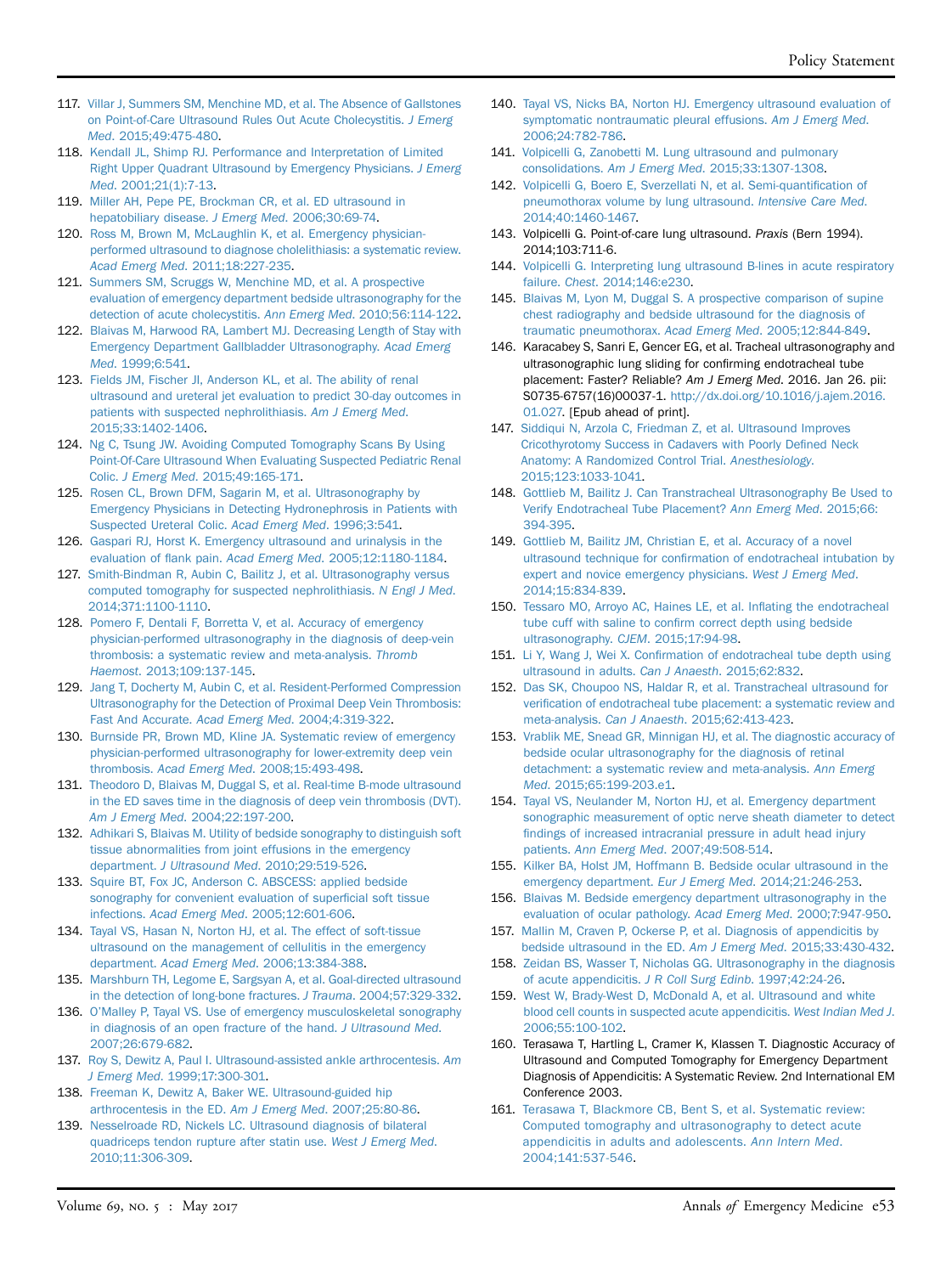- <span id="page-26-0"></span>117. [Villar J, Summers SM, Menchine MD, et al. The Absence of Gallstones](http://refhub.elsevier.com/S0196-0644(16)30935-0/sref117) [on Point-of-Care Ultrasound Rules Out Acute Cholecystitis.](http://refhub.elsevier.com/S0196-0644(16)30935-0/sref117) J Emerg Med[. 2015;49:475-480](http://refhub.elsevier.com/S0196-0644(16)30935-0/sref117).
- <span id="page-26-1"></span>118. [Kendall JL, Shimp RJ. Performance and Interpretation of Limited](http://refhub.elsevier.com/S0196-0644(16)30935-0/sref118) [Right Upper Quadrant Ultrasound by Emergency Physicians.](http://refhub.elsevier.com/S0196-0644(16)30935-0/sref118) J Emerg Med[. 2001;21\(1\):7-13](http://refhub.elsevier.com/S0196-0644(16)30935-0/sref118).
- 119. [Miller AH, Pepe PE, Brockman CR, et al. ED ultrasound in](http://refhub.elsevier.com/S0196-0644(16)30935-0/sref119) [hepatobiliary disease.](http://refhub.elsevier.com/S0196-0644(16)30935-0/sref119) J Emerg Med. 2006;30:69-74.
- 120. [Ross M, Brown M, McLaughlin K, et al. Emergency physician](http://refhub.elsevier.com/S0196-0644(16)30935-0/sref120)[performed ultrasound to diagnose cholelithiasis: a systematic review.](http://refhub.elsevier.com/S0196-0644(16)30935-0/sref120) Acad Emerg Med[. 2011;18:227-235](http://refhub.elsevier.com/S0196-0644(16)30935-0/sref120).
- 121. [Summers SM, Scruggs W, Menchine MD, et al. A prospective](http://refhub.elsevier.com/S0196-0644(16)30935-0/sref121) [evaluation of emergency department bedside ultrasonography for the](http://refhub.elsevier.com/S0196-0644(16)30935-0/sref121) [detection of acute cholecystitis.](http://refhub.elsevier.com/S0196-0644(16)30935-0/sref121) Ann Emerg Med. 2010;56:114-122.
- <span id="page-26-2"></span>122. [Blaivas M, Harwood RA, Lambert MJ. Decreasing Length of Stay with](http://refhub.elsevier.com/S0196-0644(16)30935-0/sref122) [Emergency Department Gallbladder Ultrasonography.](http://refhub.elsevier.com/S0196-0644(16)30935-0/sref122) Acad Emerg Med[. 1999;6:541.](http://refhub.elsevier.com/S0196-0644(16)30935-0/sref122)
- <span id="page-26-3"></span>123. [Fields JM, Fischer JI, Anderson KL, et al. The ability of renal](http://refhub.elsevier.com/S0196-0644(16)30935-0/sref123) [ultrasound and ureteral jet evaluation to predict 30-day outcomes in](http://refhub.elsevier.com/S0196-0644(16)30935-0/sref123) [patients with suspected nephrolithiasis.](http://refhub.elsevier.com/S0196-0644(16)30935-0/sref123) Am J Emerg Med. [2015;33:1402-1406](http://refhub.elsevier.com/S0196-0644(16)30935-0/sref123).
- 124. [Ng C, Tsung JW. Avoiding Computed Tomography Scans By Using](http://refhub.elsevier.com/S0196-0644(16)30935-0/sref124) [Point-Of-Care Ultrasound When Evaluating Suspected Pediatric Renal](http://refhub.elsevier.com/S0196-0644(16)30935-0/sref124) Colic. J Emerg Med[. 2015;49:165-171](http://refhub.elsevier.com/S0196-0644(16)30935-0/sref124).
- <span id="page-26-4"></span>125. [Rosen CL, Brown DFM, Sagarin M, et al. Ultrasonography by](http://refhub.elsevier.com/S0196-0644(16)30935-0/sref125) [Emergency Physicians in Detecting Hydronephrosis in Patients with](http://refhub.elsevier.com/S0196-0644(16)30935-0/sref125) [Suspected Ureteral Colic.](http://refhub.elsevier.com/S0196-0644(16)30935-0/sref125) Acad Emerg Med. 1996;3:541.
- 126. [Gaspari RJ, Horst K. Emergency ultrasound and urinalysis in the](http://refhub.elsevier.com/S0196-0644(16)30935-0/sref126) evaluation of flank pain. Acad Emerg Med[. 2005;12:1180-1184.](http://refhub.elsevier.com/S0196-0644(16)30935-0/sref126)
- <span id="page-26-5"></span>127. [Smith-Bindman R, Aubin C, Bailitz J, et al. Ultrasonography versus](http://refhub.elsevier.com/S0196-0644(16)30935-0/sref127) [computed tomography for suspected nephrolithiasis.](http://refhub.elsevier.com/S0196-0644(16)30935-0/sref127) N Engl J Med. [2014;371:1100-1110.](http://refhub.elsevier.com/S0196-0644(16)30935-0/sref127)
- <span id="page-26-6"></span>128. [Pomero F, Dentali F, Borretta V, et al. Accuracy of emergency](http://refhub.elsevier.com/S0196-0644(16)30935-0/sref128) [physician-performed ultrasonography in the diagnosis of deep-vein](http://refhub.elsevier.com/S0196-0644(16)30935-0/sref128) [thrombosis: a systematic review and meta-analysis.](http://refhub.elsevier.com/S0196-0644(16)30935-0/sref128) Thromb Haemost[. 2013;109:137-145](http://refhub.elsevier.com/S0196-0644(16)30935-0/sref128).
- 129. [Jang T, Docherty M, Aubin C, et al. Resident-Performed Compression](http://refhub.elsevier.com/S0196-0644(16)30935-0/sref129) [Ultrasonography for the Detection of Proximal Deep Vein Thrombosis:](http://refhub.elsevier.com/S0196-0644(16)30935-0/sref129) [Fast And Accurate.](http://refhub.elsevier.com/S0196-0644(16)30935-0/sref129) Acad Emerg Med. 2004;4:319-322.
- 130. [Burnside PR, Brown MD, Kline JA. Systematic review of emergency](http://refhub.elsevier.com/S0196-0644(16)30935-0/sref130) [physician-performed ultrasonography for lower-extremity deep vein](http://refhub.elsevier.com/S0196-0644(16)30935-0/sref130) thrombosis. Acad Emerg Med[. 2008;15:493-498](http://refhub.elsevier.com/S0196-0644(16)30935-0/sref130).
- <span id="page-26-7"></span>131. [Theodoro D, Blaivas M, Duggal S, et al. Real-time B-mode ultrasound](http://refhub.elsevier.com/S0196-0644(16)30935-0/sref131) [in the ED saves time in the diagnosis of deep vein thrombosis \(DVT\).](http://refhub.elsevier.com/S0196-0644(16)30935-0/sref131) Am J Emerg Med[. 2004;22:197-200.](http://refhub.elsevier.com/S0196-0644(16)30935-0/sref131)
- <span id="page-26-8"></span>132. [Adhikari S, Blaivas M. Utility of bedside sonography to distinguish soft](http://refhub.elsevier.com/S0196-0644(16)30935-0/sref132) [tissue abnormalities from joint effusions in the emergency](http://refhub.elsevier.com/S0196-0644(16)30935-0/sref132) department. J Ultrasound Med[. 2010;29:519-526.](http://refhub.elsevier.com/S0196-0644(16)30935-0/sref132)
- 133. [Squire BT, Fox JC, Anderson C. ABSCESS: applied bedside](http://refhub.elsevier.com/S0196-0644(16)30935-0/sref133) [sonography for convenient evaluation of super](http://refhub.elsevier.com/S0196-0644(16)30935-0/sref133)ficial soft tissue infections. Acad Emerg Med[. 2005;12:601-606](http://refhub.elsevier.com/S0196-0644(16)30935-0/sref133).
- <span id="page-26-9"></span>134. [Tayal VS, Hasan N, Norton HJ, et al. The effect of soft-tissue](http://refhub.elsevier.com/S0196-0644(16)30935-0/sref134) [ultrasound on the management of cellulitis in the emergency](http://refhub.elsevier.com/S0196-0644(16)30935-0/sref134) department. Acad Emerg Med[. 2006;13:384-388](http://refhub.elsevier.com/S0196-0644(16)30935-0/sref134).
- <span id="page-26-10"></span>135. [Marshburn TH, Legome E, Sargsyan A, et al. Goal-directed ultrasound](http://refhub.elsevier.com/S0196-0644(16)30935-0/sref135) [in the detection of long-bone fractures.](http://refhub.elsevier.com/S0196-0644(16)30935-0/sref135) J Trauma. 2004;57:329-332.
- <span id="page-26-17"></span>136. O'[Malley P, Tayal VS. Use of emergency musculoskeletal sonography](http://refhub.elsevier.com/S0196-0644(16)30935-0/sref136) [in diagnosis of an open fracture of the hand.](http://refhub.elsevier.com/S0196-0644(16)30935-0/sref136) J Ultrasound Med. [2007;26:679-682.](http://refhub.elsevier.com/S0196-0644(16)30935-0/sref136)
- <span id="page-26-11"></span>137. [Roy S, Dewitz A, Paul I. Ultrasound-assisted ankle arthrocentesis.](http://refhub.elsevier.com/S0196-0644(16)30935-0/sref137) Am J Emerg Med[. 1999;17:300-301](http://refhub.elsevier.com/S0196-0644(16)30935-0/sref137).
- 138. [Freeman K, Dewitz A, Baker WE. Ultrasound-guided hip](http://refhub.elsevier.com/S0196-0644(16)30935-0/sref138) [arthrocentesis in the ED.](http://refhub.elsevier.com/S0196-0644(16)30935-0/sref138) Am J Emerg Med. 2007;25:80-86.
- 139. [Nesselroade RD, Nickels LC. Ultrasound diagnosis of bilateral](http://refhub.elsevier.com/S0196-0644(16)30935-0/sref139) [quadriceps tendon rupture after statin use.](http://refhub.elsevier.com/S0196-0644(16)30935-0/sref139) West J Emerg Med. [2010;11:306-309](http://refhub.elsevier.com/S0196-0644(16)30935-0/sref139).
- <span id="page-26-12"></span>140. [Tayal VS, Nicks BA, Norton HJ. Emergency ultrasound evaluation of](http://refhub.elsevier.com/S0196-0644(16)30935-0/sref140) [symptomatic nontraumatic pleural effusions.](http://refhub.elsevier.com/S0196-0644(16)30935-0/sref140) Am J Emerg Med. [2006;24:782-786.](http://refhub.elsevier.com/S0196-0644(16)30935-0/sref140)
- 141. [Volpicelli G, Zanobetti M. Lung ultrasound and pulmonary](http://refhub.elsevier.com/S0196-0644(16)30935-0/sref141) consolidations. Am J Emerg Med[. 2015;33:1307-1308](http://refhub.elsevier.com/S0196-0644(16)30935-0/sref141).
- 142. [Volpicelli G, Boero E, Sverzellati N, et al. Semi-quanti](http://refhub.elsevier.com/S0196-0644(16)30935-0/sref142)fication of [pneumothorax volume by lung ultrasound.](http://refhub.elsevier.com/S0196-0644(16)30935-0/sref142) Intensive Care Med. [2014;40:1460-1467.](http://refhub.elsevier.com/S0196-0644(16)30935-0/sref142)
- 143. Volpicelli G. Point-of-care lung ultrasound. Praxis (Bern 1994). 2014;103:711-6.
- 144. [Volpicelli G. Interpreting lung ultrasound B-lines in acute respiratory](http://refhub.elsevier.com/S0196-0644(16)30935-0/sref144) failure. Chest[. 2014;146:e230](http://refhub.elsevier.com/S0196-0644(16)30935-0/sref144).
- <span id="page-26-13"></span>145. [Blaivas M, Lyon M, Duggal S. A prospective comparison of supine](http://refhub.elsevier.com/S0196-0644(16)30935-0/sref145) [chest radiography and bedside ultrasound for the diagnosis of](http://refhub.elsevier.com/S0196-0644(16)30935-0/sref145) [traumatic pneumothorax.](http://refhub.elsevier.com/S0196-0644(16)30935-0/sref145) Acad Emerg Med. 2005;12:844-849.
- <span id="page-26-14"></span>146. Karacabey S, Sanri E, Gencer EG, et al. Tracheal ultrasonography and ultrasonographic lung sliding for confirming endotracheal tube placement: Faster? Reliable? Am J Emerg Med. 2016. Jan 26. pii: S0735-6757(16)00037-1. [http://dx.doi.org/10.1016/j.ajem.2016.](http://dx.doi.org/10.1016/j.ajem.2016.01.027) [01.027.](http://dx.doi.org/10.1016/j.ajem.2016.01.027) [Epub ahead of print].
- 147. [Siddiqui N, Arzola C, Friedman Z, et al. Ultrasound Improves](http://refhub.elsevier.com/S0196-0644(16)30935-0/sref147) [Cricothyrotomy Success in Cadavers with Poorly De](http://refhub.elsevier.com/S0196-0644(16)30935-0/sref147)fined Neck [Anatomy: A Randomized Control Trial.](http://refhub.elsevier.com/S0196-0644(16)30935-0/sref147) Anesthesiology. [2015;123:1033-1041](http://refhub.elsevier.com/S0196-0644(16)30935-0/sref147).
- 148. [Gottlieb M, Bailitz J. Can Transtracheal Ultrasonography Be Used to](http://refhub.elsevier.com/S0196-0644(16)30935-0/sref148) [Verify Endotracheal Tube Placement?](http://refhub.elsevier.com/S0196-0644(16)30935-0/sref148) Ann Emerg Med. 2015;66: [394-395](http://refhub.elsevier.com/S0196-0644(16)30935-0/sref148).
- 149. [Gottlieb M, Bailitz JM, Christian E, et al. Accuracy of a novel](http://refhub.elsevier.com/S0196-0644(16)30935-0/sref149) ultrasound technique for confi[rmation of endotracheal intubation by](http://refhub.elsevier.com/S0196-0644(16)30935-0/sref149) [expert and novice emergency physicians.](http://refhub.elsevier.com/S0196-0644(16)30935-0/sref149) West J Emerg Med. [2014;15:834-839.](http://refhub.elsevier.com/S0196-0644(16)30935-0/sref149)
- 150. [Tessaro MO, Arroyo AC, Haines LE, et al. In](http://refhub.elsevier.com/S0196-0644(16)30935-0/sref150)flating the endotracheal tube cuff with saline to confi[rm correct depth using bedside](http://refhub.elsevier.com/S0196-0644(16)30935-0/sref150) ultrasonography. CJEM[. 2015;17:94-98](http://refhub.elsevier.com/S0196-0644(16)30935-0/sref150).
- 151. Li Y, Wang J, Wei X. Confi[rmation of endotracheal tube depth using](http://refhub.elsevier.com/S0196-0644(16)30935-0/sref151) [ultrasound in adults.](http://refhub.elsevier.com/S0196-0644(16)30935-0/sref151) Can J Anaesth. 2015;62:832.
- 152. [Das SK, Choupoo NS, Haldar R, et al. Transtracheal ultrasound for](http://refhub.elsevier.com/S0196-0644(16)30935-0/sref152) verifi[cation of endotracheal tube placement: a systematic review and](http://refhub.elsevier.com/S0196-0644(16)30935-0/sref152) meta-analysis. Can J Anaesth[. 2015;62:413-423.](http://refhub.elsevier.com/S0196-0644(16)30935-0/sref152)
- <span id="page-26-15"></span>153. [Vrablik ME, Snead GR, Minnigan HJ, et al. The diagnostic accuracy of](http://refhub.elsevier.com/S0196-0644(16)30935-0/sref153) [bedside ocular ultrasonography for the diagnosis of retinal](http://refhub.elsevier.com/S0196-0644(16)30935-0/sref153) [detachment: a systematic review and meta-analysis.](http://refhub.elsevier.com/S0196-0644(16)30935-0/sref153) Ann Emerg Med[. 2015;65:199-203.e1.](http://refhub.elsevier.com/S0196-0644(16)30935-0/sref153)
- 154. [Tayal VS, Neulander M, Norton HJ, et al. Emergency department](http://refhub.elsevier.com/S0196-0644(16)30935-0/sref154) [sonographic measurement of optic nerve sheath diameter to detect](http://refhub.elsevier.com/S0196-0644(16)30935-0/sref154) fi[ndings of increased intracranial pressure in adult head injury](http://refhub.elsevier.com/S0196-0644(16)30935-0/sref154) patients. Ann Emerg Med[. 2007;49:508-514](http://refhub.elsevier.com/S0196-0644(16)30935-0/sref154).
- 155. [Kilker BA, Holst JM, Hoffmann B. Bedside ocular ultrasound in the](http://refhub.elsevier.com/S0196-0644(16)30935-0/sref155) [emergency department.](http://refhub.elsevier.com/S0196-0644(16)30935-0/sref155) Eur J Emerg Med. 2014;21:246-253.
- 156. [Blaivas M. Bedside emergency department ultrasonography in the](http://refhub.elsevier.com/S0196-0644(16)30935-0/sref156) [evaluation of ocular pathology.](http://refhub.elsevier.com/S0196-0644(16)30935-0/sref156) Acad Emerg Med. 2000;7:947-950.
- <span id="page-26-16"></span>157. [Mallin M, Craven P, Ockerse P, et al. Diagnosis of appendicitis by](http://refhub.elsevier.com/S0196-0644(16)30935-0/sref157) [bedside ultrasound in the ED.](http://refhub.elsevier.com/S0196-0644(16)30935-0/sref157) Am J Emerg Med. 2015;33:430-432.
- 158. [Zeidan BS, Wasser T, Nicholas GG. Ultrasonography in the diagnosis](http://refhub.elsevier.com/S0196-0644(16)30935-0/sref158) [of acute appendicitis.](http://refhub.elsevier.com/S0196-0644(16)30935-0/sref158) J R Coll Surg Edinb. 1997;42:24-26.
- 159. [West W, Brady-West D, McDonald A, et al. Ultrasound and white](http://refhub.elsevier.com/S0196-0644(16)30935-0/sref159) [blood cell counts in suspected acute appendicitis.](http://refhub.elsevier.com/S0196-0644(16)30935-0/sref159) West Indian Med J. [2006;55:100-102.](http://refhub.elsevier.com/S0196-0644(16)30935-0/sref159)
- 160. Terasawa T, Hartling L, Cramer K, Klassen T. Diagnostic Accuracy of Ultrasound and Computed Tomography for Emergency Department Diagnosis of Appendicitis: A Systematic Review. 2nd International EM Conference 2003.
- 161. [Terasawa T, Blackmore CB, Bent S, et al. Systematic review:](http://refhub.elsevier.com/S0196-0644(16)30935-0/sref161) [Computed tomography and ultrasonography to detect acute](http://refhub.elsevier.com/S0196-0644(16)30935-0/sref161) [appendicitis in adults and adolescents.](http://refhub.elsevier.com/S0196-0644(16)30935-0/sref161) Ann Intern Med. [2004;141:537-546](http://refhub.elsevier.com/S0196-0644(16)30935-0/sref161).